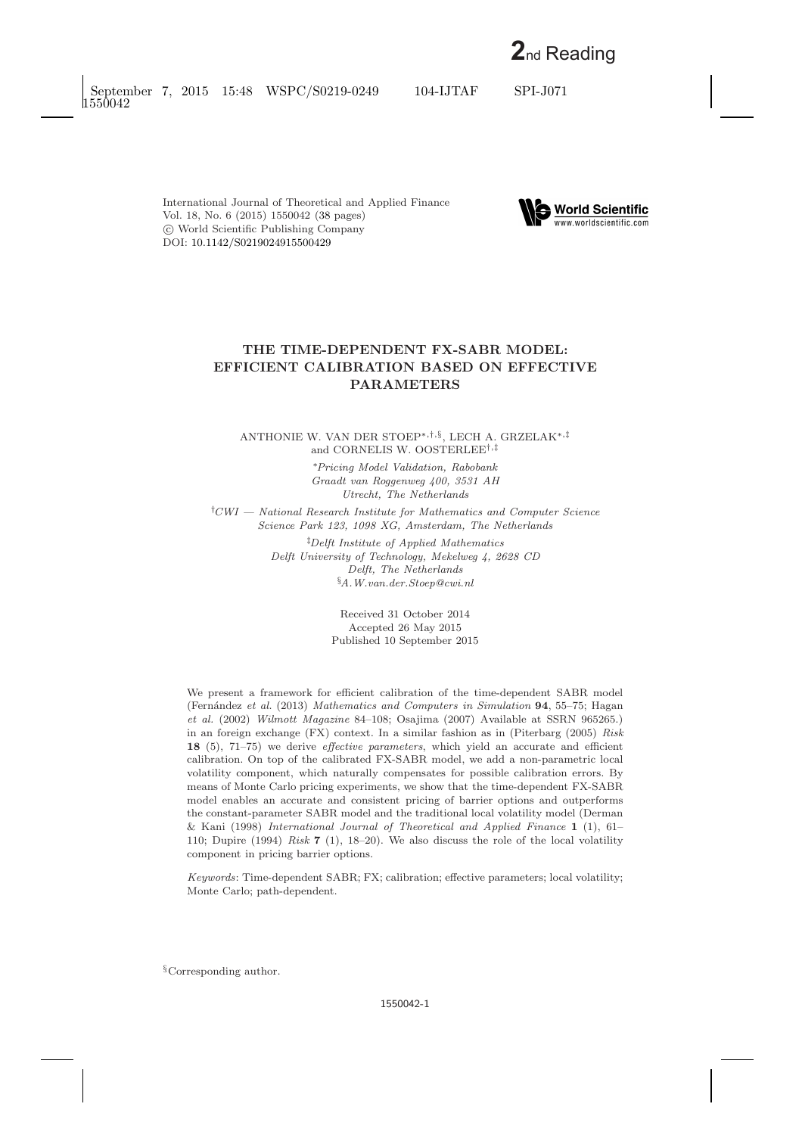International Journal of Theoretical and Applied Finance Vol. 18, No. 6 (2015) 1550042 [\(38](#page-36-0) pages) c World Scientific Publishing Company DOI: [10.1142/S0219024915500429](http://dx.doi.org/10.1142/S0219024915500429)



# **THE TIME-DEPENDENT FX-SABR MODEL: EFFICIENT CALIBRATION BASED ON EFFECTIVE PARAMETERS**

ANTHONIE W. VAN DER STOEP∗,†,§, LECH A. GRZELAK∗,‡ and CORNELIS W. OOSTERLEE†,‡

> ∗Pricing Model Validation, Rabobank Graadt van Roggenweg 400, 3531 AH Utrecht, The Netherlands

<sup>†</sup>CWI — National Research Institute for Mathematics and Computer Science Science Park 123, 1098 XG, Amsterdam, The Netherlands

> ‡ Delft Institute of Applied Mathematics Delft University of Technology, Mekelweg 4, 2628 CD Delft, The Netherlands § A.W.van.der.Stoep@cwi.nl

> > Received 31 October 2014 Accepted 26 May 2015 Published 10 September 2015

We present a framework for efficient calibration of the time-dependent SABR model (Fern´andez et al. (2013) Mathematics and Computers in Simulation **94**, 55–75; Hagan et al. (2002) Wilmott Magazine 84–108; Osajima (2007) Available at SSRN 965265.) in an foreign exchange  $(FX)$  context. In a similar fashion as in (Piterbarg (2005) Risk **18** (5), 71–75) we derive effective parameters, which yield an accurate and efficient calibration. On top of the calibrated FX-SABR model, we add a non-parametric local volatility component, which naturally compensates for possible calibration errors. By means of Monte Carlo pricing experiments, we show that the time-dependent FX-SABR model enables an accurate and consistent pricing of barrier options and outperforms the constant-parameter SABR model and the traditional local volatility model (Derman & Kani (1998) International Journal of Theoretical and Applied Finance **1** (1), 61– 110; Dupire (1994) Risk **7** (1), 18–20). We also discuss the role of the local volatility component in pricing barrier options.

Keywords: Time-dependent SABR; FX; calibration; effective parameters; local volatility; Monte Carlo; path-dependent.

§Corresponding author.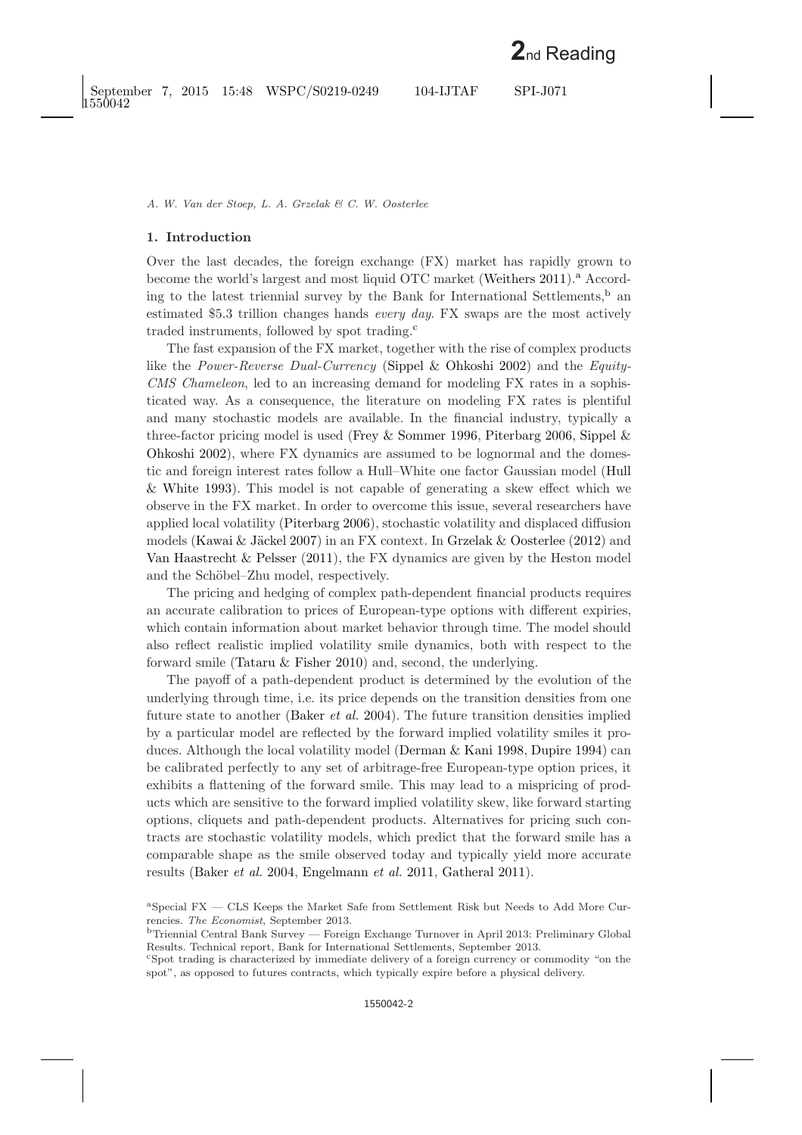### **1. Introduction**

Over the last decades, the foreign exchange (FX) market has rapidly grown to become the world's largest and most liquid OTC market [\(Weithers 2011](#page-37-0)).<sup>[a](#page-1-0)</sup> According to the latest triennial survey [b](#page-1-1)y the Bank for International Settlements,  $\bar{b}$  an estimated \$5.3 trillion changes hands *every day*. FX swaps are the most actively traded instruments, followed by spot trading. $c$ 

The fast expansion of the FX market, together with the rise of complex products like the *Power-Reverse Dual-Currency* [\(Sippel & Ohkoshi 2002\)](#page-37-1) and the *Equity-CMS Chameleon*, led to an increasing demand for modeling FX rates in a sophisticated way. As a consequence, the literature on modeling FX rates is plentiful and many stochastic models are available. In the financial industry, typically a three-fa[ctor](#page-37-1) [pricing](#page-37-1) [model](#page-37-1) [is](#page-37-1) [used](#page-37-1) [\(Frey & Sommer 1996](#page-36-1)[,](#page-37-1) [Piterbarg 2006,](#page-37-2) Sippel & Ohkoshi [2002](#page-37-1)), where FX dynamics are assumed to be lognormal and the domestic and f[oreign](#page-36-2) [interest](#page-36-2) [rates](#page-36-2) [follow](#page-36-2) [a](#page-36-2) [Hull–White](#page-36-2) [one](#page-36-2) [factor](#page-36-2) [Gaussian](#page-36-2) [model](#page-36-2) [\(](#page-36-2)Hull & White [1993](#page-36-2)). This model is not capable of generating a skew effect which we observe in the FX market. In order to overcome this issue, several researchers have applied local volatility [\(Piterbarg 2006\)](#page-37-2), stochastic volatility and displaced diffusion models (Kawai & Jäckel 2007) in an FX context. In [Grzelak & Oosterlee](#page-36-3) [\(2012\)](#page-36-3) and [Van Haastrecht & Pelsser](#page-37-4) [\(2011](#page-37-4)), the FX dynamics are given by the Heston model and the Schöbel–Zhu model, respectively.

The pricing and hedging of complex path-dependent financial products requires an accurate calibration to prices of European-type options with different expiries, which contain information about market behavior through time. The model should also reflect realistic implied volatility smile dynamics, both with respect to the forward smile [\(Tataru & Fisher 2010](#page-37-5)) and, second, the underlying.

The payoff of a path-dependent product is determined by the evolution of the underlying through time, i.e. its price depends on the transition densities from one future state to another [\(Baker](#page-36-4) *et al.* [2004](#page-36-4)). The future transition densities implied by a particular model are reflected by the forward implied volatility smiles it produces. Although the local volatility model [\(Derman & Kani 1998,](#page-36-5) [Dupire 1994\)](#page-36-6) can be calibrated perfectly to any set of arbitrage-free European-type option prices, it exhibits a flattening of the forward smile. This may lead to a mispricing of products which are sensitive to the forward implied volatility skew, like forward starting options, cliquets and path-dependent products. Alternatives for pricing such contracts are stochastic volatility models, which predict that the forward smile has a comparable shape as the smile observed today and typically yield more accurate results [\(Baker](#page-36-4) *et al.* [2004](#page-36-4), [Engelmann](#page-36-7) *et al.* [2011](#page-36-7), [Gatheral 2011\)](#page-36-8).

<span id="page-1-0"></span><sup>a</sup>Special FX — CLS Keeps the Market Safe from Settlement Risk but Needs to Add More Currencies. The Economist, September 2013.

<sup>b</sup>Triennial Central Bank Survey — Foreign Exchange Turnover in April 2013: Preliminary Global Results. Technical report, Bank for International Settlements, September 2013.

<span id="page-1-2"></span><span id="page-1-1"></span><sup>c</sup>Spot trading is characterized by immediate delivery of a foreign currency or commodity "on the spot", as opposed to futures contracts, which typically expire before a physical delivery.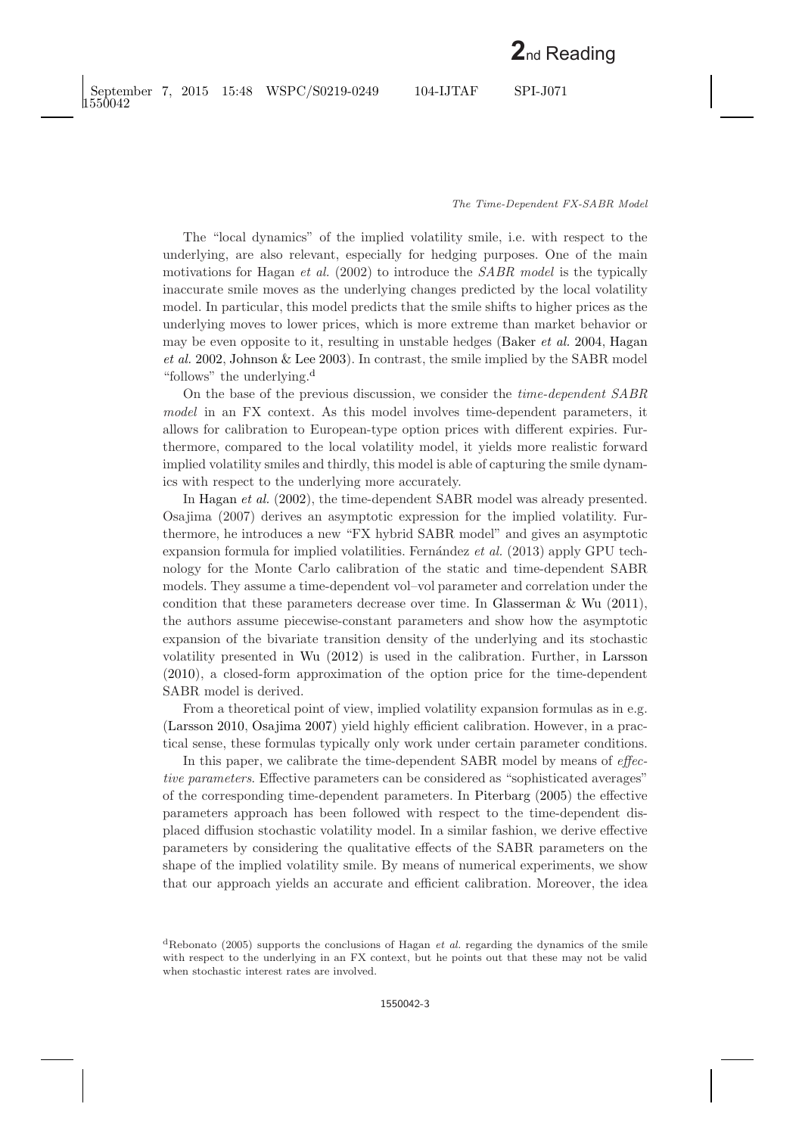The "local dynamics" of the implied volatility smile, i.e. with respect to the underlying, are also relevant, especially for hedging purposes. One of the main motivations for Hagan *et al.* (2002) to introduce the *SABR model* is the typically inaccurate smile moves as the underlying changes predicted by the local volatility model. In particular, this model predicts that the smile shifts to higher prices as the underlying moves to lower prices, which is more extreme than market behavior or may [be](#page-36-10) [even](#page-36-10) [opposite](#page-36-10) [to](#page-36-10) [it,](#page-36-10) [resulting](#page-36-10) [in](#page-36-10) [unstable](#page-36-10) [hedges](#page-36-10) [\(Baker](#page-36-9) *et al.* [2004,](#page-36-9) Hagan *et al.* [2002,](#page-36-10) [Johnson & Lee 2003\)](#page-37-6). In contrast, the smile implied by the SABR model "follows" the un[d](#page-2-0)erlying.<sup>d</sup>

On the base of the previous discussion, we consider the *time-dependent SABR model* in an FX context. As this model involves time-dependent parameters, it allows for calibration to European-type option prices with different expiries. Furthermore, compared to the local volatility model, it yields more realistic forward implied volatility smiles and thirdly, this model is able of capturing the smile dynamics with respect to the underlying more accurately.

In [Hagan](#page-36-10) *et al.* [\(2002\)](#page-36-10), the time-dependent SABR model was already presented. Osajima (2007) derives an asymptotic expression for the implied volatility. Furthermore, he introduces a new "FX hybrid SABR model" and gives an asymptotic expansion formula for implied volatilities. Fernández *et al.* (2013) apply GPU technology for the Monte Carlo calibration of the static and time-dependent SABR models. They assume a time-dependent vol–vol parameter and correlation under the condition that these parameters decrease over time. In Glasserman  $\&$  Wu [\(2011\)](#page-36-11), the authors assume piecewise-constant parameters and show how the asymptotic expansion of the bivariate transition density of the underlying and its stochastic volatility presented in [Wu](#page-37-7) [\(2012\)](#page-37-7) is used in the calibration. Further, in [Larsson](#page-37-8) [\(2010\)](#page-37-8), a closed-form approximation of the option price for the time-dependent SABR model is derived.

From a theoretical point of view, implied volatility expansion formulas as in e.g. [\(Larsson 2010,](#page-37-8) [Osajima 2007\)](#page-37-9) yield highly efficient calibration. However, in a practical sense, these formulas typically only work under certain parameter conditions.

In this paper, we calibrate the time-dependent SABR model by means of *effective parameters*. Effective parameters can be considered as "sophisticated averages" of the corresponding time-dependent parameters. In [Piterbarg](#page-37-10) [\(2005\)](#page-37-10) the effective parameters approach has been followed with respect to the time-dependent displaced diffusion stochastic volatility model. In a similar fashion, we derive effective parameters by considering the qualitative effects of the SABR parameters on the shape of the implied volatility smile. By means of numerical experiments, we show that our approach yields an accurate and efficient calibration. Moreover, the idea

<span id="page-2-0"></span><sup>&</sup>lt;sup>d</sup>Rebonato (2005) supports the conclusions of Hagan *et al.* regarding the dynamics of the smile with respect to the underlying in an FX context, but he points out that these may not be valid when stochastic interest rates are involved.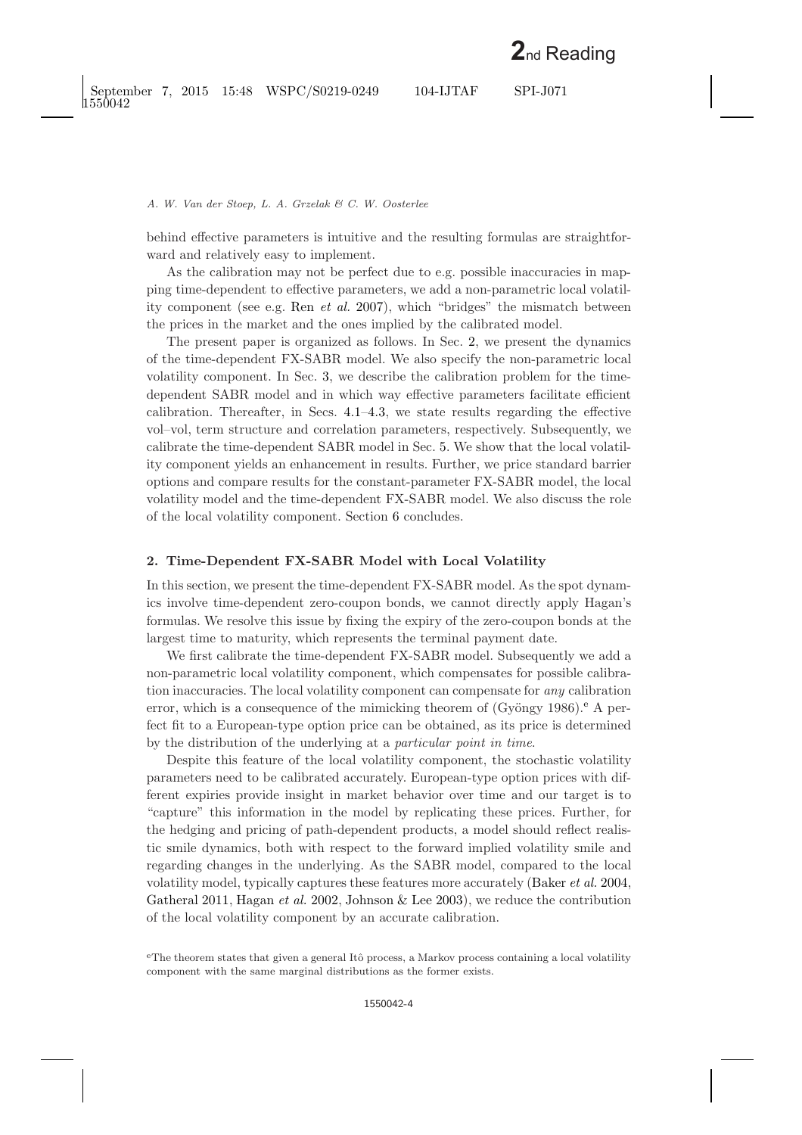behind effective parameters is intuitive and the resulting formulas are straightforward and relatively easy to implement.

As the calibration may not be perfect due to e.g. possible inaccuracies in mapping time-dependent to effective parameters, we add a non-parametric local volatility component (see e.g. Ren *[et al.](#page-37-11)* [2007](#page-37-11)), which "bridges" the mismatch between the prices in the market and the ones implied by the calibrated model.

The present paper is organized as follows. In Sec. [2,](#page-3-0) we present the dynamics of the time-dependent FX-SABR model. We also specify the non-parametric local volatility component. In Sec. [3,](#page-7-0) we describe the calibration problem for the timedependent SABR model and in which way effective parameters facilitate efficient calibration. Thereafter, in Secs. [4.1](#page-10-0)[–4.3,](#page-23-0) we state results regarding the effective vol–vol, term structure and correlation parameters, respectively. Subsequently, we calibrate the time-dependent SABR model in Sec. [5.](#page-25-0) We show that the local volatility component yields an enhancement in results. Further, we price standard barrier options and compare results for the constant-parameter FX-SABR model, the local volatility model and the time-dependent FX-SABR model. We also discuss the role of the local volatility component. Section [6](#page-32-0) concludes.

# <span id="page-3-2"></span><span id="page-3-0"></span>**2. Time-Dependent FX-SABR Model with Local Volatility**

In this section, we present the time-dependent FX-SABR model. As the spot dynamics involve time-dependent zero-coupon bonds, we cannot directly apply Hagan's formulas. We resolve this issue by fixing the expiry of the zero-coupon bonds at the largest time to maturity, which represents the terminal payment date.

We first calibrate the time-dependent FX-SABR model. Subsequently we add a non-parametric local volatility component, which compensates for possible calibration inaccuracies. The local volatility component can compensate for *any* calibration [e](#page-3-1)rror, which is a consequence of the mimicking theorem of  $(G\nu\ddot{o}ngv 1986)$ .<sup>e</sup> A perfect fit to a European-type option price can be obtained, as its price is determined by the distribution of the underlying at a *particular point in time*.

Despite this feature of the local volatility component, the stochastic volatility parameters need to be calibrated accurately. European-type option prices with different expiries provide insight in market behavior over time and our target is to "capture" this information in the model by replicating these prices. Further, for the hedging and pricing of path-dependent products, a model should reflect realistic smile dynamics, both with respect to the forward implied volatility smile and regarding changes in the underlying. As the SABR model, compared to the local volatility model, typically captures these features more accurately [\(Baker](#page-36-4) *et al.* [2004,](#page-36-4) [Gatheral 2011](#page-36-8), [Hagan](#page-36-12) *et al.* [2002](#page-36-12), [Johnson & Lee 2003](#page-37-12)), we reduce the contribution of the local volatility component by an accurate calibration.

<span id="page-3-1"></span>eThe theorem states that given a general Itô process, a Markov process containing a local volatility component with the same marginal distributions as the former exists.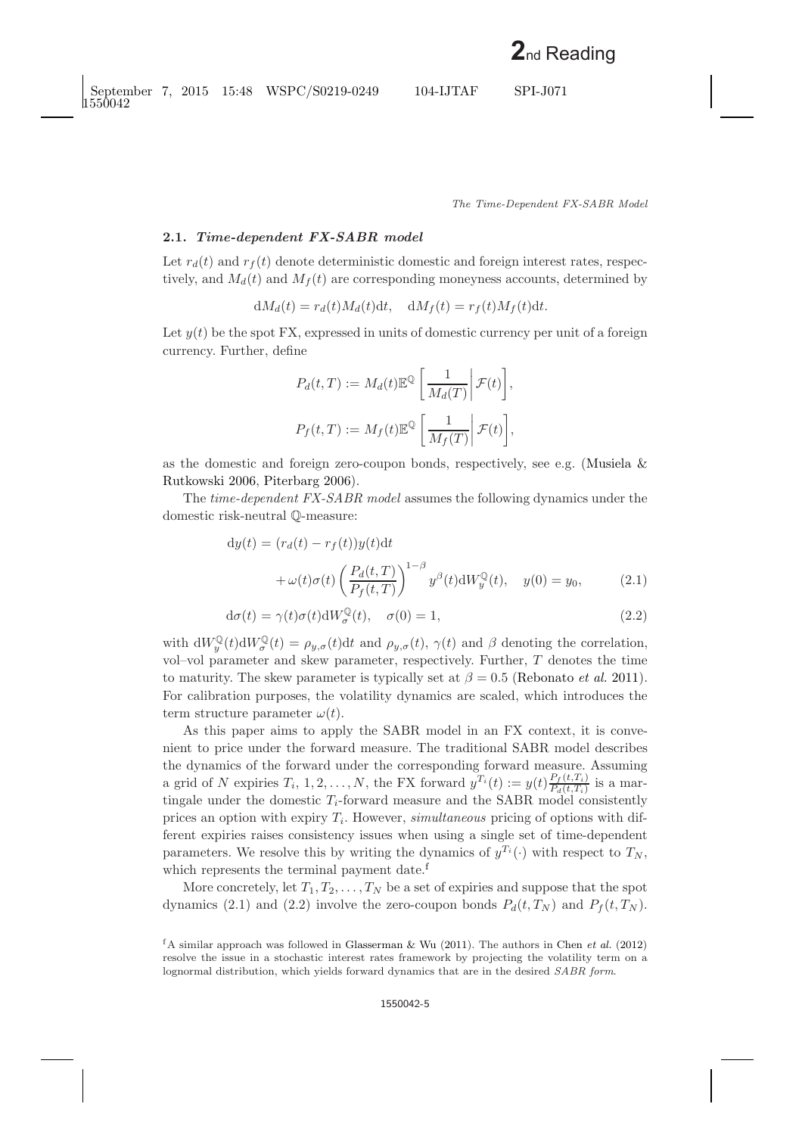#### **2.1.** *Time-dependent FX-SABR model*

Let  $r_d(t)$  and  $r_f(t)$  denote deterministic domestic and foreign interest rates, respectively, and  $M_d(t)$  and  $M_f(t)$  are corresponding moneyness accounts, determined by

$$
dM_d(t) = r_d(t)M_d(t)dt, \quad dM_f(t) = r_f(t)M_f(t)dt.
$$

Let  $y(t)$  be the spot FX, expressed in units of domestic currency per unit of a foreign currency. Further, define

$$
P_d(t,T) := M_d(t) \mathbb{E}^{\mathbb{Q}} \left[ \frac{1}{M_d(T)} \middle| \mathcal{F}(t) \right],
$$
  

$$
P_f(t,T) := M_f(t) \mathbb{E}^{\mathbb{Q}} \left[ \frac{1}{M_f(T)} \middle| \mathcal{F}(t) \right],
$$

as the do[mestic](#page-37-13) [and](#page-37-13) [foreign](#page-37-13) [zero-coupon](#page-37-13) [bonds,](#page-37-13) [respectively,](#page-37-13) [see](#page-37-13) [e.g.](#page-37-13) [\(](#page-37-13)Musiela & Rutkowski [2006,](#page-37-13) [Piterbarg 2006\)](#page-37-14).

<span id="page-4-2"></span><span id="page-4-1"></span>The *time-dependent FX-SABR model* assumes the following dynamics under the domestic risk-neutral Q-measure:

$$
dy(t) = (r_d(t) - r_f(t))y(t)dt
$$
  
+ 
$$
\omega(t)\sigma(t) \left(\frac{P_d(t,T)}{P_f(t,T)}\right)^{1-\beta} y^{\beta}(t) dW_y^{\mathbb{Q}}(t), \quad y(0) = y_0,
$$
 (2.1)

$$
d\sigma(t) = \gamma(t)\sigma(t)dW_{\sigma}^{\mathbb{Q}}(t), \quad \sigma(0) = 1,
$$
\n(2.2)

with  $dW_u^{\mathbb{Q}}(t) dW_{\sigma}^{\mathbb{Q}}(t) = \rho_{y,\sigma}(t) dt$  and  $\rho_{y,\sigma}(t)$ ,  $\gamma(t)$  and  $\beta$  denoting the correlation, vol–vol parameter and skew parameter, respectively. Further, T denotes the time to maturity. The skew parameter is typically set at  $\beta = 0.5$  [\(Rebonato](#page-37-15) *et al.* [2011\)](#page-37-15). For calibration purposes, the volatility dynamics are scaled, which introduces the term structure parameter  $\omega(t)$ .

As this paper aims to apply the SABR model in an FX context, it is convenient to price under the forward measure. The traditional SABR model describes the dynamics of the forward under the corresponding forward measure. Assuming a grid of N expiries  $T_i$ , 1, 2, ..., N, the FX forward  $y^{T_i}(t) := y(t) \frac{P_f(t,T_i)}{P_d(t,T_i)}$  is a martingale under the domestic  $T_i$ -forward measure and the SABR model consistently prices an option with expiry  $T_i$ . However, *simultaneous* pricing of options with different expiries raises consistency issues when using a single set of time-dependent parameters. We resolve this by writing the dynamics of  $y^{T_i}(\cdot)$  with respect to  $T_N$ , which represents the terminal payment date.<sup>[f](#page-4-0)</sup>

More concretely, let  $T_1, T_2, \ldots, T_N$  be a set of expiries and suppose that the spot dynamics (2.1) and (2.2) involve the zero-coupon bonds  $P_d(t, T_N)$  and  $P_f(t, T_N)$ .

<span id="page-4-0"></span><sup>&</sup>lt;sup>f</sup>A similar approach was followed in [Glasserman & Wu](#page-36-11) [\(2011\)](#page-36-11). The authors in [Chen](#page-36-13) *et al.* [\(2012\)](#page-36-13) resolve the issue in a stochastic interest rates framework by projecting the volatility term on a lognormal distribution, which yields forward dynamics that are in the desired SABR form.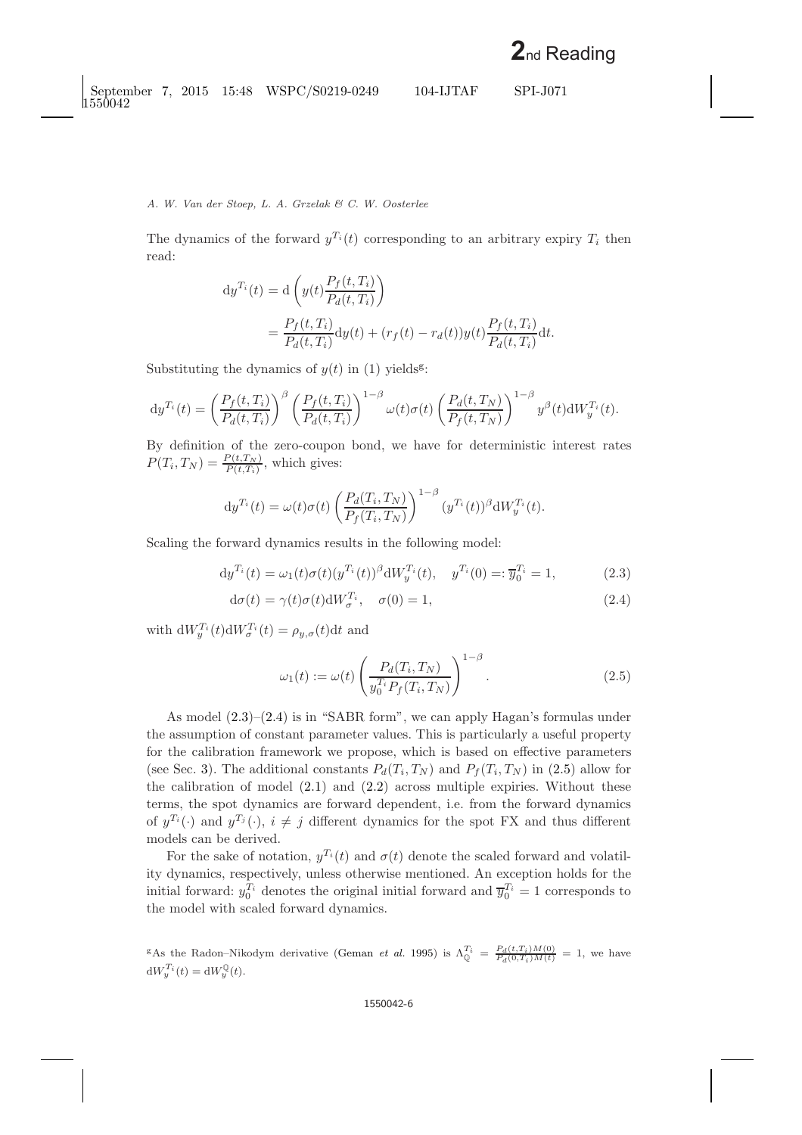The dynamics of the forward  $y^{T_i}(t)$  corresponding to an arbitrary expiry  $T_i$  then read:

$$
dy^{T_i}(t) = d\left(y(t)\frac{P_f(t,T_i)}{P_d(t,T_i)}\right)
$$
  
= 
$$
\frac{P_f(t,T_i)}{P_d(t,T_i)}dy(t) + (r_f(t) - r_d(t))y(t)\frac{P_f(t,T_i)}{P_d(t,T_i)}dt.
$$

Substitutin[g](#page-5-0) the dynamics of  $y(t)$  in (1) yields<sup>g</sup>:

$$
\mathrm{d}y^{T_i}(t) = \left(\frac{P_f(t,T_i)}{P_d(t,T_i)}\right)^{\beta} \left(\frac{P_f(t,T_i)}{P_d(t,T_i)}\right)^{1-\beta} \omega(t)\sigma(t) \left(\frac{P_d(t,T_N)}{P_f(t,T_N)}\right)^{1-\beta} y^{\beta}(t) \mathrm{d}W_y^{T_i}(t).
$$

By definition of the zero-coupon bond, we have for deterministic interest rates  $P(T_i, T_N) = \frac{P(t, T_N)}{P(t, T_i)}$ , which gives:

$$
\mathrm{d}y^{T_i}(t) = \omega(t)\sigma(t) \left(\frac{P_d(T_i, T_N)}{P_f(T_i, T_N)}\right)^{1-\beta} (y^{T_i}(t))^{\beta} \mathrm{d}W_y^{T_i}(t).
$$

<span id="page-5-4"></span><span id="page-5-1"></span>Scaling the forward dynamics results in the following model:

$$
dy^{T_i}(t) = \omega_1(t)\sigma(t)(y^{T_i}(t))^{\beta}dW_y^{T_i}(t), \quad y^{T_i}(0) =: \overline{y}_0^{T_i} = 1,
$$
\n(2.3)

$$
d\sigma(t) = \gamma(t)\sigma(t)dW_{\sigma}^{T_i}, \quad \sigma(0) = 1,
$$
\n(2.4)

with  $dW_u^{T_i}(t) dW_{\sigma}^{T_i}(t) = \rho_{y,\sigma}(t) dt$  and

$$
\omega_1(t) := \omega(t) \left( \frac{P_d(T_i, T_N)}{y_0^{T_i} P_f(T_i, T_N)} \right)^{1-\beta}.
$$
\n(2.5)

<span id="page-5-3"></span><span id="page-5-2"></span>As model [\(2.3\)](#page-5-1)–[\(2.4\)](#page-5-1) is in "SABR form", we can apply Hagan's formulas under the assumption of constant parameter values. This is particularly a useful property for the calibration framework we propose, which is based on effective parameters (see Sec. [3\)](#page-7-0). The additional constants  $P_d(T_i, T_N)$  and  $P_f(T_i, T_N)$  in [\(2.5\)](#page-5-2) allow for the calibration of model  $(2.1)$  and  $(2.2)$  across multiple expiries. Without these terms, the spot dynamics are forward dependent, i.e. from the forward dynamics of  $y^{T_i}(\cdot)$  and  $y^{T_j}(\cdot)$ ,  $i \neq j$  different dynamics for the spot FX and thus different models can be derived.

For the sake of notation,  $y^{T_i}(t)$  and  $\sigma(t)$  denote the scaled forward and volatility dynamics, respectively, unless otherwise mentioned. An exception holds for the initial forward:  $y_0^{T_i}$  denotes the original initial forward and  $\overline{y}_0^{T_i} = 1$  corresponds to the model with scaled forward dynamics.

<span id="page-5-0"></span><sup>g</sup>As the Radon–Nikodym derivative [\(Geman](#page-36-14) *et al.* [1995](#page-36-14)) is  $\Lambda_{\mathbb{Q}}^{T_i} = \frac{P_d(t,T_i)M(0)}{P_d(0,T_i)M(t)} = 1$ , we have  $\mathrm{d}W_{y}^{T_{i}}(t)=\mathrm{d}W_{y}^{\mathbb{Q}}(t).$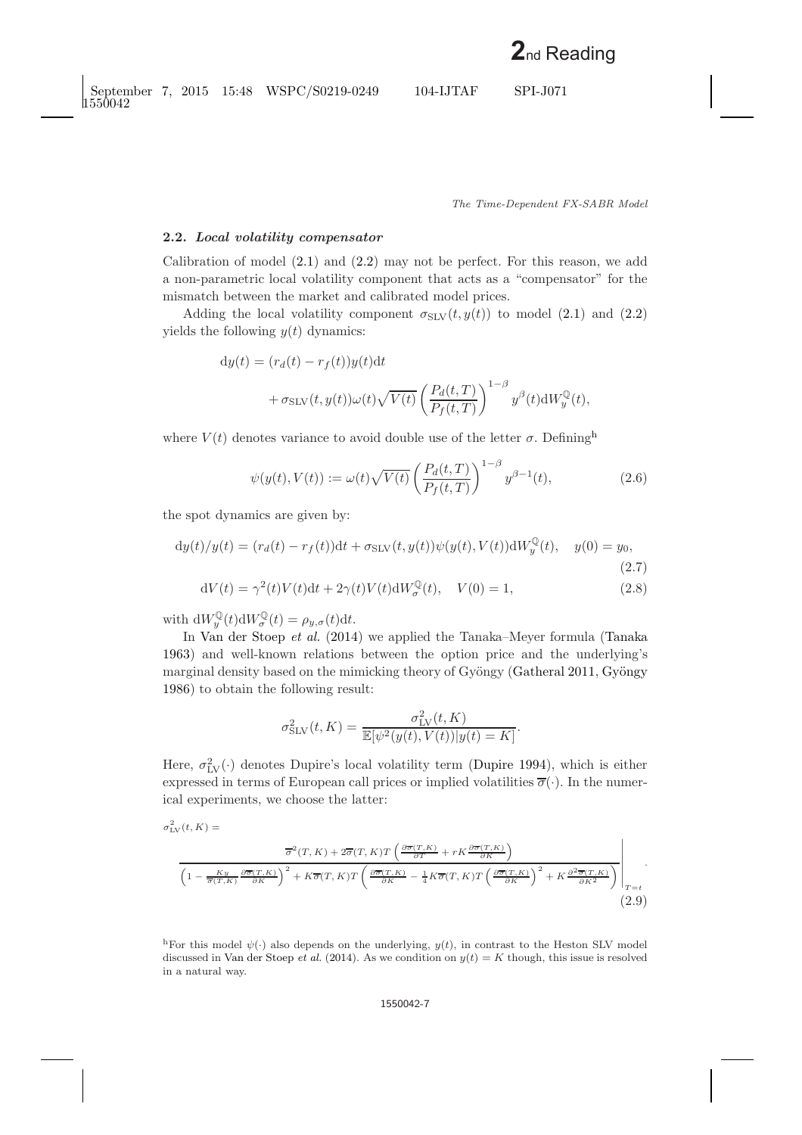#### <span id="page-6-1"></span>**2.2.** *Local volatility compensator*

Calibration of model [\(2.1\)](#page-4-2) and [\(2.2\)](#page-4-2) may not be perfect. For this reason, we add a non-parametric local volatility component that acts as a "compensator" for the mismatch between the market and calibrated model prices.

Adding the local volatility component  $\sigma_{\text{SIV}}(t, y(t))$  to model [\(2.1\)](#page-4-2) and [\(2.2\)](#page-4-2) yields the following  $y(t)$  dynamics:

$$
dy(t) = (r_d(t) - r_f(t))y(t)dt
$$
  
+  $\sigma_{SLV}(t, y(t))\omega(t)\sqrt{V(t)} \left(\frac{P_d(t, T)}{P_f(t, T)}\right)^{1-\beta} y^{\beta}(t)dW_y^{\mathbb{Q}}(t),$ 

w[h](#page-6-0)ere  $V(t)$  denotes variance to avoid double use of the letter  $\sigma$ . Definingh

$$
\psi(y(t), V(t)) := \omega(t)\sqrt{V(t)} \left(\frac{P_d(t, T)}{P_f(t, T)}\right)^{1-\beta} y^{\beta-1}(t),\tag{2.6}
$$

the spot dynamics are given by:

$$
dy(t)/y(t) = (r_d(t) - r_f(t))dt + \sigma_{SLV}(t, y(t))\psi(y(t), V(t))dW_y^{\mathbb{Q}}(t), y(0) = y_0,
$$
\n(2.7)

$$
dV(t) = \gamma^2(t)V(t)dt + 2\gamma(t)V(t)dW_{\sigma}^{\mathbb{Q}}(t), \quad V(0) = 1,
$$
\n(2.8)

with  $dW_{\nu}^{\mathbb{Q}}(t) dW_{\sigma}^{\mathbb{Q}}(t) = \rho_{y,\sigma}(t) dt$ .

In [Van der Stoep](#page-37-16) *et al.* [\(2014\)](#page-37-16) we applied the Tanaka–Meyer formula [\(Tanaka](#page-37-17) [1963\)](#page-37-17) and well-known relations between the option price and the underlying's marginal density based on the mimicking theory of Gyöngy [\(Gatheral 2011,](#page-36-15) Gyöngy [1986\)](#page-36-16) to obtain the following result:

$$
\sigma_{\text{SLV}}^2(t, K) = \frac{\sigma_{\text{LV}}^2(t, K)}{\mathbb{E}[\psi^2(y(t), V(t))|y(t) = K]}.
$$

Here,  $\sigma_{LV}^2(\cdot)$  denotes Dupire's local volatility term [\(Dupire 1994\)](#page-36-17), which is either expressed in terms of European call prices or implied volatilities  $\overline{\sigma}(\cdot)$ . In the numerical experiments, we choose the latter:

$$
\sigma_{LV}^{2}(t,K) = \frac{\overline{\sigma}^{2}(T,K) + 2\overline{\sigma}(T,K)T\left(\frac{\partial\overline{\sigma}(T,K)}{\partial T} + rK\frac{\partial\overline{\sigma}(T,K)}{\partial K}\right)}{\left(1 - \frac{Ky}{\overline{\sigma}(T,K)}\frac{\partial\overline{\sigma}(T,K)}{\partial K}\right)^{2} + K\overline{\sigma}(T,K)T\left(\frac{\partial\overline{\sigma}(T,K)}{\partial K} - \frac{1}{4}K\overline{\sigma}(T,K)T\left(\frac{\partial\overline{\sigma}(T,K)}{\partial K}\right)^{2} + K\frac{\partial^{2}\overline{\sigma}(T,K)}{\partial K^{2}}\right)\Bigg|_{T=t}}(2.9)
$$

<span id="page-6-0"></span><sup>h</sup>For this model  $\psi(\cdot)$  also depends on the underlying,  $y(t)$ , in contrast to the Heston SLV model discussed in [Van der Stoep](#page-37-16) et al. [\(2014\)](#page-37-16). As we condition on  $y(t) = K$  though, this issue is resolved in a natural way.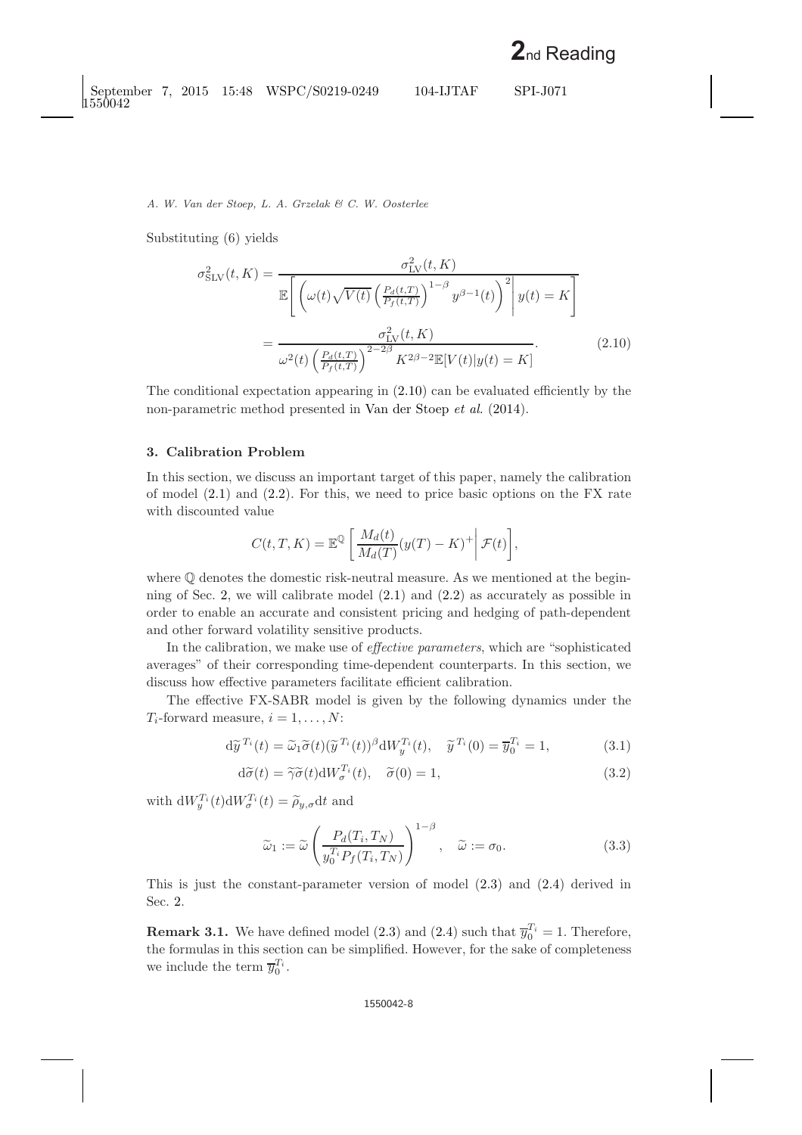<span id="page-7-1"></span>Substituting (6) yields

$$
\sigma_{\text{SLV}}^2(t, K) = \frac{\sigma_{\text{LV}}^2(t, K)}{\mathbb{E}\left[\left(\omega(t)\sqrt{V(t)}\left(\frac{P_d(t, T)}{P_f(t, T)}\right)^{1-\beta}y^{\beta-1}(t)\right)^2\middle|y(t) = K\right]}
$$

$$
= \frac{\sigma_{\text{LV}}^2(t, K)}{\omega^2(t)\left(\frac{P_d(t, T)}{P_f(t, T)}\right)^{2-2\beta}K^{2\beta-2}\mathbb{E}[V(t)|y(t) = K]}.
$$
(2.10)

The conditional expectation appearing in [\(2.10\)](#page-7-1) can be evaluated efficiently by the non-parametric method presented in [Van der Stoep](#page-37-18) *et al.* [\(2014](#page-37-18)).

# <span id="page-7-4"></span><span id="page-7-0"></span>**3. Calibration Problem**

In this section, we discuss an important target of this paper, namely the calibration of model [\(2.1\)](#page-4-1) and [\(2.2\)](#page-4-1). For this, we need to price basic options on the FX rate with discounted value

$$
C(t,T,K) = \mathbb{E}^{\mathbb{Q}}\left[\left.\frac{M_d(t)}{M_d(T)}(y(T)-K)^+\right|\mathcal{F}(t)\right],
$$

where  $\mathbb Q$  denotes the domestic risk-neutral measure. As we mentioned at the begin-ning of Sec. [2,](#page-3-0) we will calibrate model  $(2.1)$  and  $(2.2)$  as accurately as possible in order to enable an accurate and consistent pricing and hedging of path-dependent and other forward volatility sensitive products.

In the calibration, we make use of *effective parameters*, which are "sophisticated averages" of their corresponding time-dependent counterparts. In this section, we discuss how effective parameters facilitate efficient calibration.

<span id="page-7-3"></span><span id="page-7-2"></span>The effective FX-SABR model is given by the following dynamics under the  $T_i$ -forward measure,  $i = 1, \ldots, N$ :

$$
d\widetilde{y}^{T_i}(t) = \widetilde{\omega}_1 \widetilde{\sigma}(t) (\widetilde{y}^{T_i}(t))^{\beta} dW_y^{T_i}(t), \quad \widetilde{y}^{T_i}(0) = \overline{y}_0^{T_i} = 1,
$$
\n(3.1)

$$
d\tilde{\sigma}(t) = \tilde{\gamma}\tilde{\sigma}(t)dW_{\sigma}^{T_i}(t), \quad \tilde{\sigma}(0) = 1,
$$
\n(3.2)

with  $dW_y^{T_i}(t) dW_\sigma^{T_i}(t) = \tilde{\rho}_{y,\sigma} dt$  and

$$
\widetilde{\omega}_1 := \widetilde{\omega} \left( \frac{P_d(T_i, T_N)}{y_0^{T_i} P_f(T_i, T_N)} \right)^{1-\beta}, \quad \widetilde{\omega} := \sigma_0.
$$
\n(3.3)

<span id="page-7-5"></span>This is just the constant-parameter version of model [\(2.3\)](#page-5-1) and [\(2.4\)](#page-5-1) derived in Sec. [2.](#page-3-0)

**Remark 3.1.** We have defined model [\(2.3\)](#page-5-1) and [\(2.4\)](#page-5-1) such that  $\overline{y}_0^{T_i} = 1$ . Therefore, the formulas in this section can be simplified. However, for the sake of completeness we include the term  $\overline{y}_0^{T_i}$ .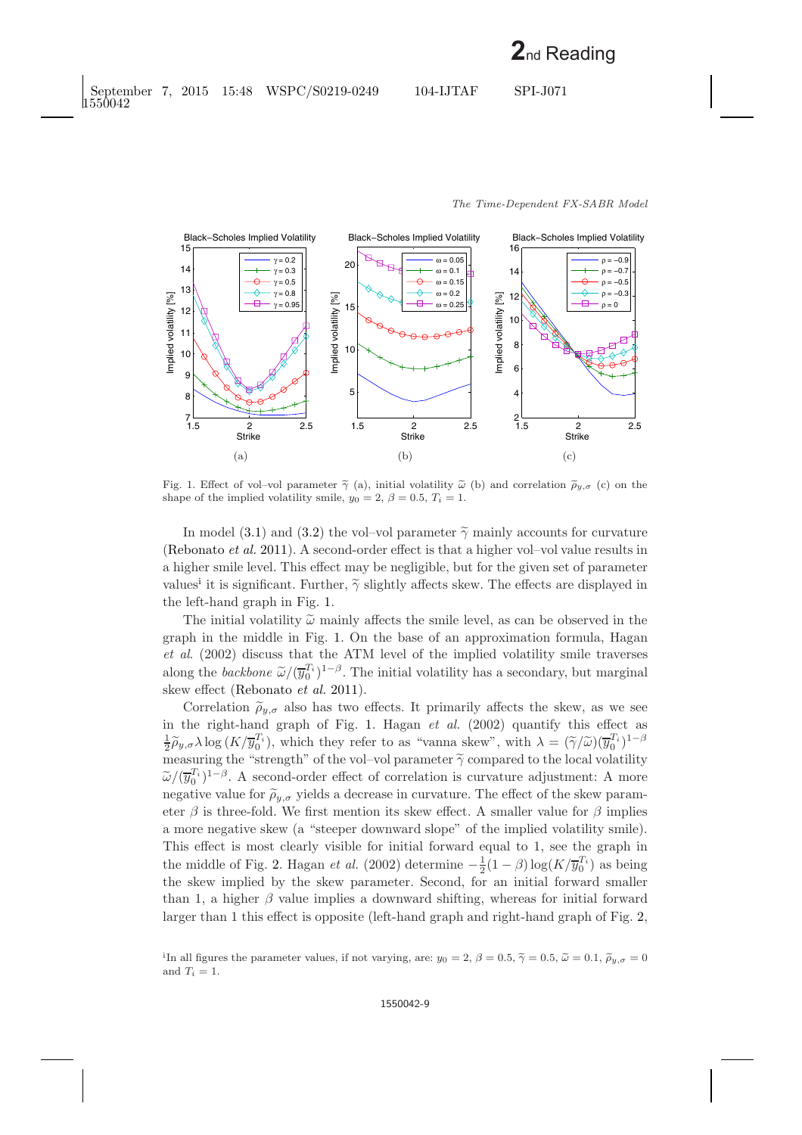

<span id="page-8-1"></span>Fig. 1. Effect of vol–vol parameter  $\tilde{\gamma}$  (a), initial volatility  $\tilde{\omega}$  (b) and correlation  $\tilde{\rho}_{\nu,\sigma}$  (c) on the shape of the implied volatility smile,  $y_0 = 2$ ,  $\beta = 0.5$ ,  $T_i = 1$ .

In model [\(3.1\)](#page-7-2) and [\(3.2\)](#page-7-2) the vol–vol parameter  $\tilde{\gamma}$  mainly accounts for curvature [\(Rebonato](#page-37-15) *et al.* [2011\)](#page-37-15). A second-order effect is that a higher vol–vol value results in a higher smile level. This effect may be negligible, but for the given set of parameter values<sup>[i](#page-8-0)</sup> it is significant. Further,  $\tilde{\gamma}$  slightly affects skew. The effects are displayed in the left-hand graph in Fig. [1.](#page-8-1)

The initial volatility  $\tilde{\omega}$  mainly affects the smile level, as can be observed in the graph in the middle in Fig. [1.](#page-8-1) On the base of an approximation formula, Hagan *et al*. (2002) discuss that the ATM level of the implied volatility smile traverses along the *backbone*  $\tilde{\omega}/(\overline{y}_0^{T_i})^{1-\beta}$ . The initial volatility has a secondary, but marginal skew effect [\(Rebonato](#page-37-15) *et al.* [2011\)](#page-37-15).

Correlation  $\tilde{\rho}_{u,\sigma}$  also has two effects. It primarily affects the skew, as we see in the right-hand graph of Fig. [1.](#page-8-1) Hagan *et al.* (2002) quantify this effect as  $\frac{1}{2}\widetilde{\rho}_{y,\sigma}\lambda\log(K/\overline{y}_0^{T_i})$ , which they refer to as "vanna skew", with  $\lambda = (\widetilde{\gamma}/\widetilde{\omega})(\overline{y}_0^{T_i})^{1-\beta}$ <br>measuring the "strepeth" of the volume permeter  $\widetilde{\alpha}$  compared to the local velotility measuring the "strength" of the vol-vol parameter  $\tilde{\gamma}$  compared to the local volatility  $\widetilde{\omega}/(\overline{y}_0^{T_i})^{1-\beta}$ . A second-order effect of correlation is curvature adjustment: A more negative value for  $\tilde{\rho}_{y,\sigma}$  yields a decrease in curvature. The effect of the skew parameter  $\beta$  is three-fold. We first mention its skew effect. A smaller value for  $\beta$  implies a more negative skew (a "steeper downward slope" of the implied volatility smile). This effect is most clearly visible for initial forward equal to 1, see the graph in the middle of Fig. [2.](#page-9-0) Hagan *et al.* (2002) determine  $-\frac{1}{2}(1-\beta)\log(K/\overline{y}_0^{T_i})$  as being the skew implied by the skew parameter. Second, for an initial forward smaller than 1, a higher  $\beta$  value implies a downward shifting, whereas for initial forward larger than 1 this effect is opposite (left-hand graph and right-hand graph of Fig. [2,](#page-9-0)

<span id="page-8-0"></span><sup>&</sup>lt;sup>i</sup>In all figures the parameter values, if not varying, are:  $y_0 = 2$ ,  $\beta = 0.5$ ,  $\tilde{\gamma} = 0.5$ ,  $\tilde{\omega} = 0.1$ ,  $\tilde{\rho}_{y,\sigma} = 0$ and  $T_i = 1$ .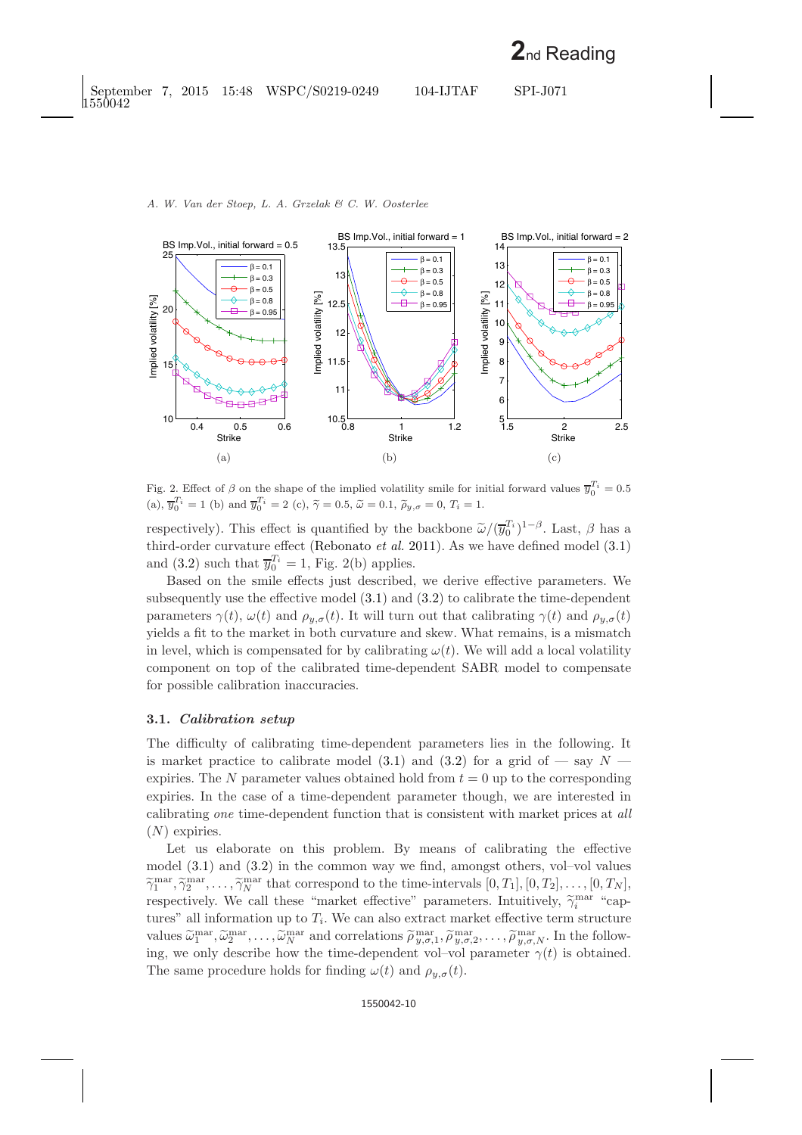

<span id="page-9-0"></span>Fig. 2. Effect of  $\beta$  on the shape of the implied volatility smile for initial forward values  $\overline{y}_0^{T_i} = 0.5$ (a),  $\overline{y}_0^{T_i} = 1$  (b) and  $\overline{y}_0^{T_i} = 2$  (c),  $\tilde{\gamma} = 0.5$ ,  $\tilde{\omega} = 0.1$ ,  $\tilde{\rho}_{y,\sigma} = 0$ ,  $T_i = 1$ .

respectively). This effect is quantified by the backbone  $\tilde{\omega}/(\overline{y}_0^{T_i})^{1-\beta}$ . Last,  $\beta$  has a<br>third order guarating effect (Repeate et al. 2011), As we have defined model (2.1) third-order curvature effect [\(Rebonato](#page-37-19) *et al.* [2011\)](#page-37-19). As we have defined model [\(3.1\)](#page-7-3) and [\(3.2\)](#page-7-3) such that  $\overline{y}_0^{T_i} = 1$ , Fig. 2(b) applies.

Based on the smile effects just described, we derive effective parameters. We subsequently use the effective model [\(3.1\)](#page-7-3) and [\(3.2\)](#page-7-3) to calibrate the time-dependent parameters  $\gamma(t)$ ,  $\omega(t)$  and  $\rho_{\nu,\sigma}(t)$ . It will turn out that calibrating  $\gamma(t)$  and  $\rho_{\nu,\sigma}(t)$ yields a fit to the market in both curvature and skew. What remains, is a mismatch in level, which is compensated for by calibrating  $\omega(t)$ . We will add a local volatility component on top of the calibrated time-dependent SABR model to compensate for possible calibration inaccuracies.

#### **3.1.** *Calibration setup*

The difficulty of calibrating time-dependent parameters lies in the following. It is market practice to calibrate model  $(3.1)$  and  $(3.2)$  for a grid of  $-$  say N  $$ expiries. The N parameter values obtained hold from  $t = 0$  up to the corresponding expiries. In the case of a time-dependent parameter though, we are interested in calibrating *one* time-dependent function that is consistent with market prices at *all*  $(N)$  expiries.

Let us elaborate on this problem. By means of calibrating the effective model [\(3.1\)](#page-7-3) and [\(3.2\)](#page-7-3) in the common way we find, amongst others, vol–vol values  $\widetilde{\gamma}_{1}^{\text{mar}}, \widetilde{\gamma}_{2}^{\text{mar}}, \ldots, \widetilde{\gamma}_{N}^{\text{mar}}$  that correspond to the time-intervals  $[0, T_{1}], [0, T_{2}], \ldots, [0, T_{N}],$ respectively. We call these "market effective" parameters. Intuitively,  $\tilde{\gamma}_i^{\text{mar}}$  "cap-<br>tunes" all information up to  $T$ . We can also outpart market effective town structure tures" all information up to  $T_i$ . We can also extract market effective term structure values  $\tilde{\omega}_1^{\text{mar}}, \tilde{\omega}_2^{\text{mar}}, \dots, \tilde{\omega}_N^{\text{mar}}$  and correlations  $\tilde{\rho}_{y,\sigma,1}^{\text{mar}}, \tilde{\rho}_{y,\sigma,2}^{\text{mar}}, \dots, \tilde{\rho}_{y,\sigma,N}^{\text{mar}}$ . In the follow-<br>ing we only decembe how the time dependent value languagements  $\tilde{\epsilon}_1(t)$  is ing, we only describe how the time-dependent vol-vol parameter  $\gamma(t)$  is obtained. The same procedure holds for finding  $\omega(t)$  and  $\rho_{u,\sigma}(t)$ .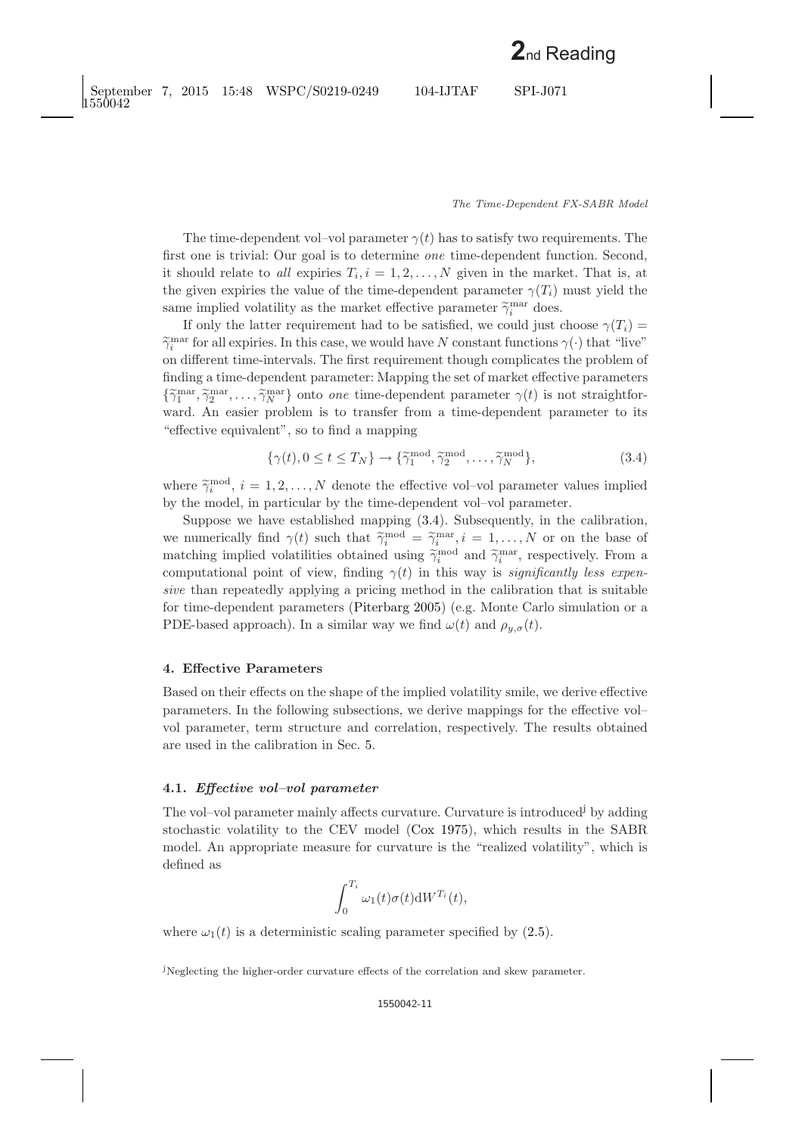The time-dependent vol–vol parameter  $\gamma(t)$  has to satisfy two requirements. The first one is trivial: Our goal is to determine *one* time-dependent function. Second, it should relate to *all* expiries  $T_i$ ,  $i = 1, 2, ..., N$  given in the market. That is, at the given expiries the value of the time-dependent parameter  $\gamma(T_i)$  must yield the same implied volatility as the market effective parameter  $\widetilde{\gamma}_i^{\text{mar}}$  does.

If only the latter requirement had to be satisfied, we could just choose  $\gamma(T_i)$  =  $\widetilde{\gamma}_i^{\text{mar}}$  for all expiries. In this case, we would have N constant functions  $\gamma(\cdot)$  that "live" on different time-intervals. The first requirement though complicates the problem of finding a time-dependent parameter: Mapping the set of market effective parameters  $\{\widetilde{\gamma}_1^{\text{mar}}, \widetilde{\gamma}_2^{\text{mar}}, \ldots, \widetilde{\gamma}_N^{\text{mar}}\}$  onto *one* time-dependent parameter  $\gamma(t)$  is not straightfor-<br>word  $\Lambda$  a series problem is to transfer from a time dependent parameter to its ward. An easier problem is to transfer from a time-dependent parameter to its "effective equivalent", so to find a mapping

$$
\{\gamma(t), 0 \le t \le T_N\} \to \{\widetilde{\gamma}_1^{\text{mod}}, \widetilde{\gamma}_2^{\text{mod}}, \dots, \widetilde{\gamma}_N^{\text{mod}}\},\tag{3.4}
$$

<span id="page-10-1"></span>where  $\widetilde{\gamma}_i^{\text{mod}}, i = 1, 2, ..., N$  denote the effective vol-vol parameter values implied<br>by the model in particular by the time dependent vol vol parameter by the model, in particular by the time-dependent vol–vol parameter.

Suppose we have established mapping [\(3.4\)](#page-10-1). Subsequently, in the calibration, we numerically find  $\gamma(t)$  such that  $\widetilde{\gamma}_i^{\text{mod}} = \widetilde{\gamma}_i^{\text{mar}}, i = 1, \dots, N$  or on the base of matching implied valatilities obtained using  $\widetilde{\gamma}_i^{\text{mod}}$  and  $\widetilde{\gamma}_i^{\text{mar}}$  reconstitutive Frame. matching implied volatilities obtained using  $\tilde{\gamma}_i^{\text{mod}}$  and  $\tilde{\gamma}_i^{\text{mar}}$ , respectively. From a<br>computational point of view, finding  $\alpha(t)$  in this way is eigenfies the less examcomputational point of view, finding  $\gamma(t)$  in this way is *significantly less expensive* than repeatedly applying a pricing method in the calibration that is suitable for time-dependent parameters [\(Piterbarg 2005\)](#page-37-10) (e.g. Monte Carlo simulation or a PDE-based approach). In a similar way we find  $\omega(t)$  and  $\rho_{y,\sigma}(t)$ .

# **4. Effective Parameters**

Based on their effects on the shape of the implied volatility smile, we derive effective parameters. In the following subsections, we derive mappings for the effective vol– vol parameter, term structure and correlation, respectively. The results obtained are used in the calibration in Sec. [5.](#page-25-1)

### <span id="page-10-0"></span>**4.1.** *Effective vol–vol parameter*

The vol–vol parameter mainly affects curvature. Curvature is introduced by adding stochastic volatility to the CEV model [\(Cox 1975\)](#page-36-18), which results in the SABR model. An appropriate measure for curvature is the "realized volatility", which is defined as

$$
\int_0^{T_i} \omega_1(t)\sigma(t) \mathrm{d}W^{T_i}(t),
$$

where  $\omega_1(t)$  is a deterministic scaling parameter specified by [\(2.5\)](#page-5-3).

<span id="page-10-2"></span>j Neglecting the higher-order curvature effects of the correlation and skew parameter.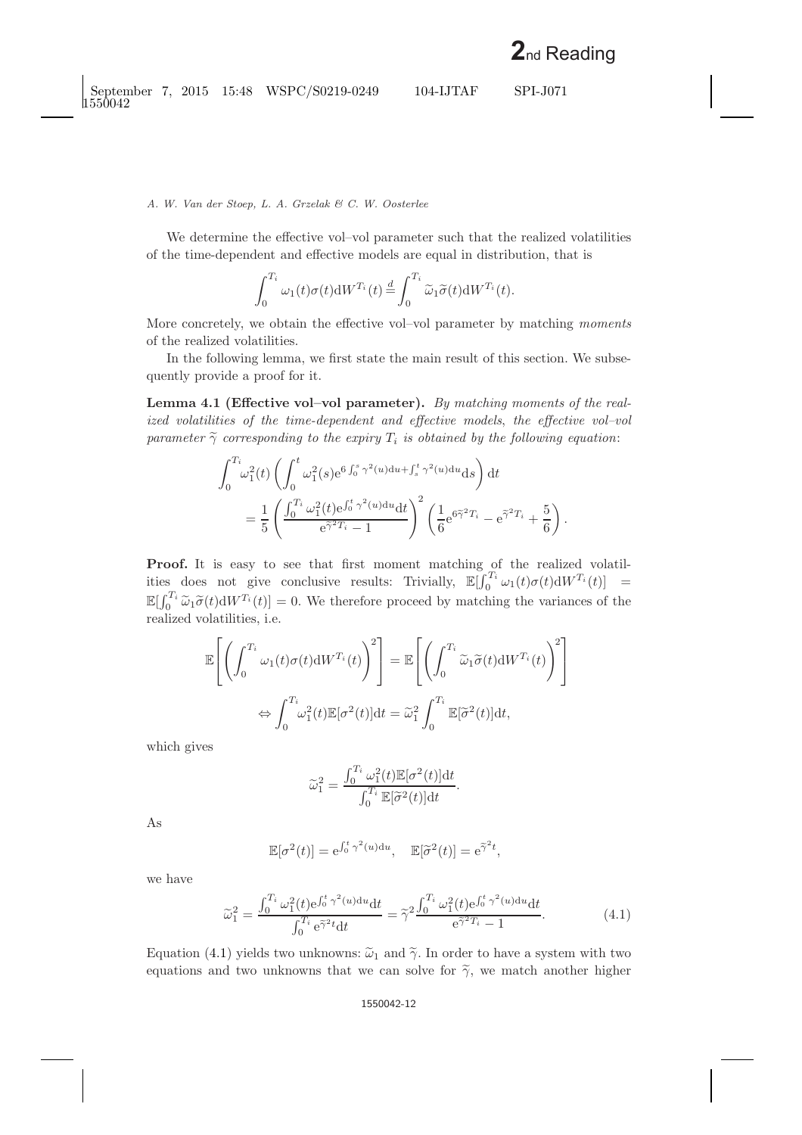We determine the effective vol–vol parameter such that the realized volatilities of the time-dependent and effective models are equal in distribution, that is

$$
\int_0^{T_i} \omega_1(t)\sigma(t) \mathrm{d}W^{T_i}(t) \stackrel{d}{=} \int_0^{T_i} \widetilde{\omega}_1 \widetilde{\sigma}(t) \mathrm{d}W^{T_i}(t).
$$

More concretely, we obtain the effective vol–vol parameter by matching *moments* of the realized volatilities.

In the following lemma, we first state the main result of this section. We subsequently provide a proof for it.

**Lemma 4.1 (Effective vol–vol parameter).** *By matching moments of the realized volatilities of the time-dependent and effective models*, *the effective vol–vol parameter*  $\tilde{\gamma}$  *corresponding to the expiry*  $T_i$  *is obtained by the following equation*:

$$
\int_0^{T_i} \omega_1^2(t) \left( \int_0^t \omega_1^2(s) e^{6 \int_0^s \gamma^2(u) du + \int_s^t \gamma^2(u) du} ds \right) dt
$$
  
= 
$$
\frac{1}{5} \left( \frac{\int_0^{T_i} \omega_1^2(t) e^{\int_0^t \gamma^2(u) du} dt}{e^{\tilde{\gamma}^2 T_i} - 1} \right)^2 \left( \frac{1}{6} e^{6\tilde{\gamma}^2 T_i} - e^{\tilde{\gamma}^2 T_i} + \frac{5}{6} \right).
$$

**Proof.** It is easy to see that first moment matching of the realized volatilities does not give conclusive results: Trivially,  $\mathbb{E} \left[ \int_0^{T_i} \omega_1(t) \sigma(t) dW^{T_i}(t) \right] =$  $\mathbb{E}[\int_0^{T_i} \widetilde{\omega}_1 \widetilde{\sigma}(t) dW^{T_i}(t)] = 0$ . We therefore proceed by matching the variances of the realized volatilities i.e. realized volatilities, i.e.

$$
\mathbb{E}\left[\left(\int_0^{T_i} \omega_1(t)\sigma(t) \mathrm{d}W^{T_i}(t)\right)^2\right] = \mathbb{E}\left[\left(\int_0^{T_i} \widetilde{\omega}_1\widetilde{\sigma}(t) \mathrm{d}W^{T_i}(t)\right)^2\right]
$$

$$
\Leftrightarrow \int_0^{T_i} \omega_1^2(t)\mathbb{E}[\sigma^2(t)] \mathrm{d}t = \widetilde{\omega}_1^2 \int_0^{T_i} \mathbb{E}[\widetilde{\sigma}^2(t)] \mathrm{d}t,
$$

which gives

$$
\widetilde{\omega}_1^2 = \frac{\int_0^{T_i} \omega_1^2(t) \mathbb{E}[\sigma^2(t)] dt}{\int_0^{T_i} \mathbb{E}[\widetilde{\sigma}^2(t)] dt}.
$$

As

$$
\mathbb{E}[\sigma^2(t)] = e^{\int_0^t \gamma^2(u) \mathrm{d}u}, \quad \mathbb{E}[\widetilde{\sigma}^2(t)] = e^{\widetilde{\gamma}^2 t},
$$

<span id="page-11-1"></span><span id="page-11-0"></span>we have

$$
\widetilde{\omega}_1^2 = \frac{\int_0^{T_i} \omega_1^2(t) e^{\int_0^t \gamma^2(u) \mathrm{d}u} \mathrm{d}t}{\int_0^{T_i} e^{\widetilde{\gamma}^2 t} \mathrm{d}t} = \widetilde{\gamma}^2 \frac{\int_0^{T_i} \omega_1^2(t) e^{\int_0^t \gamma^2(u) \mathrm{d}u} \mathrm{d}t}{e^{\widetilde{\gamma}^2 T_i} - 1}.
$$
\n(4.1)

Equation [\(4.1\)](#page-11-0) yields two unknowns:  $\tilde{\omega}_1$  and  $\tilde{\gamma}$ . In order to have a system with two equations and two unknowns that we can solve for  $\tilde{\gamma}$ , we match another higher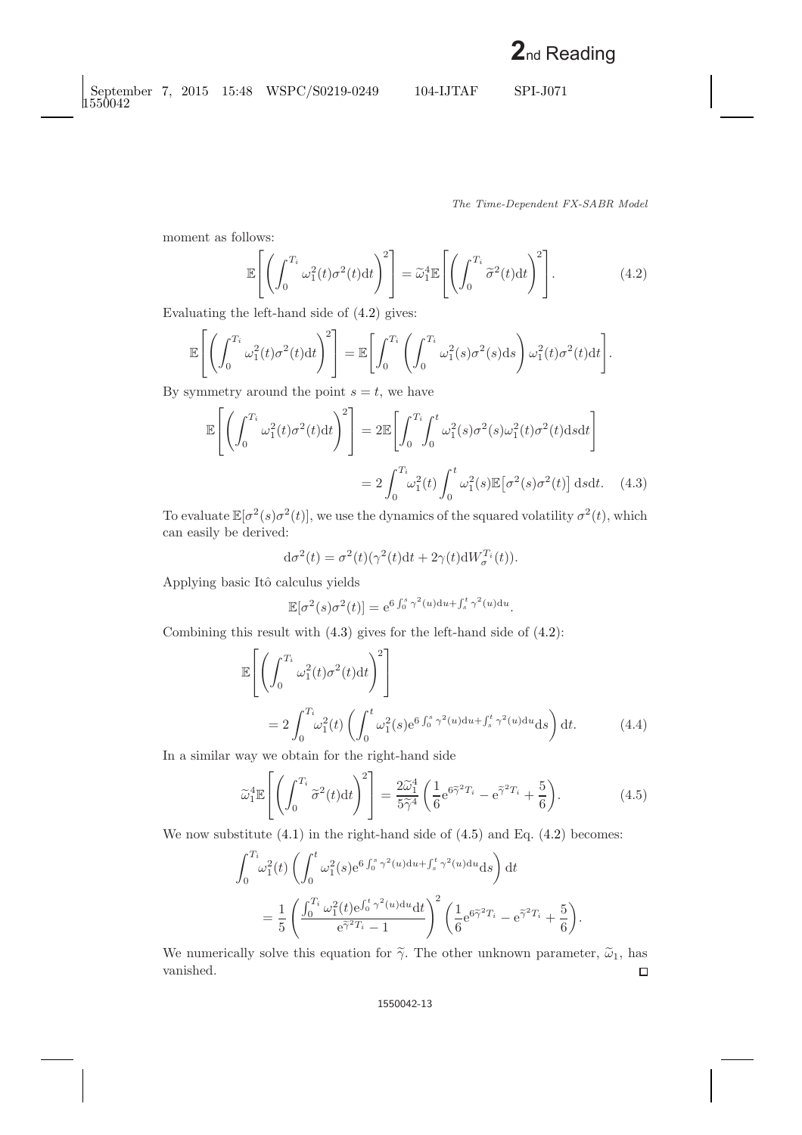<span id="page-12-0"></span>moment as follows:

$$
\mathbb{E}\left[\left(\int_0^{T_i} \omega_1^2(t)\sigma^2(t)dt\right)^2\right] = \widetilde{\omega}_1^4 \mathbb{E}\left[\left(\int_0^{T_i} \widetilde{\sigma}^2(t)dt\right)^2\right].\tag{4.2}
$$

Evaluating the left-hand side of [\(4.2\)](#page-12-0) gives:

$$
\mathbb{E}\left[\left(\int_0^{T_i} \omega_1^2(t)\sigma^2(t)dt\right)^2\right] = \mathbb{E}\left[\int_0^{T_i} \left(\int_0^{T_i} \omega_1^2(s)\sigma^2(s)ds\right)\omega_1^2(t)\sigma^2(t)dt\right].
$$

<span id="page-12-1"></span>By symmetry around the point  $s = t$ , we have

$$
\mathbb{E}\left[\left(\int_0^{T_i} \omega_1^2(t)\sigma^2(t)dt\right)^2\right] = 2\mathbb{E}\left[\int_0^{T_i} \int_0^t \omega_1^2(s)\sigma^2(s)\omega_1^2(t)\sigma^2(t)dsdt\right]
$$

$$
= 2\int_0^{T_i} \omega_1^2(t)\int_0^t \omega_1^2(s)\mathbb{E}\left[\sigma^2(s)\sigma^2(t)\right]dsdt. \quad (4.3)
$$

To evaluate  $\mathbb{E}[\sigma^2(s)\sigma^2(t)]$ , we use the dynamics of the squared volatility  $\sigma^2(t)$ , which can easily be derived:

$$
d\sigma^{2}(t) = \sigma^{2}(t)(\gamma^{2}(t)dt + 2\gamma(t)dW_{\sigma}^{T_{i}}(t)).
$$

Applying basic Itô calculus yields

$$
\mathbb{E}[\sigma^2(s)\sigma^2(t)] = e^{6\int_0^s \gamma^2(u)du + \int_s^t \gamma^2(u)du}.
$$

<span id="page-12-3"></span>Combining this result with [\(4.3\)](#page-12-1) gives for the left-hand side of [\(4.2\)](#page-12-0):

$$
\mathbb{E}\left[\left(\int_0^{T_i} \omega_1^2(t)\sigma^2(t)dt\right)^2\right] \n= 2\int_0^{T_i} \omega_1^2(t)\left(\int_0^t \omega_1^2(s)e^{6\int_0^s \gamma^2(u)du + \int_s^t \gamma^2(u)du}ds\right)dt.
$$
\n(4.4)

<span id="page-12-2"></span>In a similar way we obtain for the right-hand side

$$
\widetilde{\omega}_1^4 \mathbb{E}\left[ \left( \int_0^{T_i} \widetilde{\sigma}^2(t) dt \right)^2 \right] = \frac{2\widetilde{\omega}_1^4}{5\widetilde{\gamma}^4} \left( \frac{1}{6} e^{6\widetilde{\gamma}^2 T_i} - e^{\widetilde{\gamma}^2 T_i} + \frac{5}{6} \right). \tag{4.5}
$$

We now substitute  $(4.1)$  in the right-hand side of  $(4.5)$  and Eq.  $(4.2)$  becomes:

$$
\int_0^{T_i} \omega_1^2(t) \left( \int_0^t \omega_1^2(s) e^{6 \int_0^s \gamma^2(u) du + \int_s^t \gamma^2(u) du} ds \right) dt
$$
  
= 
$$
\frac{1}{5} \left( \frac{\int_0^{T_i} \omega_1^2(t) e^{\int_0^t \gamma^2(u) du} dt}{e^{\tilde{\gamma}^2 T_i} - 1} \right)^2 \left( \frac{1}{6} e^{6\tilde{\gamma}^2 T_i} - e^{\tilde{\gamma}^2 T_i} + \frac{5}{6} \right).
$$

We numerically solve this equation for  $\tilde{\gamma}$ . The other unknown parameter,  $\tilde{\omega}_1$ , has vanished. vanished.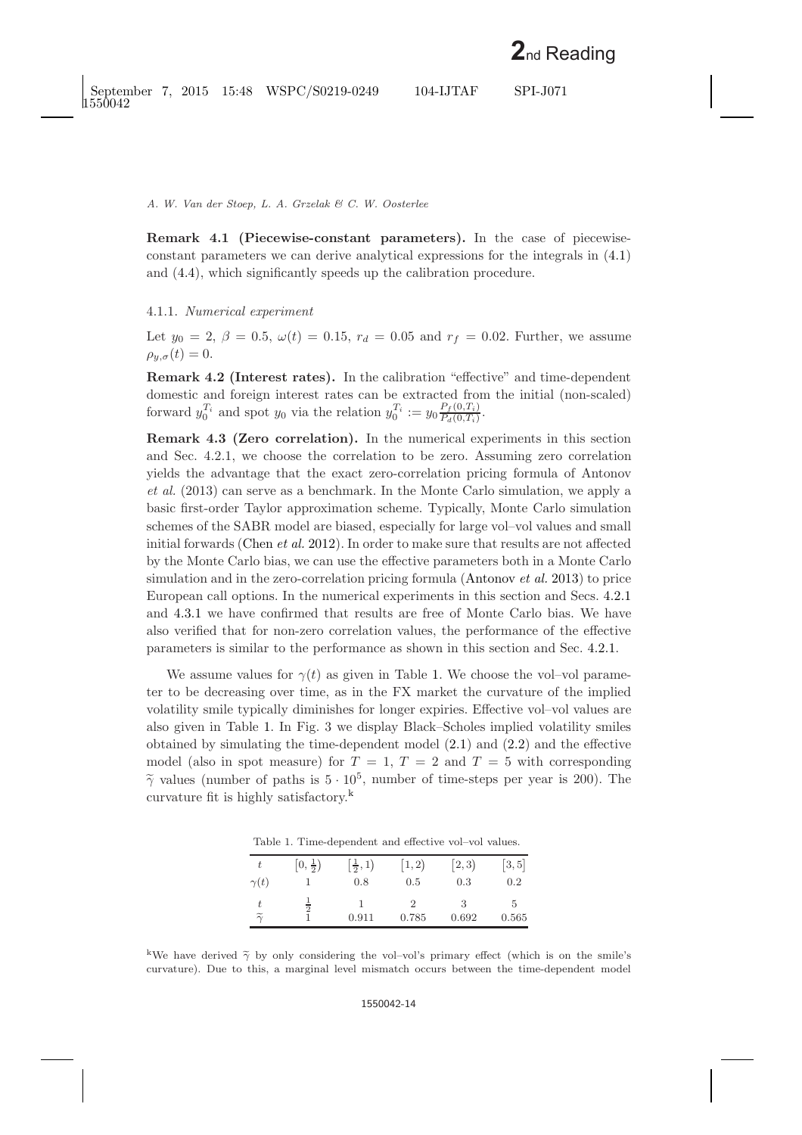**Remark 4.1 (Piecewise-constant parameters).** In the case of piecewiseconstant parameters we can derive analytical expressions for the integrals in [\(4.1\)](#page-11-0) and [\(4.4\)](#page-12-3), which significantly speeds up the calibration procedure.

#### <span id="page-13-2"></span>4.1.1. *Numerical experiment*

Let  $y_0 = 2, \beta = 0.5, \omega(t) = 0.15, r_d = 0.05$  and  $r_f = 0.02$ . Further, we assume  $\rho_{u,\sigma}(t)=0.$ 

**Remark 4.2 (Interest rates).** In the calibration "effective" and time-dependent domestic and foreign interest rates can be extracted from the initial (non-scaled) forward  $y_0^{T_i}$  and spot  $y_0$  via the relation  $y_0^{T_i} := y_0 \frac{P_f(0,T_i)}{P_d(0,T_i)}$ .

**Remark 4.3 (Zero correlation).** In the numerical experiments in this section and Sec. 4.2.1, we choose the correlation to be zero. Assuming zero correlation yields the advantage that the exact zero-correlation pricing formula of Antonov *et al.* (2013) can serve as a benchmark. In the Monte Carlo simulation, we apply a basic first-order Taylor approximation scheme. Typically, Monte Carlo simulation schemes of the SABR model are biased, especially for large vol–vol values and small initial forwards [\(Chen](#page-36-19) *et al.* [2012\)](#page-36-19). In order to make sure that results are not affected by the Monte Carlo bias, we can use the effective parameters both in a Monte Carlo simulation and in the zero-correlation pricing formula [\(Antonov](#page-36-20) *et al.* [2013](#page-36-20)) to price European call options. In the numerical experiments in this section and Secs. [4.2.1](#page-22-0) and [4.3.1](#page-25-2) we have confirmed that results are free of Monte Carlo bias. We have also verified that for non-zero correlation values, the performance of the effective parameters is similar to the performance as shown in this section and Sec. [4.2.1.](#page-22-0)

We assume values for  $\gamma(t)$  as given in Table [1.](#page-13-0) We choose the vol-vol parameter to be decreasing over time, as in the FX market the curvature of the implied volatility smile typically diminishes for longer expiries. Effective vol–vol values are also given in Table [1.](#page-13-0) In Fig. 3 we display Black–Scholes implied volatility smiles obtained by simulating the time-dependent model  $(2.1)$  and  $(2.2)$  and the effective model (also in spot measure) for  $T = 1, T = 2$  and  $T = 5$  with corresponding  $\tilde{\gamma}$  values (number of paths is  $5 \cdot 10^5$ , number of time-steps per year is 200). The curvature fit is highly satisfactory.<sup>[k](#page-13-1)</sup>

Table 1. Time-dependent and effective vol–vol values.

<span id="page-13-0"></span>

| Ť,                             | $\left[0,\frac{1}{2}\right)$ | $\left[\frac{1}{2},1\right)$ | 1,2)          | $\left[2,3\right)$ | $\left[3,5\right]$ |
|--------------------------------|------------------------------|------------------------------|---------------|--------------------|--------------------|
| $\gamma(t)$                    |                              | 0.8                          | 0.5           | 0.3                | 0.2                |
| $\frac{t}{\widetilde{\gamma}}$ | $\overline{2}$               |                              | $\mathcal{D}$ | З                  | 5                  |
|                                |                              | 0.911                        | 0.785         | 0.692              | 0.565              |

<span id="page-13-1"></span><sup>k</sup>We have derived  $\tilde{\gamma}$  by only considering the vol–vol's primary effect (which is on the smile's curvature). Due to this, a marginal level mismatch occurs between the time-dependent model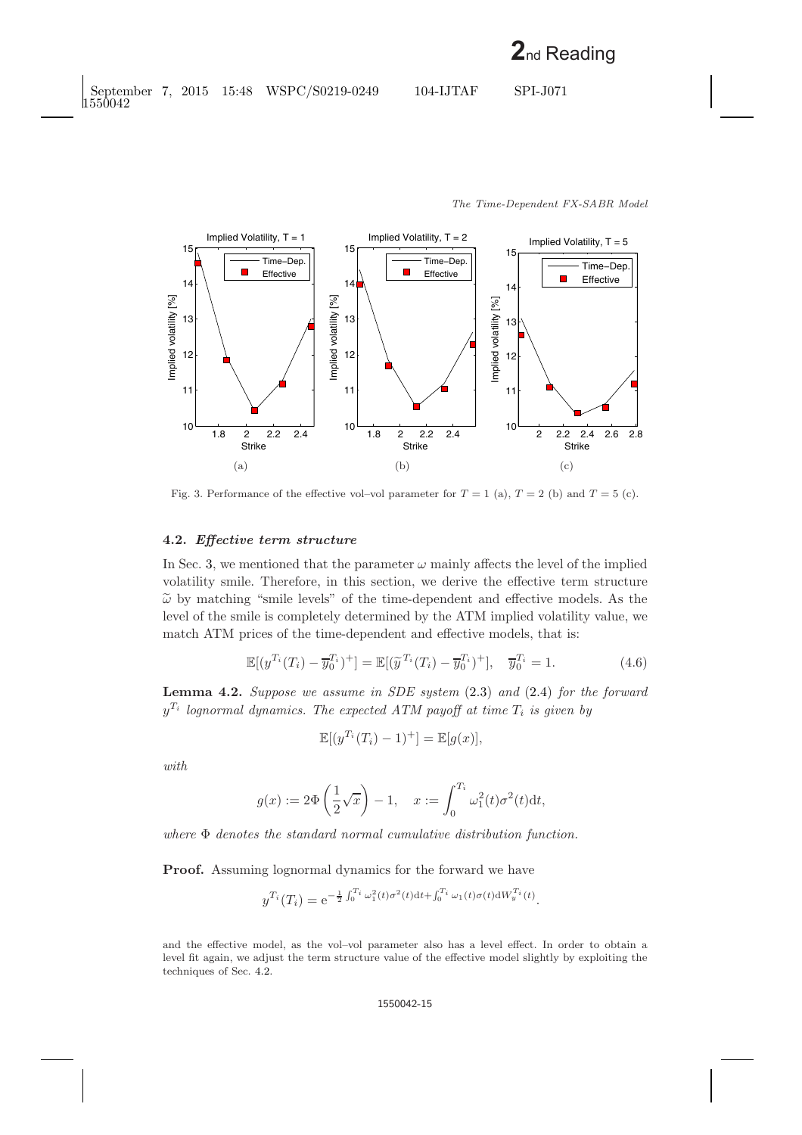

Fig. 3. Performance of the effective vol–vol parameter for  $T = 1$  (a),  $T = 2$  (b) and  $T = 5$  (c).

### <span id="page-14-0"></span>**4.2.** *Effective term structure*

In Sec. [3,](#page-7-4) we mentioned that the parameter  $\omega$  mainly affects the level of the implied volatility smile. Therefore, in this section, we derive the effective term structure  $\tilde{\omega}$  by matching "smile levels" of the time-dependent and effective models. As the level of the smile is completely determined by the ATM implied volatility value, we match ATM prices of the time-dependent and effective models, that is:

$$
\mathbb{E}[(y^{T_i}(T_i) - \overline{y}_0^{T_i})^+] = \mathbb{E}[(\widetilde{y}^{T_i}(T_i) - \overline{y}_0^{T_i})^+], \quad \overline{y}_0^{T_i} = 1.
$$
 (4.6)

<span id="page-14-1"></span>**Lemma 4.2.** *Suppose we assume in SDE system* [\(2.3\)](#page-5-4) *and* [\(2.4\)](#page-5-4) *for the forward*  $y^{T_i}$  *lognormal dynamics. The expected ATM payoff at time*  $T_i$  *is given by* 

$$
\mathbb{E}[(y^{T_i}(T_i)-1)^+] = \mathbb{E}[g(x)],
$$

*with*

$$
g(x):=2\Phi\left(\frac{1}{2}\sqrt{x}\right)-1,\quad x:=\int_0^{T_i}\omega_1^2(t)\sigma^2(t)\mathrm{d}t,
$$

*where* Φ *denotes the standard normal cumulative distribution function.*

**Proof.** Assuming lognormal dynamics for the forward we have

$$
y^{T_i}(T_i) = e^{-\frac{1}{2}\int_0^{T_i} \omega_1^2(t)\sigma^2(t)dt + \int_0^{T_i} \omega_1(t)\sigma(t) dW_y^{T_i}(t)}.
$$

and the effective model, as the vol–vol parameter also has a level effect. In order to obtain a level fit again, we adjust the term structure value of the effective model slightly by exploiting the techniques of Sec. [4.2.](#page-14-0)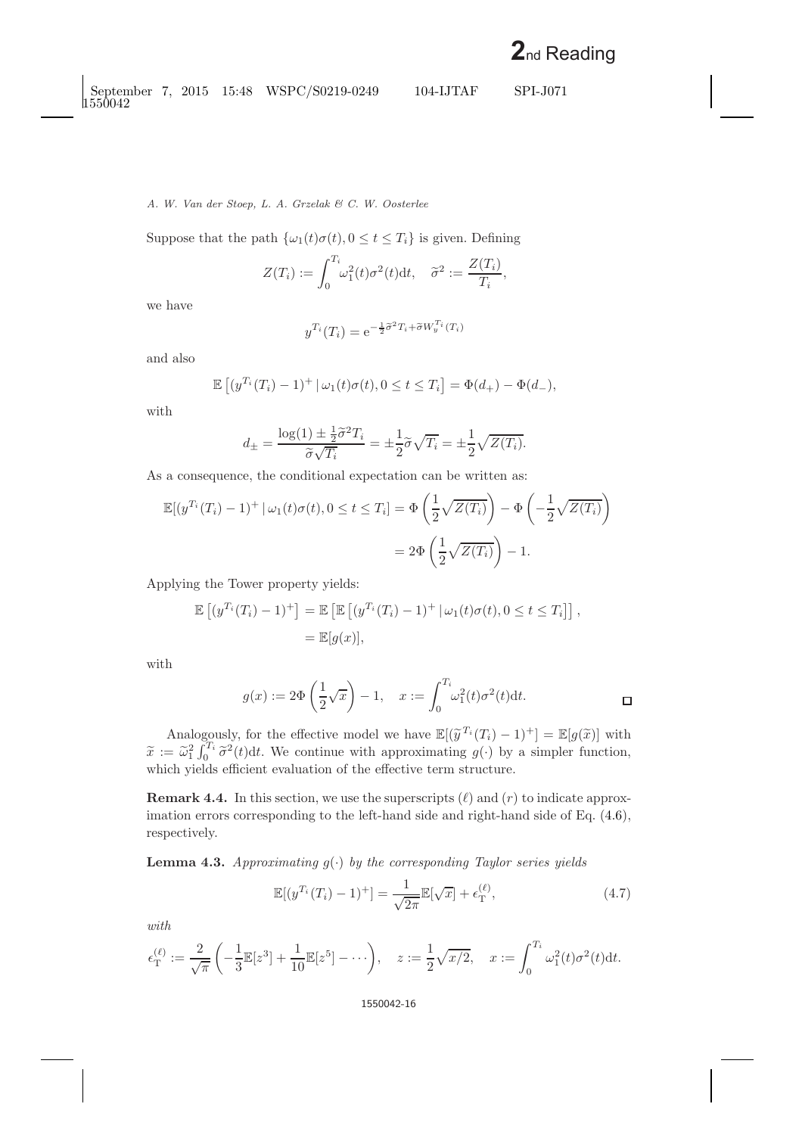A. W. Van der Stoep, L. A. Grzelak & C. W. Oosterlee

Suppose that the path  $\{\omega_1(t)\sigma(t), 0 \le t \le T_i\}$  is given. Defining

$$
Z(T_i) := \int_0^{T_i} \omega_1^2(t)\sigma^2(t)dt, \quad \tilde{\sigma}^2 := \frac{Z(T_i)}{T_i},
$$

we have

$$
y^{T_i}(T_i) = e^{-\frac{1}{2}\tilde{\sigma}^2 T_i + \tilde{\sigma} W_y^{T_i}(T_i)}
$$

and also

$$
\mathbb{E}\left[ (y^{T_i}(T_i)-1)^+ | \omega_1(t)\sigma(t), 0 \le t \le T_i \right] = \Phi(d_+) - \Phi(d_-),
$$

with

$$
d_{\pm} = \frac{\log(1) \pm \frac{1}{2} \widetilde{\sigma}^2 T_i}{\widetilde{\sigma} \sqrt{T_i}} = \pm \frac{1}{2} \widetilde{\sigma} \sqrt{T_i} = \pm \frac{1}{2} \sqrt{Z(T_i)}.
$$

As a consequence, the conditional expectation can be written as:

$$
\mathbb{E}[(y^{T_i}(T_i)-1)^+ | \omega_1(t)\sigma(t), 0 \le t \le T_i] = \Phi\left(\frac{1}{2}\sqrt{Z(T_i)}\right) - \Phi\left(-\frac{1}{2}\sqrt{Z(T_i)}\right)
$$

$$
= 2\Phi\left(\frac{1}{2}\sqrt{Z(T_i)}\right) - 1.
$$

Applying the Tower property yields:

$$
\mathbb{E}\left[(y^{T_i}(T_i)-1)^+\right] = \mathbb{E}\left[\mathbb{E}\left[(y^{T_i}(T_i)-1)^+\,|\,\omega_1(t)\sigma(t), 0\leq t\leq T_i\right]\right],
$$
  
= 
$$
\mathbb{E}[g(x)],
$$

with

$$
g(x) := 2\Phi\left(\frac{1}{2}\sqrt{x}\right) - 1, \quad x := \int_0^{T_i} \omega_1^2(t)\sigma^2(t)dt.
$$

Analogously, for the effective model we have  $\mathbb{E}[(\tilde{y}^{T_i}(T_i)-1)^+] = \mathbb{E}[g(\tilde{x})]$  with  $\sim \tilde{z}^2 \int_{-1}^{T_i} \tilde{z}^2(t)dt$ . We continue with approximating  $g(x)$  by a simpler function  $\widetilde{x} := \widetilde{\omega}_1^2 \int_0^{T_i} \widetilde{\sigma}^2(t) dt$ . We continue with approximating  $g(\cdot)$  by a simpler function, which yields efficient evaluation of the effective term structure.

**Remark 4.4.** In this section, we use the superscripts  $(\ell)$  and  $(r)$  to indicate approximation errors corresponding to the left-hand side and right-hand side of Eq. [\(4.6\)](#page-14-1), respectively.

<span id="page-15-1"></span><span id="page-15-0"></span>**Lemma 4.3.** *Approximating*  $g(\cdot)$  *by the corresponding Taylor series yields* 

$$
\mathbb{E}[(y^{T_i}(T_i)-1)^+] = \frac{1}{\sqrt{2\pi}} \mathbb{E}[\sqrt{x}] + \epsilon_\mathrm{T}^{(\ell)},\tag{4.7}
$$

*with*

$$
\epsilon_{\mathcal{T}}^{(\ell)} := \frac{2}{\sqrt{\pi}} \left( -\frac{1}{3} \mathbb{E}[z^3] + \frac{1}{10} \mathbb{E}[z^5] - \cdots \right), \quad z := \frac{1}{2} \sqrt{x/2}, \quad x := \int_0^{T_i} \omega_1^2(t) \sigma^2(t) dt.
$$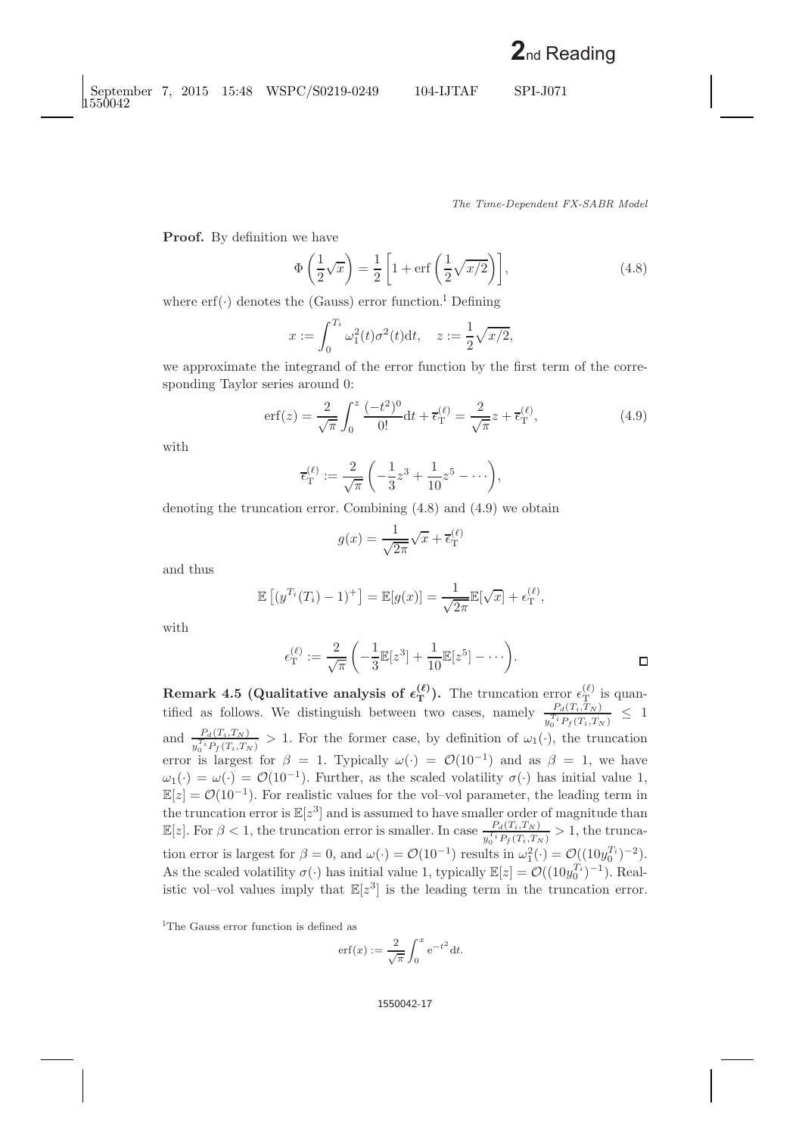The Time-Dependent FX-SABR Model

**Proof.** By definition we have

$$
\Phi\left(\frac{1}{2}\sqrt{x}\right) = \frac{1}{2}\left[1 + \text{erf}\left(\frac{1}{2}\sqrt{x/2}\right)\right],\tag{4.8}
$$

where  $\text{erf}(\cdot)$  denotes the (Gauss) error function.<sup>1</sup> Defining

$$
x := \int_0^{T_i} \omega_1^2(t) \sigma^2(t) dt, \quad z := \frac{1}{2} \sqrt{x/2},
$$

we approximate the integrand of the error function by the first term of the corresponding Taylor series around 0:

$$
\text{erf}(z) = \frac{2}{\sqrt{\pi}} \int_0^z \frac{(-t^2)^0}{0!} \, \text{d}t + \overline{\epsilon}_T^{(\ell)} = \frac{2}{\sqrt{\pi}} z + \overline{\epsilon}_T^{(\ell)},\tag{4.9}
$$

<span id="page-16-2"></span>with

$$
\overline{\epsilon}_{\mathrm{T}}^{(\ell)} := \frac{2}{\sqrt{\pi}} \left( -\frac{1}{3} z^3 + \frac{1}{10} z^5 - \cdots \right),
$$

denoting the truncation error. Combining (4.8) and (4.9) we obtain

$$
g(x) = \frac{1}{\sqrt{2\pi}}\sqrt{x} + \overline{\epsilon}_{\mathrm{T}}^{(\ell)}
$$

and thus

$$
\mathbb{E}\left[(y^{T_i}(T_i)-1)^+\right]=\mathbb{E}[g(x)]=\frac{1}{\sqrt{2\pi}}\mathbb{E}[\sqrt{x}]+\epsilon_T^{(\ell)},
$$

with

$$
\epsilon_{\mathrm{T}}^{(\ell)} := \frac{2}{\sqrt{\pi}} \left( -\frac{1}{3} \mathbb{E}[z^3] + \frac{1}{10} \mathbb{E}[z^5] - \cdots \right).
$$

<span id="page-16-1"></span>**Remark 4.5 (Qualitative analysis of**  $\epsilon_{\text{T}}^{(\ell)}$ **). The truncation error**  $\epsilon_{\text{T}}^{(\ell)}$  **is quan**tified as follows. We distinguish between two cases, namely  $\frac{P_d(T_i, \hat{T}_N)}{y_0^{T_i} P_f(T_i, T_N)} \leq 1$ and  $\frac{P_d(T_i,T_N)}{y_0^{T_i}P_f(T_i,T_N)} > 1$ . For the former case, by definition of  $\omega_1(\cdot)$ , the truncation error is largest for  $\beta = 1$ . Typically  $\omega(\cdot) = \mathcal{O}(10^{-1})$  and as  $\beta = 1$ , we have  $\omega_1(\cdot) = \omega(\cdot) = \mathcal{O}(10^{-1})$ . Further, as the scaled volatility  $\sigma(\cdot)$  has initial value 1,  $\mathbb{E}[z] = \mathcal{O}(10^{-1})$ . For realistic values for the vol-vol parameter, the leading term in the truncation error is  $\mathbb{E}[z^3]$  and is assumed to have smaller order of magnitude than  $\mathbb{E}[z]$ . For  $\beta < 1$ , the truncation error is smaller. In case  $\frac{P_d(T_i,T_N)}{y_0^{T_i}P_f(T_i,T_N)} > 1$ , the truncation error is largest for  $\beta = 0$ , and  $\omega(\cdot) = \mathcal{O}(10^{-1})$  results in  $\omega_1^2(\cdot) = \mathcal{O}((10y_0^{T_i})^{-2})$ . As the scaled volatility  $\sigma(\cdot)$  has initial value 1, typically  $\mathbb{E}[z] = \mathcal{O}((10y_0^{T_i})^{-1})$ . Realistic vol–vol values imply that  $\mathbb{E}[z^3]$  is the leading term in the truncation error.

<span id="page-16-0"></span>l The Gauss error function is defined as

$$
\operatorname{erf}(x) := \frac{2}{\sqrt{\pi}} \int_0^x e^{-t^2} dt.
$$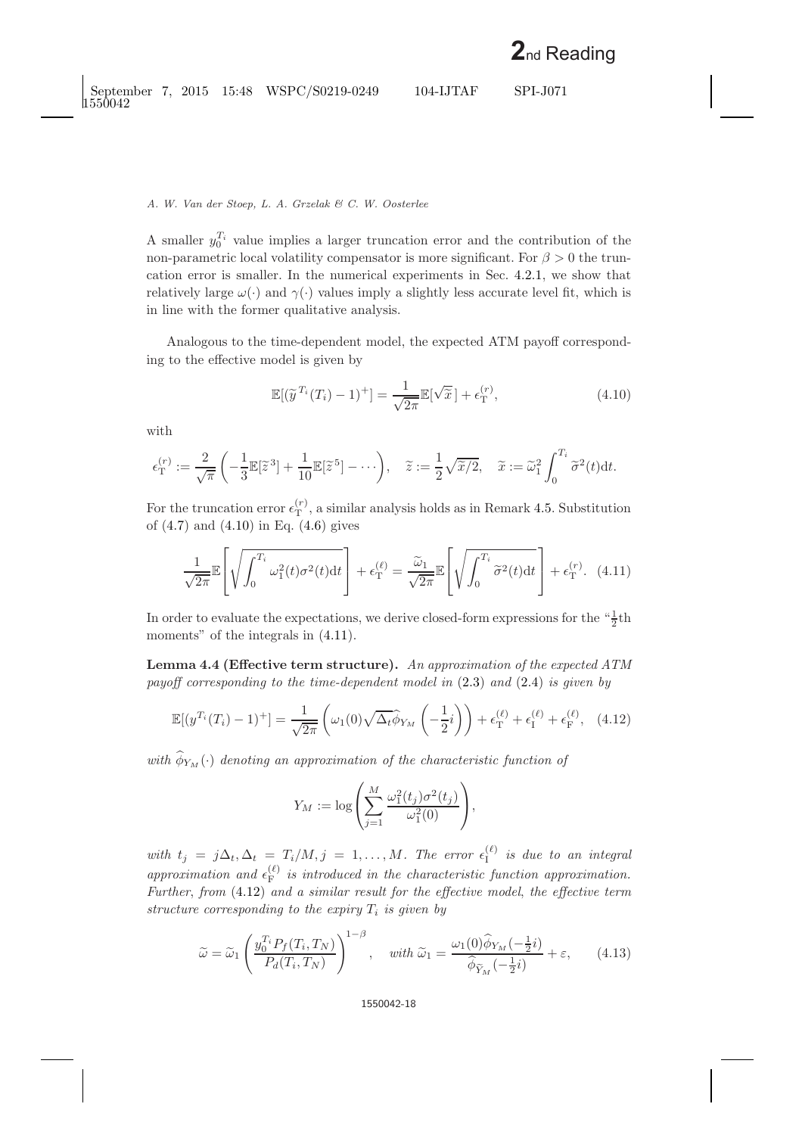## A. W. Van der Stoep, L. A. Grzelak & C. W. Oosterlee

A smaller  $y_0^{T_i}$  value implies a larger truncation error and the contribution of the non-parametric local volatility compensator is more significant. For  $\beta > 0$  the truncation error is smaller. In the numerical experiments in Sec. [4.2.1,](#page-22-0) we show that relatively large  $\omega(\cdot)$  and  $\gamma(\cdot)$  values imply a slightly less accurate level fit, which is in line with the former qualitative analysis.

Analogous to the time-dependent model, the expected ATM payoff corresponding to the effective model is given by

$$
\mathbb{E}[(\widetilde{y}^{T_i}(T_i)-1)^+] = \frac{1}{\sqrt{2\pi}} \mathbb{E}[\sqrt{\widetilde{x}}] + \epsilon_{\mathrm{T}}^{(r)},\tag{4.10}
$$

<span id="page-17-0"></span>with

$$
\epsilon_{\mathcal{T}}^{(r)} := \frac{2}{\sqrt{\pi}} \left( -\frac{1}{3} \mathbb{E}[\tilde{z}^{3}] + \frac{1}{10} \mathbb{E}[\tilde{z}^{5}] - \cdots \right), \quad \tilde{z} := \frac{1}{2} \sqrt{\tilde{x}/2}, \quad \tilde{x} := \tilde{\omega}_{1}^{2} \int_{0}^{T_{i}} \tilde{\sigma}^{2}(t) dt.
$$

For the truncation error  $\epsilon_{\rm T}^{(r)}$ , a similar analysis holds as in Remark [4.5.](#page-16-1) Substitution of  $(4.7)$  and  $(4.10)$  in Eq.  $(4.6)$  gives

$$
\frac{1}{\sqrt{2\pi}}\mathbb{E}\left[\sqrt{\int_0^{T_i} \omega_1^2(t)\sigma^2(t)dt}\right] + \epsilon_\mathrm{T}^{(\ell)} = \frac{\widetilde{\omega}_1}{\sqrt{2\pi}}\mathbb{E}\left[\sqrt{\int_0^{T_i} \widetilde{\sigma}^2(t)dt}\right] + \epsilon_\mathrm{T}^{(r)}.\tag{4.11}
$$

<span id="page-17-1"></span>In order to evaluate the expectations, we derive closed-form expressions for the  $\frac{1}{2}$ th moments" of the integrals in  $(4.11)$ .

**Lemma 4.4 (Effective term structure).** *An approximation of the expected ATM payoff corresponding to the time-dependent model in* [\(2.3\)](#page-5-1) *and* [\(2.4\)](#page-5-1) *is given by*

$$
\mathbb{E}[(y^{T_i}(T_i)-1)^+] = \frac{1}{\sqrt{2\pi}}\left(\omega_1(0)\sqrt{\Delta_t}\widehat{\phi}_{Y_M}\left(-\frac{1}{2}i\right)\right) + \epsilon_\mathrm{T}^{(\ell)} + \epsilon_\mathrm{I}^{(\ell)} + \epsilon_\mathrm{F}^{(\ell)},\quad(4.12)
$$

<span id="page-17-2"></span>*with*  $\widehat{\phi}_{Y_M}(\cdot)$  *denoting an approximation of the characteristic function of* 

$$
Y_M := \log \left( \sum_{j=1}^M \frac{\omega_1^2(t_j) \sigma^2(t_j)}{\omega_1^2(0)} \right),
$$

*with*  $t_j = j\Delta_t, \Delta_t = T_i/M, j = 1, ..., M$ . The error  $\epsilon_1^{(\ell)}$  is due to an integral approximation and  $\epsilon_{\rm F}^{(\ell)}$  is introduced in the characteristic function approximation. *Further*, *from* [\(4.12\)](#page-17-2) *and a similar result for the effective model*, *the effective term structure corresponding to the expiry*  $T_i$  *is given by* 

<span id="page-17-4"></span><span id="page-17-3"></span>
$$
\widetilde{\omega} = \widetilde{\omega}_1 \left( \frac{y_0^{T_i} P_f(T_i, T_N)}{P_d(T_i, T_N)} \right)^{1-\beta}, \quad \text{with } \widetilde{\omega}_1 = \frac{\omega_1(0)\widehat{\phi}_{Y_M}(-\frac{1}{2}i)}{\widehat{\phi}_{\widetilde{Y}_M}(-\frac{1}{2}i)} + \varepsilon,
$$
\n(4.13)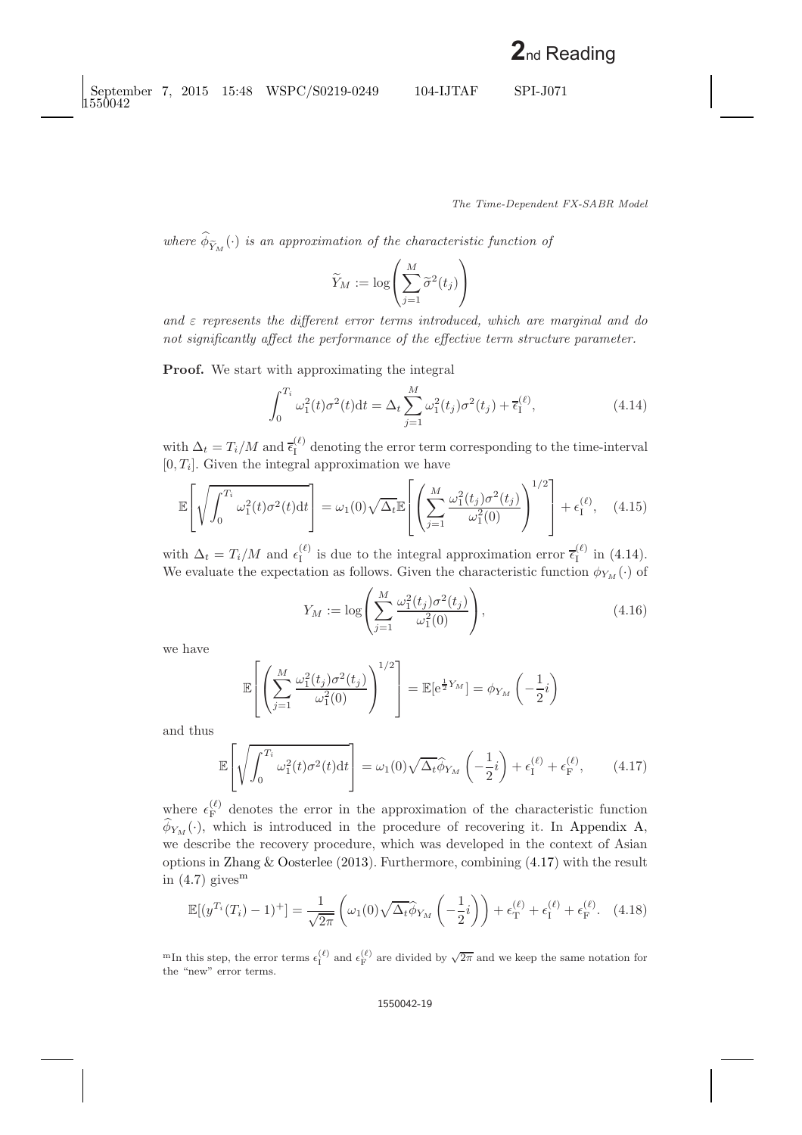*where*  $\phi_{\widetilde{Y}_M}(\cdot)$  *is an approximation of the characteristic function of* 

$$
\widetilde{Y}_M := \log \left( \sum_{j=1}^M \widetilde{\sigma}^2(t_j) \right)
$$

*and* ε *represents the different error terms introduced, which are marginal and do not significantly affect the performance of the effective term structure parameter.*

<span id="page-18-4"></span><span id="page-18-0"></span>**Proof.** We start with approximating the integral

$$
\int_0^{T_i} \omega_1^2(t)\sigma^2(t)dt = \Delta_t \sum_{j=1}^M \omega_1^2(t_j)\sigma^2(t_j) + \overline{\epsilon}_1^{(\ell)},
$$
\n(4.14)

with  $\Delta_t = T_i/M$  and  $\bar{\epsilon}_1^{(\ell)}$  denoting the error term corresponding to the time-interval  $[0, T_i]$ . Given the integral approximation we have

$$
\mathbb{E}\left[\sqrt{\int_0^{T_i} \omega_1^2(t)\sigma^2(t)dt}\right] = \omega_1(0)\sqrt{\Delta_t}\mathbb{E}\left[\left(\sum_{j=1}^M \frac{\omega_1^2(t_j)\sigma^2(t_j)}{\omega_1^2(0)}\right)^{1/2}\right] + \epsilon_1^{(\ell)},\quad(4.15)
$$

<span id="page-18-5"></span>with  $\Delta_t = T_i/M$  and  $\epsilon_1^{(\ell)}$  is due to the integral approximation error  $\bar{\epsilon}_1^{(\ell)}$  in [\(4.14\)](#page-18-0). We evaluate the expectation as follows. Given the characteristic function  $\phi_{Y_M}(\cdot)$  of

$$
Y_M := \log \left( \sum_{j=1}^M \frac{\omega_1^2(t_j) \sigma^2(t_j)}{\omega_1^2(0)} \right),
$$
\n(4.16)

<span id="page-18-6"></span>we have

$$
\mathbb{E}\left[\left(\sum_{j=1}^{M}\frac{\omega_1^2(t_j)\sigma^2(t_j)}{\omega_1^2(0)}\right)^{1/2}\right] = \mathbb{E}[\mathrm{e}^{\frac{1}{2}Y_M}] = \phi_{Y_M}\left(-\frac{1}{2}i\right)
$$

<span id="page-18-1"></span>and thus

$$
\mathbb{E}\left[\sqrt{\int_0^{T_i} \omega_1^2(t)\sigma^2(t)dt}\right] = \omega_1(0)\sqrt{\Delta_t}\widehat{\phi}_{Y_M}\left(-\frac{1}{2}i\right) + \epsilon_1^{(\ell)} + \epsilon_F^{(\ell)},\tag{4.17}
$$

where  $\epsilon_{\rm F}^{(\ell)}$  denotes the error in the approximation of the characteristic function  $\widehat{\phi}_{Y_M}(\cdot)$ , which is introduced in the procedure of recovering it. In [Appendix A,](#page-32-1) we describe the recovery procedure, which was developed in the context of Asian options in [Zhang & Oosterlee](#page-37-20) [\(2013\)](#page-37-20). Furthermore, combining [\(4.17\)](#page-18-1) with the result in  $(4.7)$  gives<sup>[m](#page-18-2)</sup>

$$
\mathbb{E}[(y^{T_i}(T_i)-1)^+] = \frac{1}{\sqrt{2\pi}}\left(\omega_1(0)\sqrt{\Delta_t}\widehat{\phi}_{Y_M}\left(-\frac{1}{2}i\right)\right) + \epsilon_\text{T}^{(\ell)} + \epsilon_\text{I}^{(\ell)} + \epsilon_\text{F}^{(\ell)}.\tag{4.18}
$$

<span id="page-18-3"></span><span id="page-18-2"></span><sup>m</sup>In this step, the error terms  $\epsilon_I^{(\ell)}$  and  $\epsilon_F^{(\ell)}$  are divided by  $\sqrt{2\pi}$  and we keep the same notation for the "new" error terms.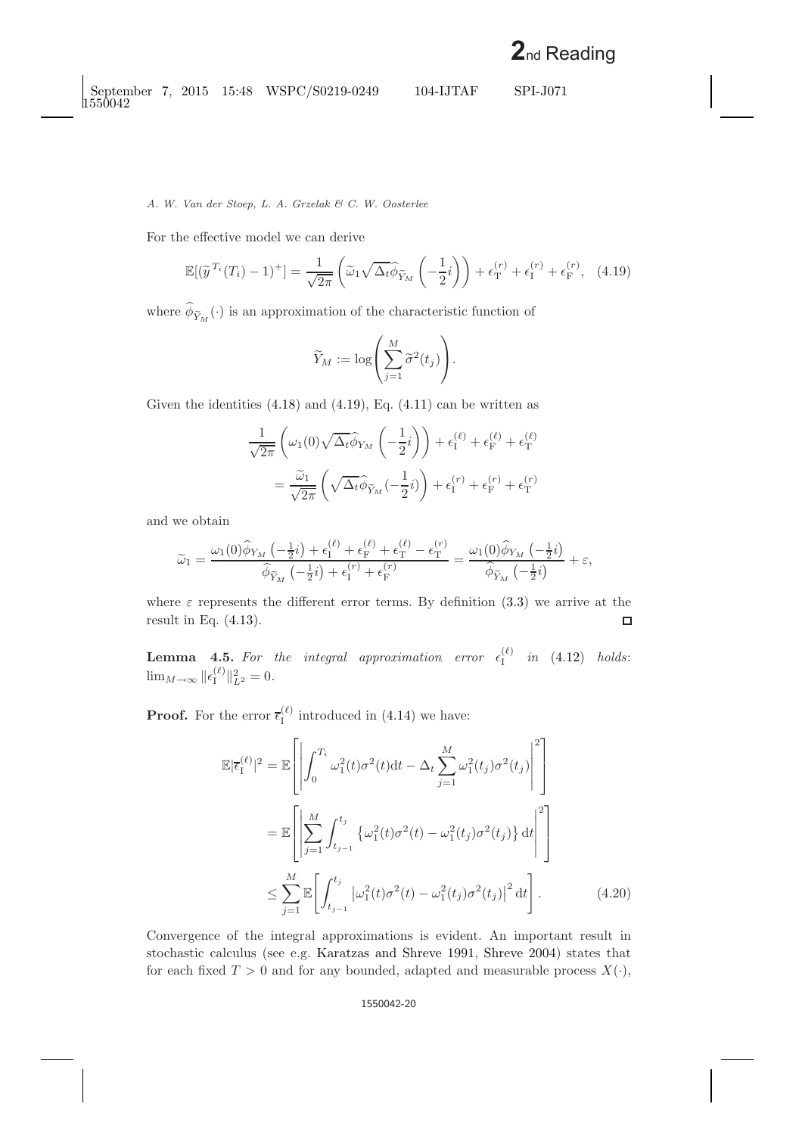A. W. Van der Stoep, L. A. Grzelak & C. W. Oosterlee

<span id="page-19-0"></span>For the effective model we can derive

$$
\mathbb{E}[(\widetilde{y}^{T_i}(T_i) - 1)^+] = \frac{1}{\sqrt{2\pi}} \left(\widetilde{\omega}_1 \sqrt{\Delta_t} \widehat{\phi}_{\widetilde{Y}_M} \left(-\frac{1}{2}i\right)\right) + \epsilon_{\mathrm{T}}^{(r)} + \epsilon_{\mathrm{I}}^{(r)} + \epsilon_{\mathrm{F}}^{(r)}, \quad (4.19)
$$

where  $\phi_{\widetilde{Y}_M}(\cdot)$  is an approximation of the characteristic function of

$$
\widetilde{Y}_M := \log \left( \sum_{j=1}^M \widetilde{\sigma}^2(t_j) \right).
$$

Given the identities  $(4.18)$  and  $(4.19)$ , Eq.  $(4.11)$  can be written as

$$
\frac{1}{\sqrt{2\pi}}\left(\omega_1(0)\sqrt{\Delta_t}\widehat{\phi}_{Y_M}\left(-\frac{1}{2}i\right)\right)+\epsilon_1^{(\ell)}+\epsilon_F^{(\ell)}+\epsilon_T^{(\ell)}
$$

$$
=\frac{\widetilde{\omega}_1}{\sqrt{2\pi}}\left(\sqrt{\Delta_t}\widehat{\phi}_{\widetilde{Y}_M}(-\frac{1}{2}i)\right)+\epsilon_1^{(r)}+\epsilon_F^{(r)}+\epsilon_T^{(r)}
$$

and we obtain

$$
\widetilde{\omega}_1 = \frac{\omega_1(0)\widehat{\phi}_{Y_M}(-\frac{1}{2}i) + \epsilon_1^{(\ell)} + \epsilon_F^{(\ell)} + \epsilon_T^{(\ell)} - \epsilon_T^{(r)}}{\widehat{\phi}_{\widetilde{Y}_M}(-\frac{1}{2}i) + \epsilon_1^{(r)} + \epsilon_F^{(r)}} = \frac{\omega_1(0)\widehat{\phi}_{Y_M}(-\frac{1}{2}i)}{\widehat{\phi}_{\widetilde{Y}_M}(-\frac{1}{2}i)} + \varepsilon,
$$

where  $\varepsilon$  represents the different error terms. By definition [\(3.3\)](#page-7-5) we arrive at the result in Eq. [\(4.13\)](#page-17-3).  $\Box$ 

**Lemma 4.5.** For the integral approximation error  $\epsilon_1^{(\ell)}$  in [\(4.12\)](#page-17-2) holds:  $\lim_{M \to \infty} ||\epsilon_1^{(\ell)}||_{L^2}^2 = 0.$ 

<span id="page-19-1"></span>**Proof.** For the error  $\bar{\epsilon}_I^{(\ell)}$  introduced in [\(4.14\)](#page-18-4) we have:

$$
\mathbb{E}|\bar{\epsilon}_{1}^{(\ell)}|^{2} = \mathbb{E}\left[\left|\int_{0}^{T_{i}} \omega_{1}^{2}(t)\sigma^{2}(t)dt - \Delta_{t}\sum_{j=1}^{M} \omega_{1}^{2}(t_{j})\sigma^{2}(t_{j})\right|^{2}\right]
$$
  
\n
$$
= \mathbb{E}\left[\left|\sum_{j=1}^{M}\int_{t_{j-1}}^{t_{j}}\left\{\omega_{1}^{2}(t)\sigma^{2}(t) - \omega_{1}^{2}(t_{j})\sigma^{2}(t_{j})\right\}dt\right|^{2}\right]
$$
  
\n
$$
\leq \sum_{j=1}^{M} \mathbb{E}\left[\int_{t_{j-1}}^{t_{j}}\left|\omega_{1}^{2}(t)\sigma^{2}(t) - \omega_{1}^{2}(t_{j})\sigma^{2}(t_{j})\right|^{2}dt\right].
$$
 (4.20)

Convergence of the integral approximations is evident. An important result in stochastic calculus (see e.g. [Karatzas and Shreve 1991](#page-37-21), [Shreve 2004](#page-37-22)) states that for each fixed  $T > 0$  and for any bounded, adapted and measurable process  $X(\cdot)$ ,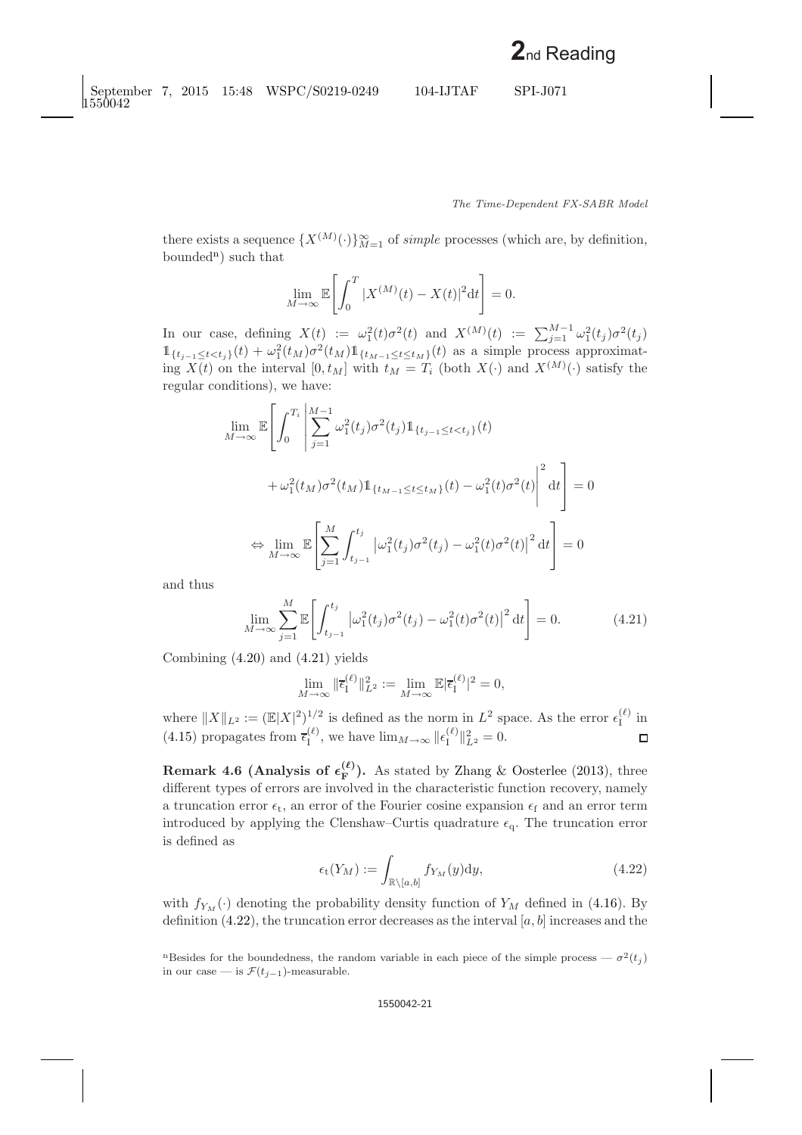there exists a sequence  $\{X^{(M)}(\cdot)\}_{M=1}^{\infty}$  of *simple* processes (which are, by definition, bou[n](#page-20-0)ded<sup>n</sup>) such that

$$
\lim_{M \to \infty} \mathbb{E}\left[\int_0^T |X^{(M)}(t) - X(t)|^2 \mathrm{d}t\right] = 0.
$$

In our case, defining  $X(t) := \omega_1^2(t)\sigma^2(t)$  and  $X^{(M)}(t) := \sum_{j=1}^{M-1} \omega_1^2(t_j)\sigma^2(t_j)$  $\mathbb{1}_{\{t_{j-1}\leq t < t_j\}}(t) + \omega_1^2(t_M)\sigma^2(t_M)\mathbb{1}_{\{t_{M-1}\leq t \leq t_M\}}(t)$  as a simple process approximating  $X(t)$  on the interval  $[0, t_M]$  with  $t_M = T_i$  (both  $X(\cdot)$  and  $X^{(M)}(\cdot)$  satisfy the regular conditions), we have:

$$
\lim_{M \to \infty} \mathbb{E} \left[ \int_0^{T_i} \left| \sum_{j=1}^{M-1} \omega_1^2(t_j) \sigma^2(t_j) \mathbb{1}_{\{t_{j-1} \le t < t_j\}}(t) \right| \right. \\
\left. + \omega_1^2(t_M) \sigma^2(t_M) \mathbb{1}_{\{t_{M-1} \le t \le t_M\}}(t) - \omega_1^2(t) \sigma^2(t) \right|^2 dt \right] = 0
$$
\n
$$
\Leftrightarrow \lim_{M \to \infty} \mathbb{E} \left[ \sum_{j=1}^M \int_{t_{j-1}}^{t_j} \left| \omega_1^2(t_j) \sigma^2(t_j) - \omega_1^2(t) \sigma^2(t) \right|^2 dt \right] = 0
$$

<span id="page-20-1"></span>and thus

$$
\lim_{M \to \infty} \sum_{j=1}^{M} \mathbb{E} \left[ \int_{t_{j-1}}^{t_j} \left| \omega_1^2(t_j) \sigma^2(t_j) - \omega_1^2(t) \sigma^2(t) \right|^2 dt \right] = 0.
$$
 (4.21)

Combining  $(4.20)$  and  $(4.21)$  yields

$$
\lim_{M \to \infty} \|\overline{\epsilon}_{\mathrm{I}}^{(\ell)}\|_{L^2}^2 := \lim_{M \to \infty} \mathbb{E}|\overline{\epsilon}_{\mathrm{I}}^{(\ell)}|^2 = 0,
$$

where  $||X||_{L^2} := (\mathbb{E}|X|^2)^{1/2}$  is defined as the norm in  $L^2$  space. As the error  $\epsilon_{\mathrm{I}}^{(\ell)}$  in [\(4.15\)](#page-18-5) propagates from  $\bar{\epsilon}_{\rm I}^{(\ell)}$ , we have  $\lim_{M\to\infty} \|\epsilon_{\rm I}^{(\ell)}\|_{L^2}^2 = 0$ .  $\Box$ 

**Remark 4.6 (Analysis of**  $\epsilon_{\mathbf{F}}^{(\ell)}$ **).** As stated by [Zhang & Oosterlee](#page-37-20) [\(2013\)](#page-37-20), three different types of errors are involved in the characteristic function recovery, namely a truncation error  $\epsilon_t$ , an error of the Fourier cosine expansion  $\epsilon_f$  and an error term introduced by applying the Clenshaw–Curtis quadrature  $\epsilon_{q}$ . The truncation error is defined as

$$
\epsilon_{\mathfrak{t}}(Y_M) := \int_{\mathbb{R}\setminus [a,b]} f_{Y_M}(y) \mathrm{d}y,\tag{4.22}
$$

<span id="page-20-2"></span>with  $f_{Y_M}(\cdot)$  denoting the probability density function of  $Y_M$  defined in [\(4.16\)](#page-18-6). By definition  $(4.22)$ , the truncation error decreases as the interval  $[a, b]$  increases and the

<span id="page-20-0"></span><sup>&</sup>lt;sup>n</sup>Besides for the boundedness, the random variable in each piece of the simple process —  $\sigma^2(t_j)$ in our case — is  $\mathcal{F}(t_{i-1})$ -measurable.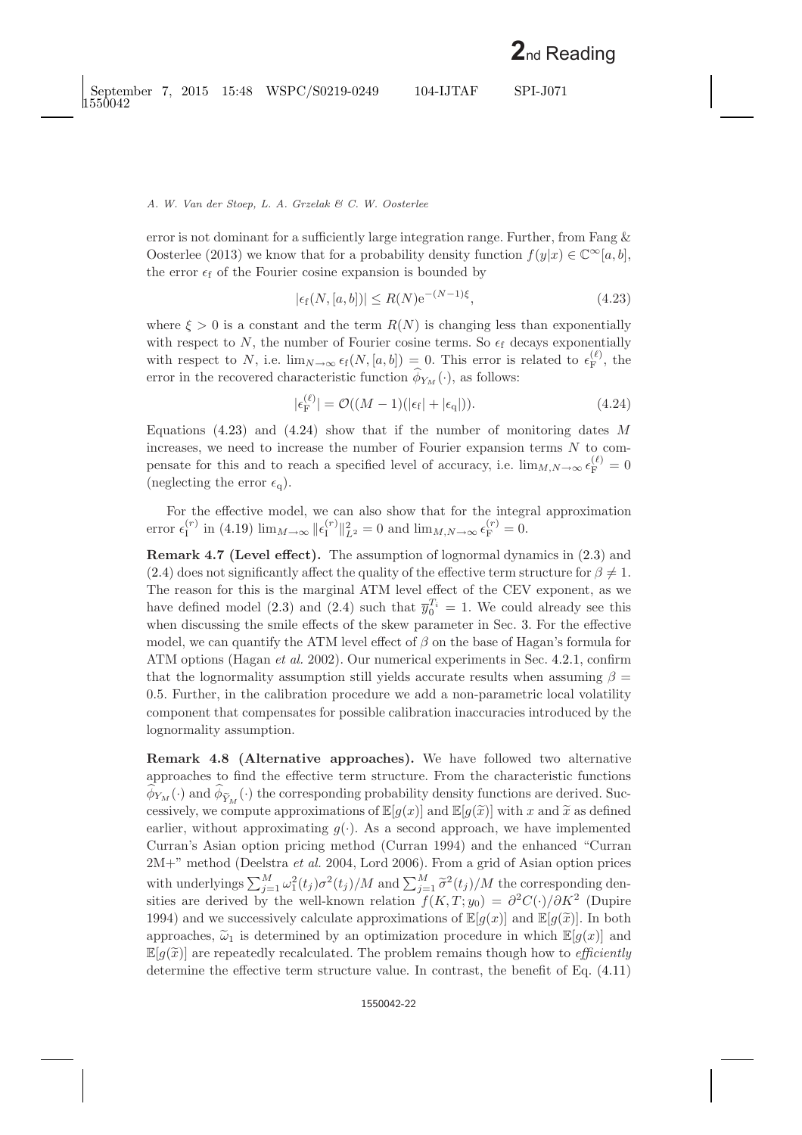error is not dominant for a sufficiently large integration range. Further, from Fang  $\&$ Oosterlee (2013) we know that for a probability density function  $f(y|x) \in \mathbb{C}^{\infty}[a, b]$ , the error  $\epsilon_f$  of the Fourier cosine expansion is bounded by

$$
|\epsilon_{\mathbf{f}}(N,[a,b])| \le R(N)\mathrm{e}^{-(N-1)\xi},\tag{4.23}
$$

<span id="page-21-0"></span>where  $\xi > 0$  is a constant and the term  $R(N)$  is changing less than exponentially with respect to N, the number of Fourier cosine terms. So  $\epsilon_f$  decays exponentially with respect to N, i.e.  $\lim_{N\to\infty} \epsilon_f(N,[a,b]) = 0$ . This error is related to  $\epsilon_{\rm F}^{(\ell)}$ , the error in the recovered characteristic function  $\widehat{\phi}_{Y_M}(\cdot)$ , as follows:

$$
|\epsilon_{\mathcal{F}}^{(\ell)}| = \mathcal{O}((M-1)(|\epsilon_{\mathcal{f}}| + |\epsilon_{\mathcal{q}}|)). \tag{4.24}
$$

<span id="page-21-1"></span>Equations  $(4.23)$  and  $(4.24)$  show that if the number of monitoring dates M increases, we need to increase the number of Fourier expansion terms  $N$  to compensate for this and to reach a specified level of accuracy, i.e.  $\lim_{M,N\to\infty} \epsilon_{\rm F}^{(\ell)} = 0$ (neglecting the error  $\epsilon_{q}$ ).

For the effective model, we can also show that for the integral approximation error  $\epsilon_{\rm I}^{(r)}$  in [\(4.19\)](#page-19-0)  $\lim_{M\to\infty} ||\epsilon_{\rm I}^{(r)}||_{L^2}^2 = 0$  and  $\lim_{M,N\to\infty} \epsilon_{\rm F}^{(r)} = 0$ .

**Remark 4.7 (Level effect).** The assumption of lognormal dynamics in [\(2.3\)](#page-5-1) and [\(2.4\)](#page-5-1) does not significantly affect the quality of the effective term structure for  $\beta \neq 1$ . The reason for this is the marginal ATM level effect of the CEV exponent, as we have defined model [\(2.3\)](#page-5-1) and [\(2.4\)](#page-5-1) such that  $\overline{y}_0^{T_i} = 1$ . We could already see this when discussing the smile effects of the skew parameter in Sec. [3.](#page-7-0) For the effective model, we can quantify the ATM level effect of  $\beta$  on the base of Hagan's formula for ATM options (Hagan *et al.* 2002). Our numerical experiments in Sec. [4.2.1,](#page-22-0) confirm that the lognormality assumption still yields accurate results when assuming  $\beta =$ 0.5. Further, in the calibration procedure we add a non-parametric local volatility component that compensates for possible calibration inaccuracies introduced by the lognormality assumption.

**Remark 4.8 (Alternative approaches).** We have followed two alternative approaches to find the effective term structure. From the characteristic functions  $\phi_{Y_M}(\cdot)$  and  $\phi_{\widetilde{Y}_M}(\cdot)$  the corresponding probability density functions are derived. Successively, we compute approximations of  $\mathbb{E}[g(x)]$  and  $\mathbb{E}[g(\tilde{x})]$  with x and  $\tilde{x}$  as defined<br>conline without approximating  $g(x)$ . As a second approach we have implemented earlier, without approximating  $g(\cdot)$ . As a second approach, we have implemented Curran's Asian option pricing method (Curran 1994) and the enhanced "Curran 2M+" method (Deelstra *et al.* 2004, Lord 2006). From a grid of Asian option prices with underlyings  $\sum_{j=1}^{M} \omega_1^2(t_j) \sigma^2(t_j) / M$  and  $\sum_{j=1}^{M} \tilde{\sigma}^2(t_j) / M$  the corresponding den-<br>siting are derived by the well known relation  $f(K, T, \omega) = \partial^2 C(\omega) \partial K^2$  (Duning sities are derived by the well-known relation  $f(K,T; y_0) = \frac{\partial^2 C(\cdot)}{\partial K^2}$  (Dupire 1994) and we successively calculate approximations of  $\mathbb{E}[q(x)]$  and  $\mathbb{E}[q(\tilde{x})]$ . In both approaches,  $\tilde{\omega}_1$  is determined by an optimization procedure in which  $\mathbb{E}[g(x)]$  and  $\mathbb{E}[g(\tilde{x})]$  are repeatedly recalculated. The problem remains though how to *efficiently* determine the effective term structure value. In contrast, the benefit of Eq. [\(4.11\)](#page-17-1)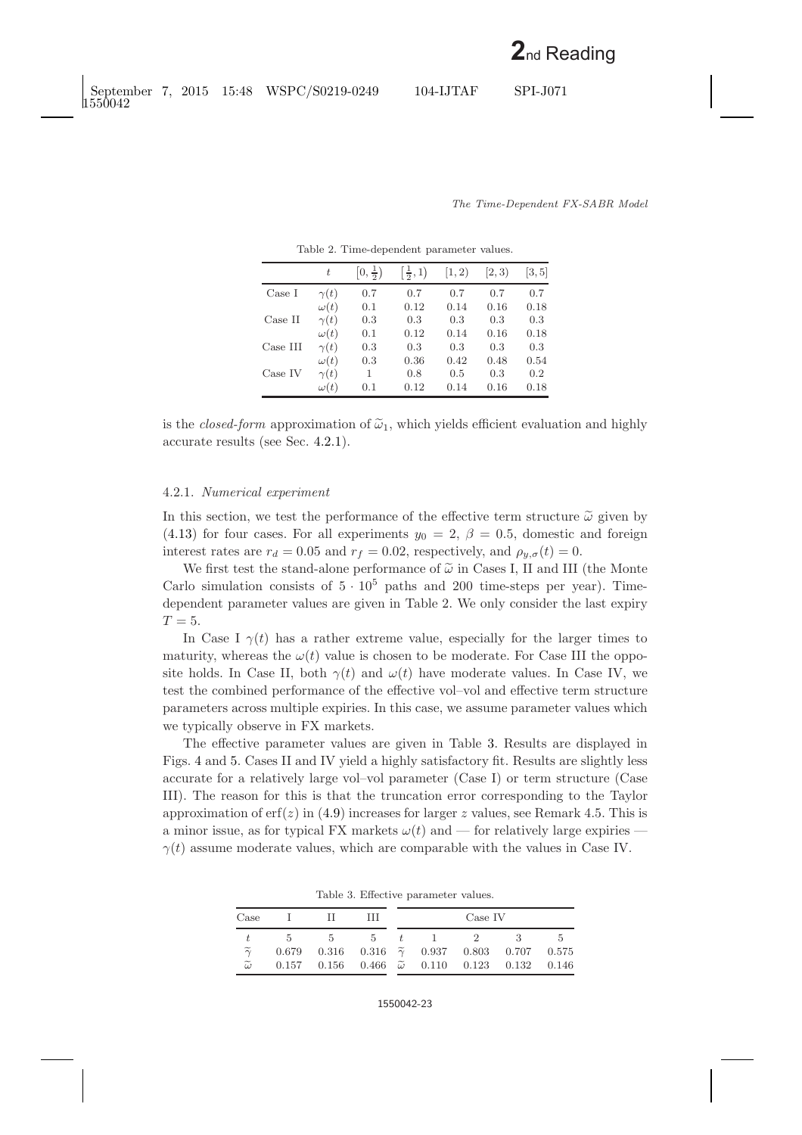|          | t.          | $\left[0,\frac{1}{2}\right)$ | $\left(\frac{1}{2},1\right)$ | [1, 2) | [2, 3) | [3, 5] |
|----------|-------------|------------------------------|------------------------------|--------|--------|--------|
| Case I   | $\gamma(t)$ | 0.7                          | 0.7                          | 0.7    | 0.7    | 0.7    |
|          | $\omega(t)$ | 0.1                          | 0.12                         | 0.14   | 0.16   | 0.18   |
| Case II  | $\gamma(t)$ | 0.3                          | 0.3                          | 0.3    | 0.3    | 0.3    |
|          | $\omega(t)$ | 0.1                          | 0.12                         | 0.14   | 0.16   | 0.18   |
| Case III | $\gamma(t)$ | 0.3                          | 0.3                          | 0.3    | 0.3    | 0.3    |
|          | $\omega(t)$ | 0.3                          | 0.36                         | 0.42   | 0.48   | 0.54   |
| Case IV  | $\gamma(t)$ | 1                            | 0.8                          | 0.5    | 0.3    | 0.2    |
|          | $\omega(t)$ | 0.1                          | 0.12                         | 0.14   | 0.16   | 0.18   |

Table 2. Time-dependent parameter values.

is the *closed-form* approximation of  $\tilde{\omega}_1$ , which yields efficient evaluation and highly accurate results (see Sec. [4.2.1\)](#page-22-1).

# <span id="page-22-1"></span><span id="page-22-0"></span>4.2.1. *Numerical experiment*

In this section, we test the performance of the effective term structure  $\tilde{\omega}$  given by [\(4.13\)](#page-17-4) for four cases. For all experiments  $y_0 = 2$ ,  $\beta = 0.5$ , domestic and foreign interest rates are  $r_d = 0.05$  and  $r_f = 0.02$ , respectively, and  $\rho_{u,\sigma}(t) = 0$ .

We first test the stand-alone performance of  $\tilde{\omega}$  in Cases I, II and III (the Monte Carlo simulation consists of  $5 \cdot 10^5$  paths and 200 time-steps per year). Timedependent parameter values are given in Table 2. We only consider the last expiry  $T = 5$ .

In Case I  $\gamma(t)$  has a rather extreme value, especially for the larger times to maturity, whereas the  $\omega(t)$  value is chosen to be moderate. For Case III the opposite holds. In Case II, both  $\gamma(t)$  and  $\omega(t)$  have moderate values. In Case IV, we test the combined performance of the effective vol–vol and effective term structure parameters across multiple expiries. In this case, we assume parameter values which we typically observe in FX markets.

The effective parameter values are given in Table [3.](#page-22-2) Results are displayed in Figs. [4](#page-23-1) and [5.](#page-23-2) Cases II and IV yield a highly satisfactory fit. Results are slightly less accurate for a relatively large vol–vol parameter (Case I) or term structure (Case III). The reason for this is that the truncation error corresponding to the Taylor approximation of  $\text{erf}(z)$  in [\(4.9\)](#page-16-2) increases for larger z values, see Remark 4.5. This is a minor issue, as for typical FX markets  $\omega(t)$  and — for relatively large expiries —  $\gamma(t)$  assume moderate values, which are comparable with the values in Case IV.

Table 3. Effective parameter values.

<span id="page-22-2"></span>

| Case                                   |    |               | Case IV |  |  |                                                                                                                                                      |  |
|----------------------------------------|----|---------------|---------|--|--|------------------------------------------------------------------------------------------------------------------------------------------------------|--|
| $\tilde{\sim}$<br>$\widetilde{\omega}$ | Ð. | $\mathcal{D}$ |         |  |  | $0.679$ $0.316$ $0.316$ $\tilde{\gamma}$ $0.937$ $0.803$ $0.707$ $0.575$<br>$0.157$ $0.156$ $0.466$ $\tilde{\omega}$ $0.110$ $0.123$ $0.132$ $0.146$ |  |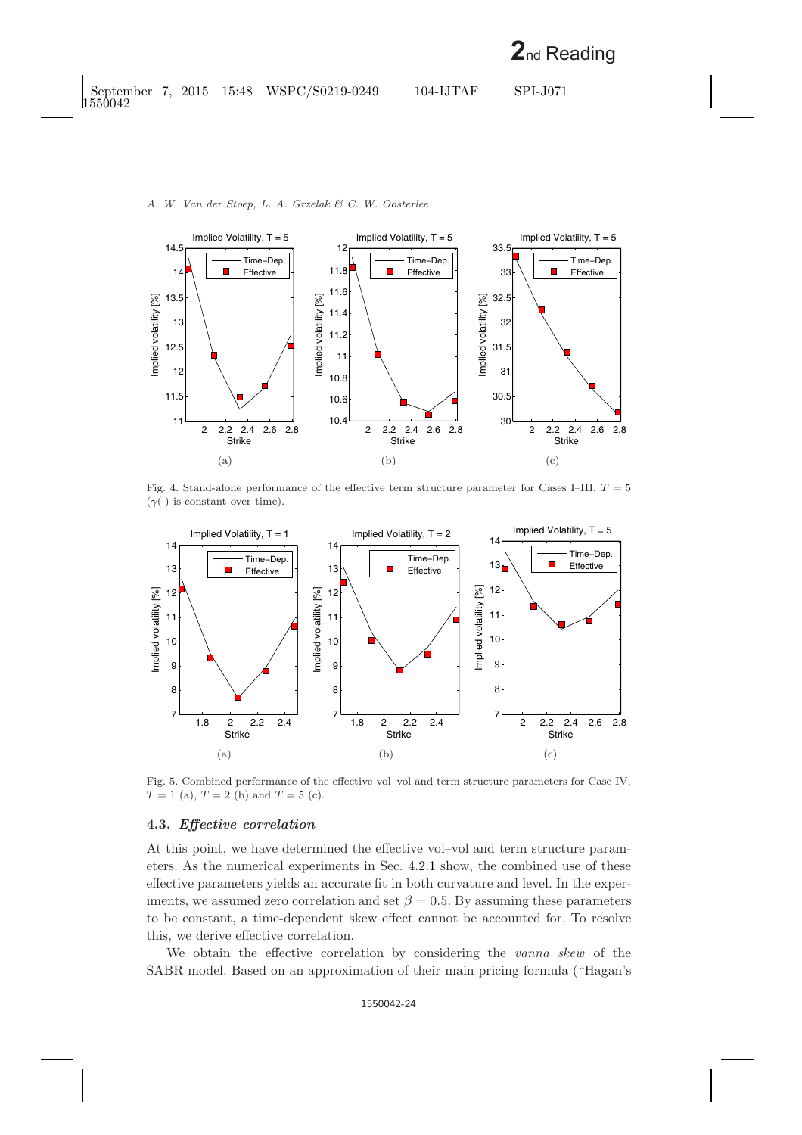

Fig. 4. Stand-alone performance of the effective term structure parameter for Cases I–III,  $T = 5$  $(\gamma(\cdot))$  is constant over time).

<span id="page-23-1"></span>

<span id="page-23-2"></span>Fig. 5. Combined performance of the effective vol–vol and term structure parameters for Case IV,  $T = 1$  (a),  $T = 2$  (b) and  $T = 5$  (c).

#### <span id="page-23-0"></span>**4.3.** *Effective correlation*

At this point, we have determined the effective vol–vol and term structure parameters. As the numerical experiments in Sec. [4.2.1](#page-22-0) show, the combined use of these effective parameters yields an accurate fit in both curvature and level. In the experiments, we assumed zero correlation and set  $\beta = 0.5$ . By assuming these parameters to be constant, a time-dependent skew effect cannot be accounted for. To resolve this, we derive effective correlation.

We obtain the effective correlation by considering the *vanna skew* of the SABR model. Based on an approximation of their main pricing formula ("Hagan's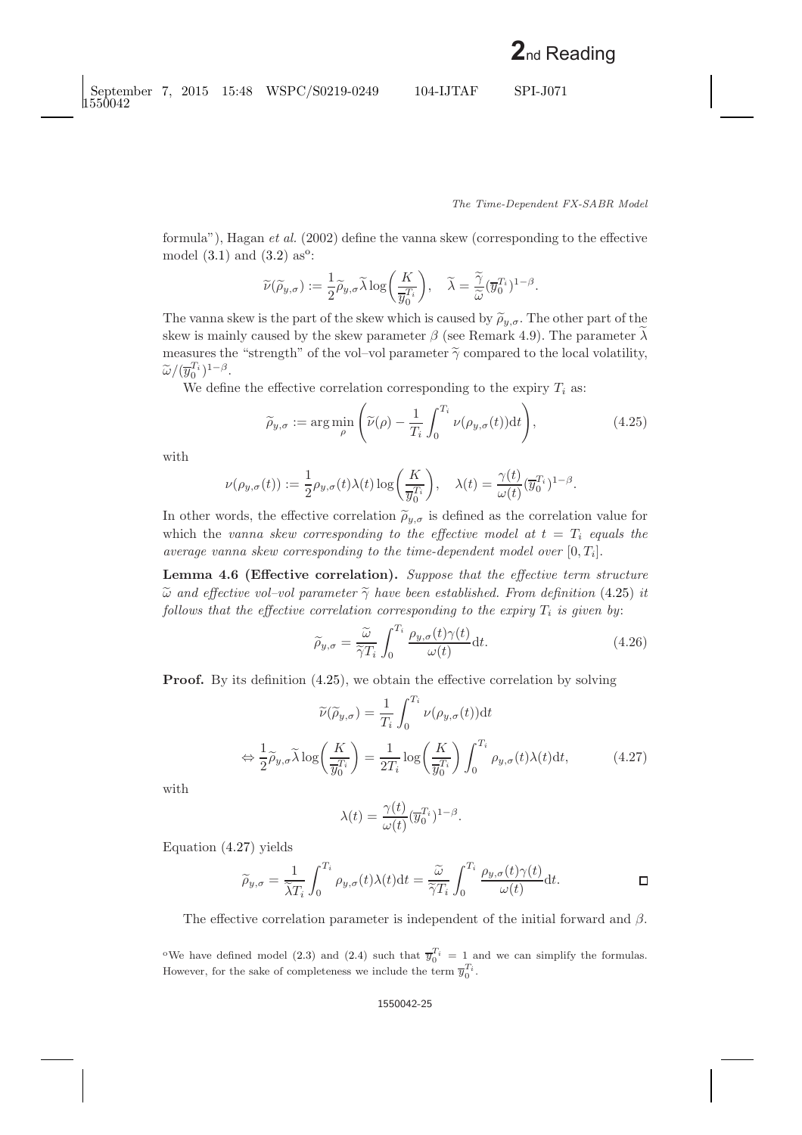formula"), Hagan *et al.* (2002) define the vanna skew (corresponding to the effective m[o](#page-24-0)del  $(3.1)$  and  $(3.2)$  as<sup>o</sup>:

$$
\widetilde{\nu}(\widetilde{\rho}_{y,\sigma}) := \frac{1}{2}\widetilde{\rho}_{y,\sigma}\widetilde{\lambda}\log\bigg(\frac{K}{\overline{y}_0^{T_i}}\bigg), \quad \widetilde{\lambda} = \frac{\widetilde{\gamma}}{\widetilde{\omega}}(\overline{y}_0^{T_i})^{1-\beta}.
$$

The vanna skew is the part of the skew which is caused by  $\tilde{\rho}_{u,\sigma}$ . The other part of the skew is mainly caused by the skew parameter  $\beta$  (see Remark 4.9). The parameter  $\lambda$ measures the "strength" of the vol-vol parameter  $\tilde{\gamma}$  compared to the local volatility,  $\widetilde{\omega}/(\overline{y}_0^{T_i})^{1-\beta}$ .<br>We define

<span id="page-24-1"></span>We define the effective correlation corresponding to the expiry  $T_i$  as:

$$
\widetilde{\rho}_{y,\sigma} := \arg\min_{\rho} \left( \widetilde{\nu}(\rho) - \frac{1}{T_i} \int_0^{T_i} \nu(\rho_{y,\sigma}(t)) \mathrm{d}t \right), \tag{4.25}
$$

with

$$
\nu(\rho_{y,\sigma}(t)) := \frac{1}{2}\rho_{y,\sigma}(t)\lambda(t)\log\left(\frac{K}{\overline{y}_0^{T_i}}\right), \quad \lambda(t) = \frac{\gamma(t)}{\omega(t)}(\overline{y}_0^{T_i})^{1-\beta}.
$$

In other words, the effective correlation  $\tilde{\rho}_{y,\sigma}$  is defined as the correlation value for which the *vanna skew corresponding to the effective model at*  $t = T_i$  *equals the average vanna skew corresponding to the time-dependent model over*  $[0, T_i]$ .

**Lemma 4.6 (Effective correlation).** *Suppose that the effective term structure*  $\tilde{\omega}$  and effective vol–vol parameter  $\tilde{\gamma}$  have been established. From definition [\(4.25\)](#page-24-1) it *follows that the effective correlation corresponding to the expiry*  $T_i$  *is given by:* 

$$
\widetilde{\rho}_{y,\sigma} = \frac{\widetilde{\omega}}{\widetilde{\gamma}T_i} \int_0^{T_i} \frac{\rho_{y,\sigma}(t)\gamma(t)}{\omega(t)} \mathrm{d}t. \tag{4.26}
$$

**Proof.** By its definition  $(4.25)$ , we obtain the effective correlation by solving

<span id="page-24-2"></span>
$$
\widetilde{\nu}(\widetilde{\rho}_{y,\sigma}) = \frac{1}{T_i} \int_0^{T_i} \nu(\rho_{y,\sigma}(t)) dt
$$

$$
\Leftrightarrow \frac{1}{2} \widetilde{\rho}_{y,\sigma} \widetilde{\lambda} \log \left( \frac{K}{\overline{y}_0^{T_i}} \right) = \frac{1}{2T_i} \log \left( \frac{K}{\overline{y}_0^{T_i}} \right) \int_0^{T_i} \rho_{y,\sigma}(t) \lambda(t) dt,
$$
(4.27)

with

$$
\lambda(t) = \frac{\gamma(t)}{\omega(t)} (\overline{y}_0^{T_i})^{1-\beta}.
$$

Equation [\(4.27\)](#page-24-2) yields

$$
\widetilde{\rho}_{y,\sigma} = \frac{1}{\widetilde{\lambda}T_i} \int_0^{T_i} \rho_{y,\sigma}(t)\lambda(t)dt = \frac{\widetilde{\omega}}{\widetilde{\gamma}T_i} \int_0^{T_i} \frac{\rho_{y,\sigma}(t)\gamma(t)}{\omega(t)}dt.
$$

The effective correlation parameter is independent of the initial forward and  $\beta$ .

<span id="page-24-0"></span><sup>o</sup>We have defined model [\(2.3\)](#page-5-4) and [\(2.4\)](#page-5-4) such that  $\overline{y}_0^{T_i} = 1$  and we can simplify the formulas. However, for the sake of completeness we include the term  $\overline{y}_0^{T_i}$ .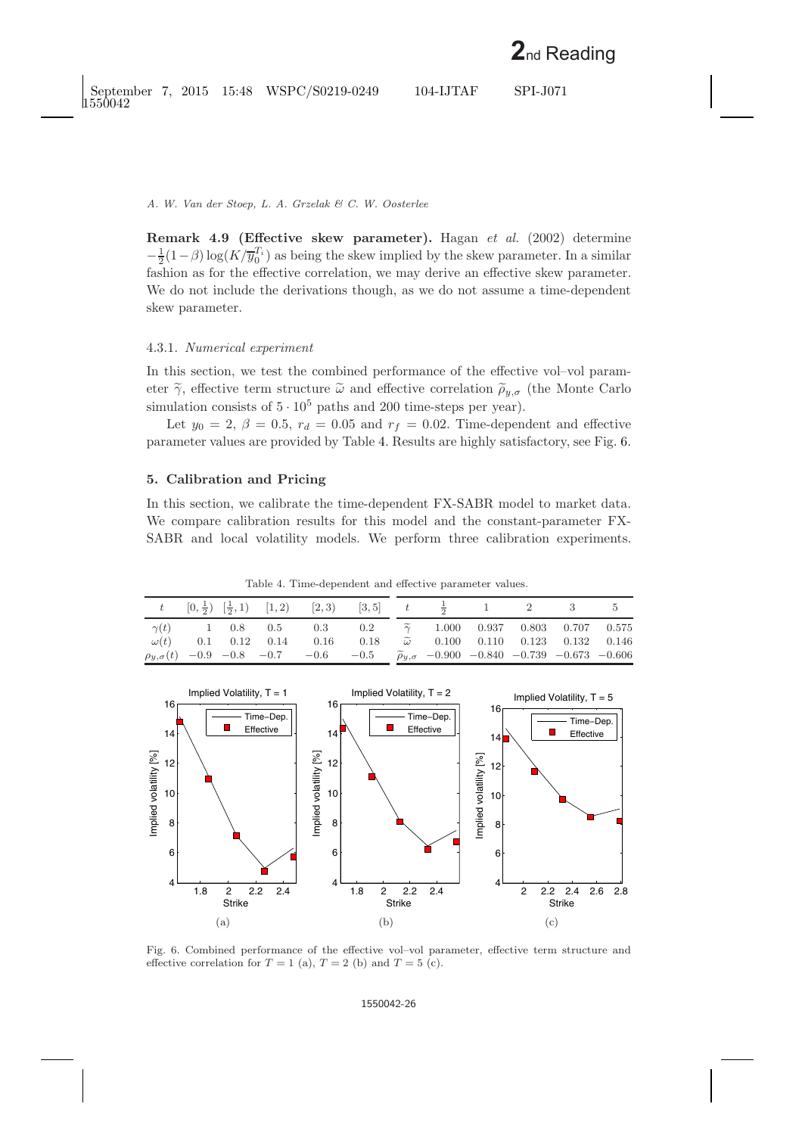**Remark 4.9 (Effective skew parameter).** Hagan *et al.* (2002) determine  $-\frac{1}{2}(1-\beta)\log(K/\overline{y}_0^{T_i})$  as being the skew implied by the skew parameter. In a similar fashion as for the effective correlation, we may derive an effective skew parameter. We do not include the derivations though, as we do not assume a time-dependent skew parameter.

### <span id="page-25-5"></span><span id="page-25-2"></span>4.3.1. *Numerical experiment*

In this section, we test the combined performance of the effective vol–vol parameter  $\tilde{\gamma}$ , effective term structure  $\tilde{\omega}$  and effective correlation  $\tilde{\rho}_{y,\sigma}$  (the Monte Carlo simulation consists of  $5 \cdot 10^5$  paths and 200 time-steps per year).

Let  $y_0 = 2$ ,  $\beta = 0.5$ ,  $r_d = 0.05$  and  $r_f = 0.02$ . Time-dependent and effective parameter values are provided by Table [4.](#page-25-3) Results are highly satisfactory, see Fig. [6.](#page-25-4)

#### <span id="page-25-1"></span><span id="page-25-0"></span>**5. Calibration and Pricing**

In this section, we calibrate the time-dependent FX-SABR model to market data. We compare calibration results for this model and the constant-parameter FX-SABR and local volatility models. We perform three calibration experiments.

Table 4. Time-dependent and effective parameter values.

<span id="page-25-3"></span>

|  |  | t $[0, \frac{1}{2})$ $[\frac{1}{2}, 1)$ $[1, 2)$ $[2, 3)$ $[3, 5]$ t $\frac{1}{2}$ 1 2 3 5         |  |                                                |  |  |
|--|--|----------------------------------------------------------------------------------------------------|--|------------------------------------------------|--|--|
|  |  | $\gamma(t)$ 1 0.8 0.5 0.3 0.2 $\tilde{\gamma}$ 1.000 0.937 0.803 0.707 0.575                       |  |                                                |  |  |
|  |  | $\omega(t)$ 0.1 0.12 0.14 0.16 0.18                                                                |  | $\tilde{\omega}$ 0.100 0.110 0.123 0.132 0.146 |  |  |
|  |  | $\rho_{y,\sigma}(t)$ -0.9 -0.8 -0.7 -0.6 -0.5 $\rho_{y,\sigma}$ -0.900 -0.840 -0.739 -0.673 -0.606 |  |                                                |  |  |



<span id="page-25-4"></span>Fig. 6. Combined performance of the effective vol–vol parameter, effective term structure and effective correlation for  $T = 1$  (a),  $T = 2$  (b) and  $T = 5$  (c).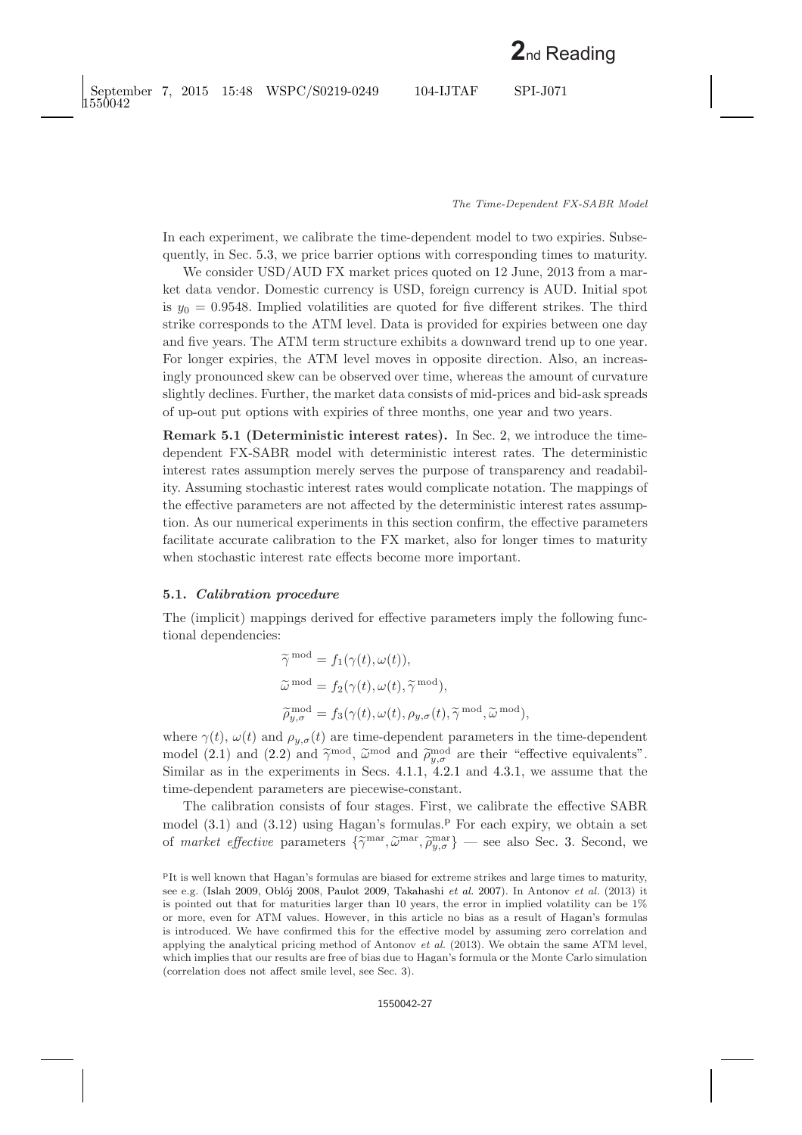In each experiment, we calibrate the time-dependent model to two expiries. Subsequently, in Sec. [5.3,](#page-30-0) we price barrier options with corresponding times to maturity.

We consider USD/AUD FX market prices quoted on 12 June, 2013 from a market data vendor. Domestic currency is USD, foreign currency is AUD. Initial spot is  $y_0 = 0.9548$ . Implied volatilities are quoted for five different strikes. The third strike corresponds to the ATM level. Data is provided for expiries between one day and five years. The ATM term structure exhibits a downward trend up to one year. For longer expiries, the ATM level moves in opposite direction. Also, an increasingly pronounced skew can be observed over time, whereas the amount of curvature slightly declines. Further, the market data consists of mid-prices and bid-ask spreads of up-out put options with expiries of three months, one year and two years.

**Remark 5.1 (Deterministic interest rates).** In Sec. [2,](#page-3-2) we introduce the timedependent FX-SABR model with deterministic interest rates. The deterministic interest rates assumption merely serves the purpose of transparency and readability. Assuming stochastic interest rates would complicate notation. The mappings of the effective parameters are not affected by the deterministic interest rates assumption. As our numerical experiments in this section confirm, the effective parameters facilitate accurate calibration to the FX market, also for longer times to maturity when stochastic interest rate effects become more important.

### **5.1.** *Calibration procedure*

The (implicit) mappings derived for effective parameters imply the following functional dependencies:

$$
\widetilde{\gamma}^{\text{mod}} = f_1(\gamma(t), \omega(t)),
$$
  
\n
$$
\widetilde{\omega}^{\text{mod}} = f_2(\gamma(t), \omega(t), \widetilde{\gamma}^{\text{mod}}),
$$
  
\n
$$
\widetilde{\rho}_{y,\sigma}^{\text{mod}} = f_3(\gamma(t), \omega(t), \rho_{y,\sigma}(t), \widetilde{\gamma}^{\text{mod}}, \widetilde{\omega}^{\text{mod}}),
$$

where  $\gamma(t)$ ,  $\omega(t)$  and  $\rho_{y,\sigma}(t)$  are time-dependent parameters in the time-dependent model [\(2.1\)](#page-4-2) and [\(2.2\)](#page-4-2) and  $\tilde{\gamma}^{\text{mod}}$ ,  $\tilde{\omega}^{\text{mod}}$  and  $\tilde{\rho}^{\text{mod}}_{y,\sigma}$  are their "effective equivalents". Similar as in the experiments in Secs. [4.1.1,](#page-13-2) [4.2.1](#page-22-1) and [4.3.1,](#page-25-5) we assume that the time-dependent parameters are piecewise-constant.

The calibration consists of four stages. First, we calibrate the effective SABR model  $(3.1)$  and  $(3.12)$  using Hagan's formulas.<su[p](#page-26-0)>p</sup> For each expiry, we obtain a set of *market effective* parameters  $\{\tilde{\gamma}^{\max}, \tilde{\omega}^{\max}, \tilde{\rho}^{\max}_{y,\sigma}\}$  — see also Sec. [3.](#page-7-4) Second, we

<span id="page-26-0"></span><sup>p</sup>It is well known that Hagan's formulas are biased for extreme strikes and large times to maturity, see e.g. [\(Islah 2009,](#page-37-23) Oblój 2008, [Paulot 2009,](#page-37-25) [Takahashi](#page-37-26) et al. [2007\)](#page-37-26). In Antonov et al. (2013) it is pointed out that for maturities larger than 10 years, the error in implied volatility can be  $1\%$ or more, even for ATM values. However, in this article no bias as a result of Hagan's formulas is introduced. We have confirmed this for the effective model by assuming zero correlation and applying the analytical pricing method of Antonov *et al.* (2013). We obtain the same ATM level, which implies that our results are free of bias due to Hagan's formula or the Monte Carlo simulation (correlation does not affect smile level, see Sec. [3\)](#page-7-4).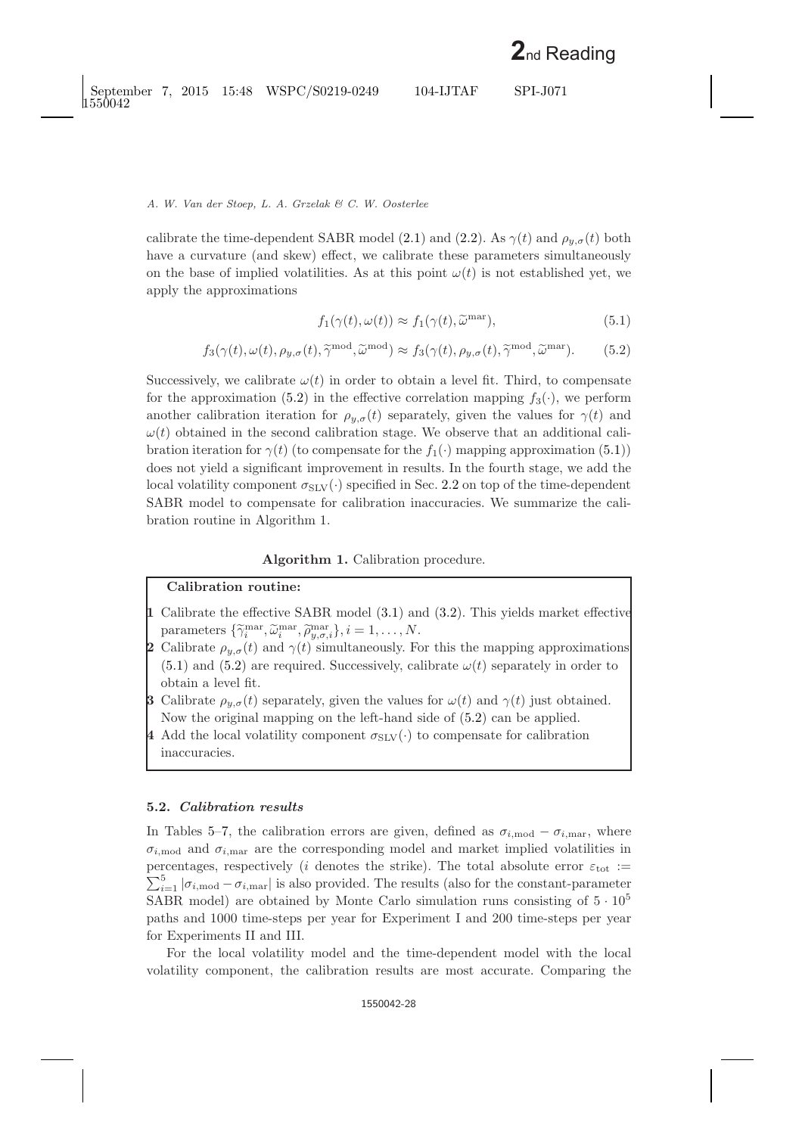calibrate the time-dependent SABR model [\(2.1\)](#page-4-1) and [\(2.2\)](#page-4-1). As  $\gamma(t)$  and  $\rho_{y,\sigma}(t)$  both have a curvature (and skew) effect, we calibrate these parameters simultaneously on the base of implied volatilities. As at this point  $\omega(t)$  is not established yet, we apply the approximations

$$
f_1(\gamma(t), \omega(t)) \approx f_1(\gamma(t), \tilde{\omega}^{\text{mar}}), \tag{5.1}
$$

<span id="page-27-0"></span>
$$
f_3(\gamma(t), \omega(t), \rho_{y,\sigma}(t), \widetilde{\gamma}^{\text{mod}}, \widetilde{\omega}^{\text{mod}}) \approx f_3(\gamma(t), \rho_{y,\sigma}(t), \widetilde{\gamma}^{\text{mod}}, \widetilde{\omega}^{\text{mar}}). \tag{5.2}
$$

Successively, we calibrate  $\omega(t)$  in order to obtain a level fit. Third, to compensate for the approximation [\(5.2\)](#page-27-0) in the effective correlation mapping  $f_3(\cdot)$ , we perform another calibration iteration for  $\rho_{u,\sigma}(t)$  separately, given the values for  $\gamma(t)$  and  $\omega(t)$  obtained in the second calibration stage. We observe that an additional calibration iteration for  $\gamma(t)$  (to compensate for the  $f_1(\cdot)$  mapping approximation [\(5.1\)](#page-27-0)) does not yield a significant improvement in results. In the fourth stage, we add the local volatility component  $\sigma_{\text{SLV}}(\cdot)$  specified in Sec. [2.2](#page-6-1) on top of the time-dependent SABR model to compensate for calibration inaccuracies. We summarize the calibration routine in Algorithm 1.

### **Algorithm 1.** Calibration procedure.

## **Calibration routine:**

- **1** Calibrate the effective SABR model [\(3.1\)](#page-7-3) and [\(3.2\)](#page-7-3). This yields market effective parameters  $\{\widetilde{\gamma}_i^{\max}, \widetilde{\omega}_i^{\max}, \widetilde{\rho}_j^{\max}, i\}, i = 1, \ldots, N.$
- **2** Calibrate  $\rho_{y,\sigma}(t)$  and  $\gamma(t)$  simultaneously. For this the mapping approximations  $(5.1)$  and  $(5.2)$  are required. Successively, calibrate  $\omega(t)$  separately in order to obtain a level fit.
- **3** Calibrate  $\rho_{y,\sigma}(t)$  separately, given the values for  $\omega(t)$  and  $\gamma(t)$  just obtained. Now the original mapping on the left-hand side of [\(5.2\)](#page-27-0) can be applied.
- **4** Add the local volatility component  $\sigma_{SLV}(\cdot)$  to compensate for calibration inaccuracies.

#### **5.2.** *Calibration results*

In Tables [5](#page-28-0)[–7,](#page-28-1) the calibration errors are given, defined as  $\sigma_{i,\text{mod}} - \sigma_{i,\text{max}}$ , where  $\sigma_{i,\text{mod}}$  and  $\sigma_{i,\text{mar}}$  are the corresponding model and market implied volatilities in percentages, respectively (*i* denotes the strike). The total absolute error  $\varepsilon_{\text{tot}}$  :=  $\sum_{i=1}^{5} |\sigma_{i,\text{mod}} - \sigma_{i,\text{max}}|$  is also provided. The results (also for the constant-parameter SABR model) are obtained by Monte Carlo simulation runs consisting of  $5 \cdot 10^5$ paths and 1000 time-steps per year for Experiment I and 200 time-steps per year for Experiments II and III.

For the local volatility model and the time-dependent model with the local volatility component, the calibration results are most accurate. Comparing the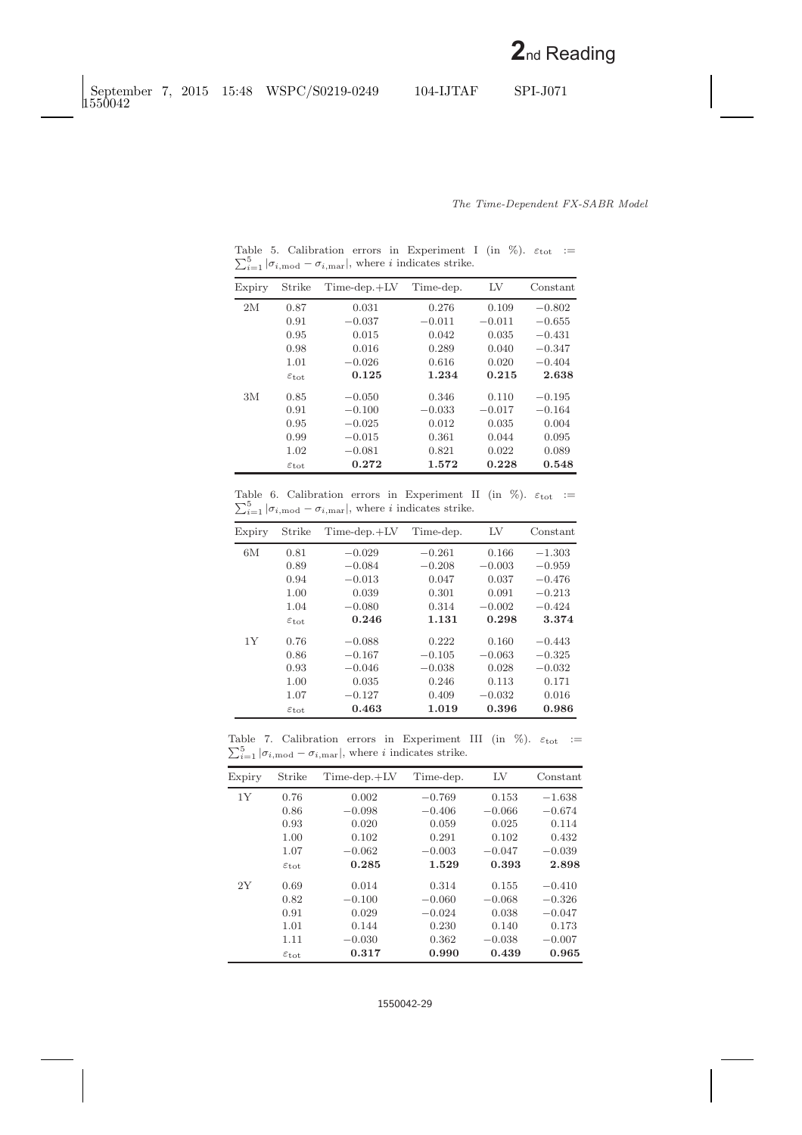| Expiry | Strike                  | $Time-dep.+LV$ | Time-dep. | LV       | Constant |
|--------|-------------------------|----------------|-----------|----------|----------|
| 2M     | 0.87                    | 0.031          | 0.276     | 0.109    | $-0.802$ |
|        | 0.91                    | $-0.037$       | $-0.011$  | $-0.011$ | $-0.655$ |
|        | 0.95                    | 0.015          | 0.042     | 0.035    | $-0.431$ |
|        | 0.98                    | 0.016          | 0.289     | 0.040    | $-0.347$ |
|        | 1.01                    | $-0.026$       | 0.616     | 0.020    | $-0.404$ |
|        | $\varepsilon_{\rm tot}$ | 0.125          | 1.234     | 0.215    | 2.638    |
| 3M     | 0.85                    | $-0.050$       | 0.346     | 0.110    | $-0.195$ |
|        | 0.91                    | $-0.100$       | $-0.033$  | $-0.017$ | $-0.164$ |
|        | 0.95                    | $-0.025$       | 0.012     | 0.035    | 0.004    |
|        | 0.99                    | $-0.015$       | 0.361     | 0.044    | 0.095    |
|        | 1.02                    | $-0.081$       | 0.821     | 0.022    | 0.089    |
|        | $\varepsilon$ tot       | 0.272          | 1.572     | 0.228    | 0.548    |

<span id="page-28-2"></span><span id="page-28-0"></span> $\sum_{i=1}^{5} |\sigma_{i,\text{mod}} - \sigma_{i,\text{mar}}|$ , where *i* indicates strike. Table 5. Calibration errors in Experiment I (in %).  $\varepsilon_{\text{tot}}$  :=

Table 6. Calibration errors in Experiment II (in %).  $\varepsilon_{\text{tot}} := \sum_{i=1}^{5} |g_{i \text{ mod}} - g_{i \text{ mod}}|$ , where *i* indicates strike.  $\sum_{i=1}^5 |\sigma_{i,\text{mod}} - \sigma_{i,\text{mar}}|$ , where  $i$  indicates strike.

| Expiry | Strike                  | $Time-dep.+LV$ | Time-dep. | LV       | Constant |
|--------|-------------------------|----------------|-----------|----------|----------|
| 6M     | 0.81                    | $-0.029$       | $-0.261$  | 0.166    | $-1.303$ |
|        | 0.89                    | $-0.084$       | $-0.208$  | $-0.003$ | $-0.959$ |
|        | 0.94                    | $-0.013$       | 0.047     | 0.037    | $-0.476$ |
|        | 1.00                    | 0.039          | 0.301     | 0.091    | $-0.213$ |
|        | 1.04                    | $-0.080$       | 0.314     | $-0.002$ | $-0.424$ |
|        | $\varepsilon$ tot       | 0.246          | 1.131     | 0.298    | 3.374    |
| 1Y     | 0.76                    | $-0.088$       | 0.222     | 0.160    | $-0.443$ |
|        | 0.86                    | $-0.167$       | $-0.105$  | $-0.063$ | $-0.325$ |
|        | 0.93                    | $-0.046$       | $-0.038$  | 0.028    | $-0.032$ |
|        | 1.00                    | 0.035          | 0.246     | 0.113    | 0.171    |
|        | 1.07                    | $-0.127$       | 0.409     | $-0.032$ | 0.016    |
|        | $\varepsilon_{\rm tot}$ | 0.463          | 1.019     | 0.396    | 0.986    |

<span id="page-28-3"></span><span id="page-28-1"></span>Table 7. Calibration errors in Experiment III (in %).  $\varepsilon_{\text{tot}} := \sum_{i=1}^{5} |g_{i \text{ mod}} - g_{i \text{ max}}|$ , where *i* indicates strike.  $\sum_{i=1}^{5} |\sigma_{i,\text{mod}} - \sigma_{i,\text{mar}}|$ , where *i* indicates strike.

| Expiry | Strike                  | $Time-dep.+LV$ | Time-dep. | LV       | Constant |
|--------|-------------------------|----------------|-----------|----------|----------|
| 1Y     | 0.76                    | 0.002          | $-0.769$  | 0.153    | $-1.638$ |
|        | 0.86                    | $-0.098$       | $-0.406$  | $-0.066$ | $-0.674$ |
|        | 0.93                    | 0.020          | 0.059     | 0.025    | 0.114    |
|        | 1.00                    | 0.102          | 0.291     | 0.102    | 0.432    |
|        | 1.07                    | $-0.062$       | $-0.003$  | $-0.047$ | $-0.039$ |
|        | $\varepsilon$ tot       | 0.285          | 1.529     | 0.393    | 2.898    |
| 2Y     | 0.69                    | 0.014          | 0.314     | 0.155    | $-0.410$ |
|        | 0.82                    | $-0.100$       | $-0.060$  | $-0.068$ | $-0.326$ |
|        | 0.91                    | 0.029          | $-0.024$  | 0.038    | $-0.047$ |
|        | 1.01                    | 0.144          | 0.230     | 0.140    | 0.173    |
|        | 1.11                    | $-0.030$       | 0.362     | $-0.038$ | $-0.007$ |
|        | $\varepsilon_{\rm tot}$ | 0.317          | 0.990     | 0.439    | 0.965    |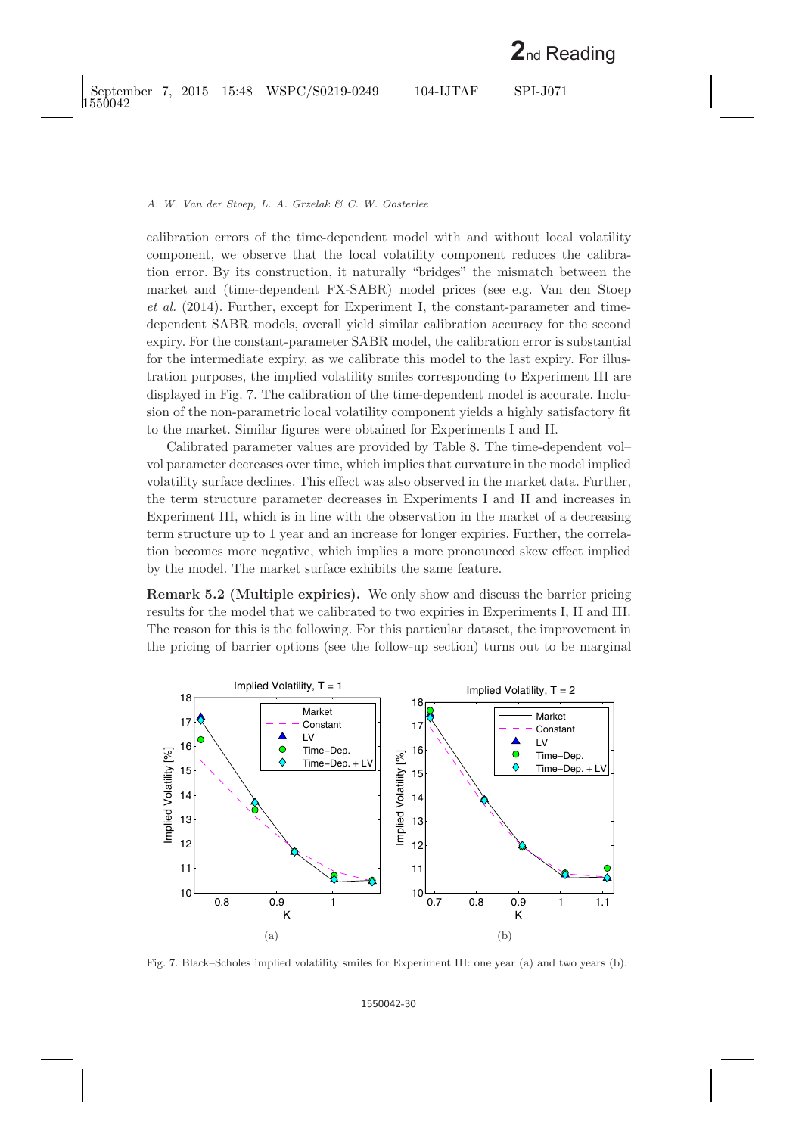calibration errors of the time-dependent model with and without local volatility component, we observe that the local volatility component reduces the calibration error. By its construction, it naturally "bridges" the mismatch between the market and (time-dependent FX-SABR) model prices (see e.g. Van den Stoep *et al.* (2014). Further, except for Experiment I, the constant-parameter and timedependent SABR models, overall yield similar calibration accuracy for the second expiry. For the constant-parameter SABR model, the calibration error is substantial for the intermediate expiry, as we calibrate this model to the last expiry. For illustration purposes, the implied volatility smiles corresponding to Experiment III are displayed in Fig. [7.](#page-29-0) The calibration of the time-dependent model is accurate. Inclusion of the non-parametric local volatility component yields a highly satisfactory fit to the market. Similar figures were obtained for Experiments I and II.

Calibrated parameter values are provided by Table [8.](#page-30-1) The time-dependent vol– vol parameter decreases over time, which implies that curvature in the model implied volatility surface declines. This effect was also observed in the market data. Further, the term structure parameter decreases in Experiments I and II and increases in Experiment III, which is in line with the observation in the market of a decreasing term structure up to 1 year and an increase for longer expiries. Further, the correlation becomes more negative, which implies a more pronounced skew effect implied by the model. The market surface exhibits the same feature.

**Remark 5.2 (Multiple expiries).** We only show and discuss the barrier pricing results for the model that we calibrated to two expiries in Experiments I, II and III. The reason for this is the following. For this particular dataset, the improvement in the pricing of barrier options (see the follow-up section) turns out to be marginal



<span id="page-29-0"></span>Fig. 7. Black–Scholes implied volatility smiles for Experiment III: one year (a) and two years (b).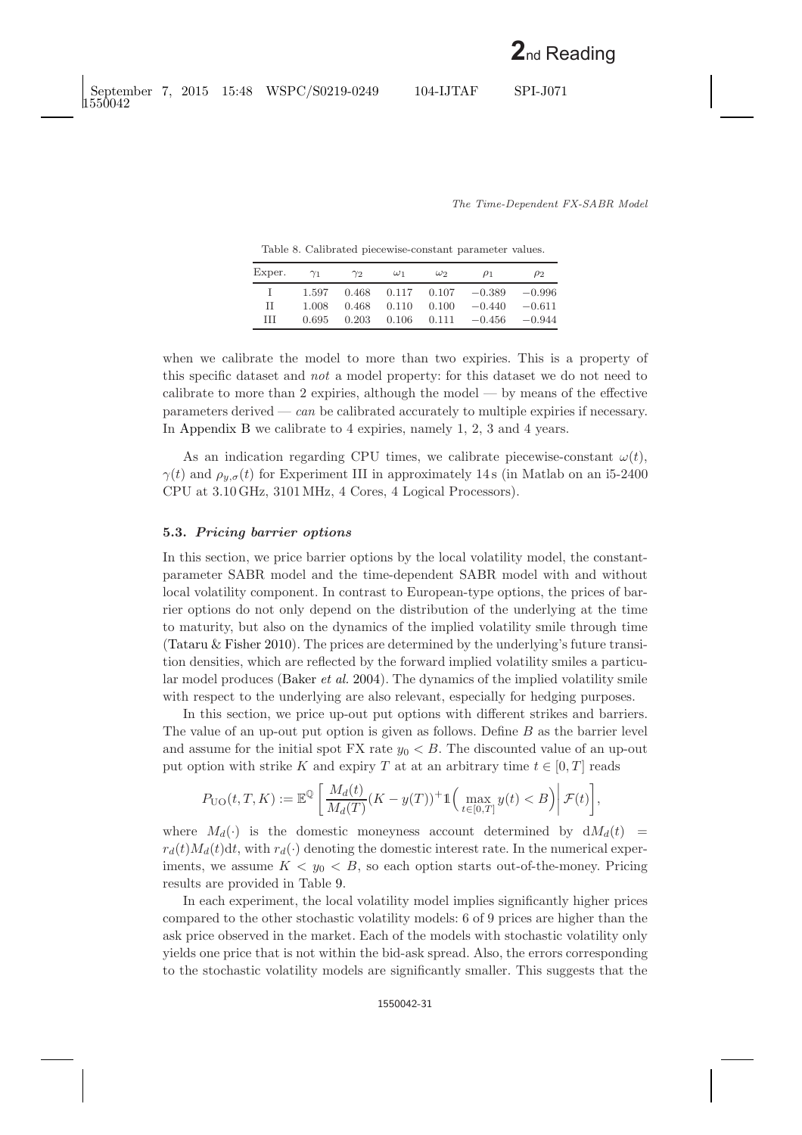<span id="page-30-1"></span>

| Exper. | $\gamma_1$ | $\gamma_2$ | $\omega_1$ | $\omega_2$ | $\rho_1$ | $\rho_2$ |
|--------|------------|------------|------------|------------|----------|----------|
|        | 1.597      | 0.468      | 0.117      | 0.107      | $-0.389$ | $-0.996$ |
| H      | 1.008      | 0.468      | 0.110      | 0.100      | $-0.440$ | $-0.611$ |
| Ħ      | 0.695      | 0.203      | 0.106      | 0.111      | $-0.456$ | $-0.944$ |

Table 8. Calibrated piecewise-constant parameter values.

when we calibrate the model to more than two expiries. This is a property of this specific dataset and *not* a model property: for this dataset we do not need to calibrate to more than 2 expiries, although the model — by means of the effective parameters derived — *can* be calibrated accurately to multiple expiries if necessary. In [Appendix B](#page-35-0) we calibrate to 4 expiries, namely 1, 2, 3 and 4 years.

As an indication regarding CPU times, we calibrate piecewise-constant  $\omega(t)$ ,  $\gamma(t)$  and  $\rho_{u,\sigma}(t)$  for Experiment III in approximately 14s (in Matlab on an i5-2400 CPU at 3.10 GHz, 3101MHz, 4 Cores, 4 Logical Processors).

# <span id="page-30-0"></span>**5.3.** *Pricing barrier options*

In this section, we price barrier options by the local volatility model, the constantparameter SABR model and the time-dependent SABR model with and without local volatility component. In contrast to European-type options, the prices of barrier options do not only depend on the distribution of the underlying at the time to maturity, but also on the dynamics of the implied volatility smile through time [\(Tataru & Fisher 2010\)](#page-37-27). The prices are determined by the underlying's future transition densities, which are reflected by the forward implied volatility smiles a particular model produces [\(Baker](#page-36-9) *et al.* [2004\)](#page-36-9). The dynamics of the implied volatility smile with respect to the underlying are also relevant, especially for hedging purposes.

In this section, we price up-out put options with different strikes and barriers. The value of an up-out put option is given as follows. Define  $B$  as the barrier level and assume for the initial spot FX rate  $y_0 < B$ . The discounted value of an up-out put option with strike K and expiry T at at an arbitrary time  $t \in [0, T]$  reads

$$
P_{\text{UO}}(t,T,K) := \mathbb{E}^{\mathbb{Q}}\left[\frac{M_d(t)}{M_d(T)}(K-y(T))^+\mathbb{1}\left(\max_{t\in[0,T]}y(t)
$$

where  $M_d(\cdot)$  is the domestic moneyness account determined by  $dM_d(t)$  =  $r_d(t)M_d(t)dt$ , with  $r_d(\cdot)$  denoting the domestic interest rate. In the numerical experiments, we assume  $K < y_0 < B$ , so each option starts out-of-the-money. Pricing results are provided in Table [9.](#page-31-0)

In each experiment, the local volatility model implies significantly higher prices compared to the other stochastic volatility models: 6 of 9 prices are higher than the ask price observed in the market. Each of the models with stochastic volatility only yields one price that is not within the bid-ask spread. Also, the errors corresponding to the stochastic volatility models are significantly smaller. This suggests that the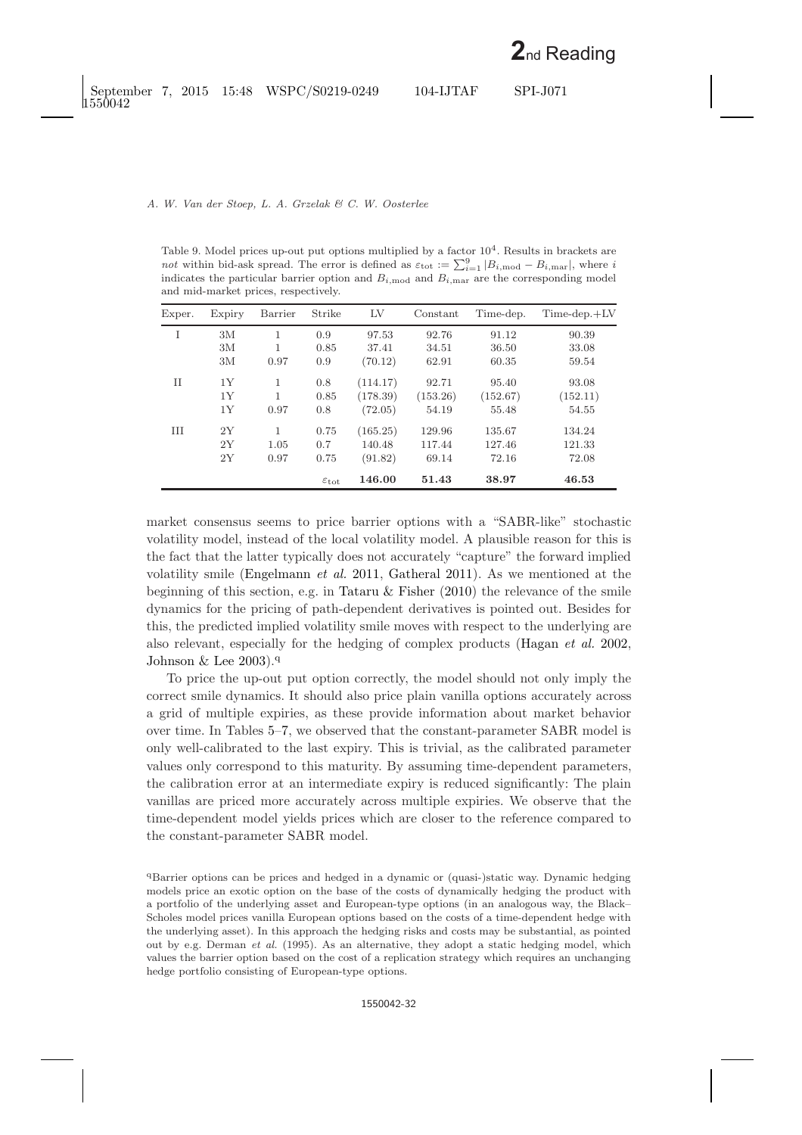| Exper. | Expiry | Barrier | Strike                  | LV       | Constant | Time-dep. | $Time-dep.+LV$ |
|--------|--------|---------|-------------------------|----------|----------|-----------|----------------|
| T      | 3M     | 1       | 0.9                     | 97.53    | 92.76    | 91.12     | 90.39          |
|        | 3M     | 1       | 0.85                    | 37.41    | 34.51    | 36.50     | 33.08          |
|        | 3M     | 0.97    | 0.9                     | (70.12)  | 62.91    | 60.35     | 59.54          |
| H      | 1Y     | 1       | 0.8                     | (114.17) | 92.71    | 95.40     | 93.08          |
|        | 1Y     | 1       | 0.85                    | (178.39) | (153.26) | (152.67)  | (152.11)       |
|        | 1Y     | 0.97    | 0.8                     | (72.05)  | 54.19    | 55.48     | 54.55          |
| Ш      | 2Y     | 1       | 0.75                    | (165.25) | 129.96   | 135.67    | 134.24         |
|        | 2Y     | 1.05    | 0.7                     | 140.48   | 117.44   | 127.46    | 121.33         |
|        | 2Y     | 0.97    | 0.75                    | (91.82)  | 69.14    | 72.16     | 72.08          |
|        |        |         | $\varepsilon_{\rm tot}$ | 146.00   | 51.43    | 38.97     | 46.53          |

<span id="page-31-0"></span>Table 9. Model prices up-out put options multiplied by a factor  $10^4$ . Results in brackets are not within bid-ask spread. The error is defined as  $\varepsilon_{\text{tot}} := \sum_{i=1}^{9} |B_{i,\text{mod}} - B_{i,\text{mar}}|$ , where i indicates the particular barrier option and  $B_{i, \text{mod}}$  and  $B_{i, \text{max}}$  are the corresponding model and mid-market prices, respectively.

market consensus seems to price barrier options with a "SABR-like" stochastic volatility model, instead of the local volatility model. A plausible reason for this is the fact that the latter typically does not accurately "capture" the forward implied volatility smile [\(Engelmann](#page-36-7) *et al.* [2011,](#page-36-7) [Gatheral 2011\)](#page-36-8). As we mentioned at the beginning of this section, e.g. in [Tataru & Fisher](#page-37-5) [\(2010](#page-37-5)) the relevance of the smile dynamics for the pricing of path-dependent derivatives is pointed out. Besides for this, the predicted implied volatility smile moves with respect to the underlying are also relevant, especially for the hedging of complex products [\(Hagan](#page-36-12) *et al.* [2002,](#page-36-12) [Johnson & Lee 2003](#page-37-12)).<sup>[q](#page-31-1)</sup>

To price the up-out put option correctly, the model should not only imply the correct smile dynamics. It should also price plain vanilla options accurately across a grid of multiple expiries, as these provide information about market behavior over time. In Tables [5–](#page-28-0)[7,](#page-28-1) we observed that the constant-parameter SABR model is only well-calibrated to the last expiry. This is trivial, as the calibrated parameter values only correspond to this maturity. By assuming time-dependent parameters, the calibration error at an intermediate expiry is reduced significantly: The plain vanillas are priced more accurately across multiple expiries. We observe that the time-dependent model yields prices which are closer to the reference compared to the constant-parameter SABR model.

<span id="page-31-1"></span><sup>q</sup>Barrier options can be prices and hedged in a dynamic or (quasi-)static way. Dynamic hedging models price an exotic option on the base of the costs of dynamically hedging the product with a portfolio of the underlying asset and European-type options (in an analogous way, the Black– Scholes model prices vanilla European options based on the costs of a time-dependent hedge with the underlying asset). In this approach the hedging risks and costs may be substantial, as pointed out by e.g. Derman et al. (1995). As an alternative, they adopt a static hedging model, which values the barrier option based on the cost of a replication strategy which requires an unchanging hedge portfolio consisting of European-type options.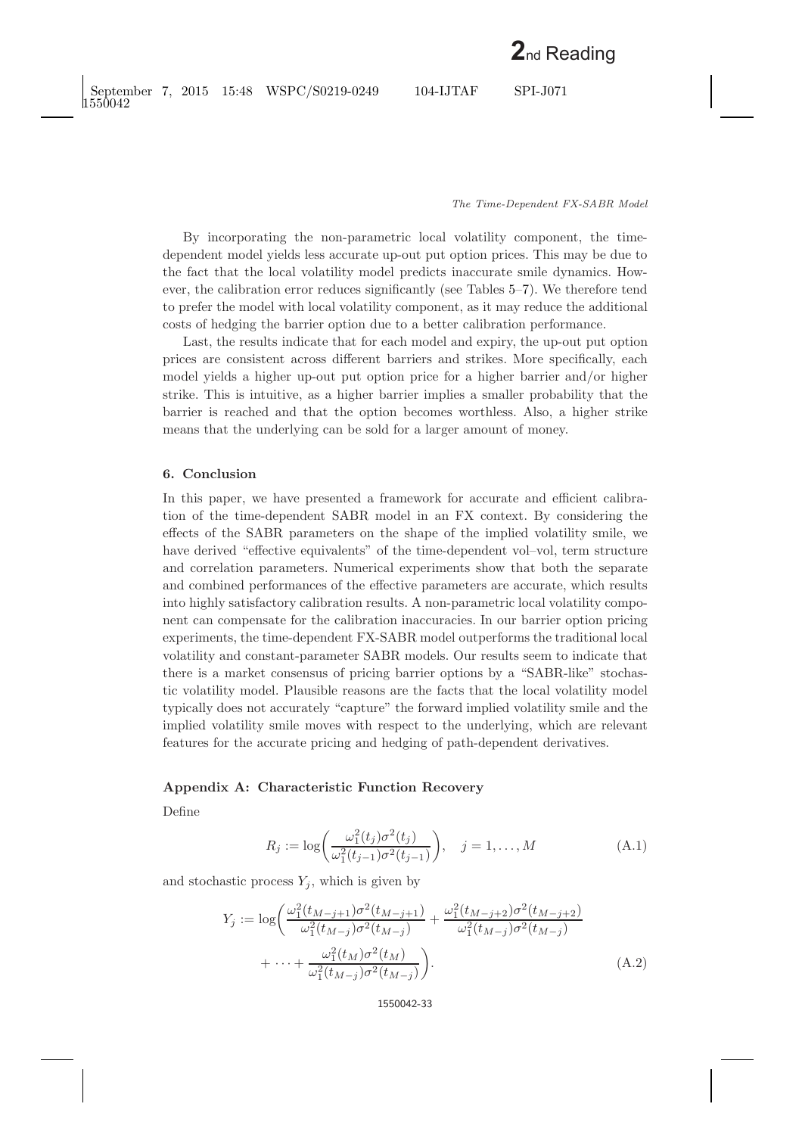By incorporating the non-parametric local volatility component, the timedependent model yields less accurate up-out put option prices. This may be due to the fact that the local volatility model predicts inaccurate smile dynamics. However, the calibration error reduces significantly (see Tables [5–](#page-28-2)[7\)](#page-28-3). We therefore tend to prefer the model with local volatility component, as it may reduce the additional costs of hedging the barrier option due to a better calibration performance.

Last, the results indicate that for each model and expiry, the up-out put option prices are consistent across different barriers and strikes. More specifically, each model yields a higher up-out put option price for a higher barrier and/or higher strike. This is intuitive, as a higher barrier implies a smaller probability that the barrier is reached and that the option becomes worthless. Also, a higher strike means that the underlying can be sold for a larger amount of money.

# <span id="page-32-0"></span>**6. Conclusion**

In this paper, we have presented a framework for accurate and efficient calibration of the time-dependent SABR model in an FX context. By considering the effects of the SABR parameters on the shape of the implied volatility smile, we have derived "effective equivalents" of the time-dependent vol–vol, term structure and correlation parameters. Numerical experiments show that both the separate and combined performances of the effective parameters are accurate, which results into highly satisfactory calibration results. A non-parametric local volatility component can compensate for the calibration inaccuracies. In our barrier option pricing experiments, the time-dependent FX-SABR model outperforms the traditional local volatility and constant-parameter SABR models. Our results seem to indicate that there is a market consensus of pricing barrier options by a "SABR-like" stochastic volatility model. Plausible reasons are the facts that the local volatility model typically does not accurately "capture" the forward implied volatility smile and the implied volatility smile moves with respect to the underlying, which are relevant features for the accurate pricing and hedging of path-dependent derivatives.

# <span id="page-32-1"></span>**Appendix A: Characteristic Function Recovery**

<span id="page-32-4"></span><span id="page-32-2"></span>Define

$$
R_j := \log\left(\frac{\omega_1^2(t_j)\sigma^2(t_j)}{\omega_1^2(t_{j-1})\sigma^2(t_{j-1})}\right), \quad j = 1, \dots, M
$$
 (A.1)

<span id="page-32-3"></span>and stochastic process  $Y_i$ , which is given by

$$
Y_j := \log \left( \frac{\omega_1^2 (t_{M-j+1}) \sigma^2 (t_{M-j+1})}{\omega_1^2 (t_{M-j}) \sigma^2 (t_{M-j})} + \frac{\omega_1^2 (t_{M-j+2}) \sigma^2 (t_{M-j+2})}{\omega_1^2 (t_{M-j}) \sigma^2 (t_{M-j})} + \dots + \frac{\omega_1^2 (t_M) \sigma^2 (t_M)}{\omega_1^2 (t_{M-j}) \sigma^2 (t_{M-j})} \right). \tag{A.2}
$$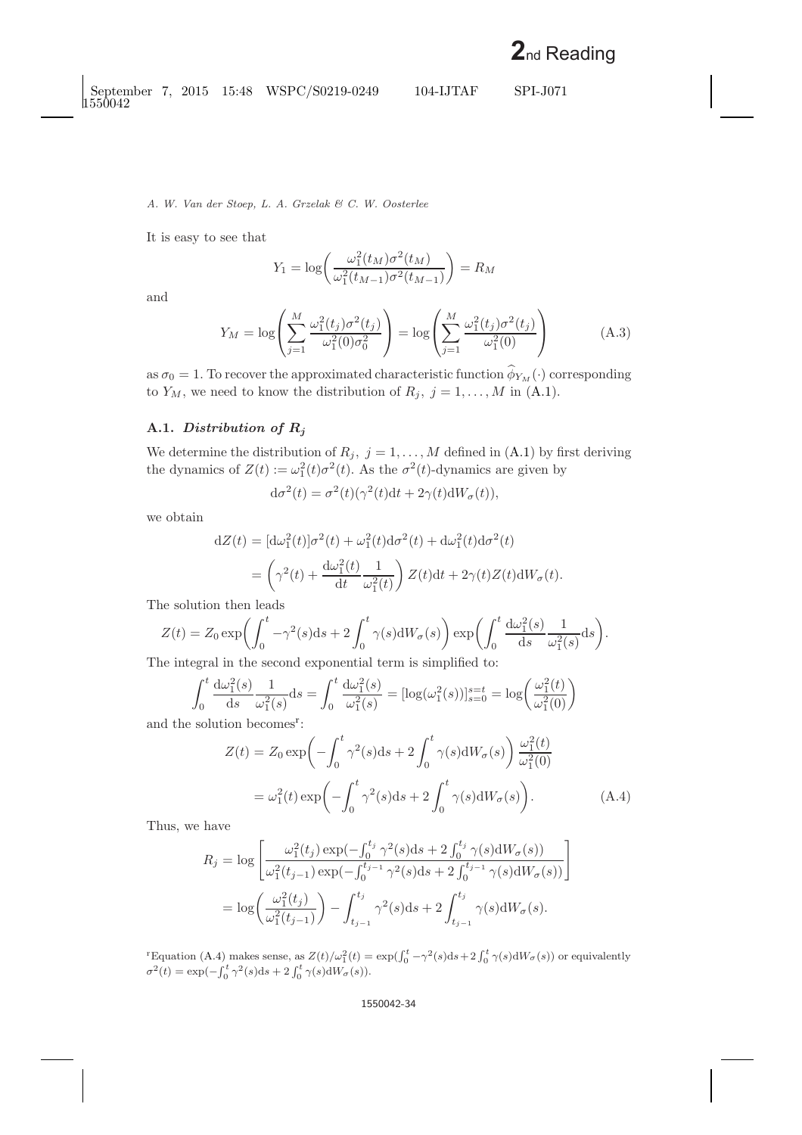A. W. Van der Stoep, L. A. Grzelak & C. W. Oosterlee

It is easy to see that

$$
Y_1 = \log\left(\frac{\omega_1^2(t_M)\sigma^2(t_M)}{\omega_1^2(t_{M-1})\sigma^2(t_{M-1})}\right) = R_M
$$

and

$$
Y_M = \log \left( \sum_{j=1}^M \frac{\omega_1^2(t_j) \sigma^2(t_j)}{\omega_1^2(0) \sigma_0^2} \right) = \log \left( \sum_{j=1}^M \frac{\omega_1^2(t_j) \sigma^2(t_j)}{\omega_1^2(0)} \right) \tag{A.3}
$$

as  $\sigma_0 = 1$ . To recover the approximated characteristic function  $\phi_{Y_M}(\cdot)$  corresponding to  $Y_M$ , we need to know the distribution of  $R_j$ ,  $j = 1, \ldots, M$  in [\(A.1\)](#page-32-2).

# **A.1.** *Distribution of R<sup>j</sup>*

We determine the distribution of  $R_j$ ,  $j = 1, \ldots, M$  defined in [\(A.1\)](#page-32-2) by first deriving the dynamics of  $Z(t) := \omega_1^2(t)\sigma^2(t)$ . As the  $\sigma^2(t)$ -dynamics are given by

$$
d\sigma^{2}(t) = \sigma^{2}(t)(\gamma^{2}(t)dt + 2\gamma(t)dW_{\sigma}(t)),
$$

we obtain

$$
dZ(t) = [d\omega_1^2(t)]\sigma^2(t) + \omega_1^2(t)d\sigma^2(t) + d\omega_1^2(t)d\sigma^2(t)
$$
  
= 
$$
\left(\gamma^2(t) + \frac{d\omega_1^2(t)}{dt} \frac{1}{\omega_1^2(t)}\right) Z(t)dt + 2\gamma(t)Z(t)dW_{\sigma}(t).
$$

The solution then leads

$$
Z(t) = Z_0 \exp\left(\int_0^t -\gamma^2(s)ds + 2\int_0^t \gamma(s)dW_\sigma(s)\right) \exp\left(\int_0^t \frac{d\omega_1^2(s)}{ds} \frac{1}{\omega_1^2(s)}ds\right).
$$

The integral in the second exponential term is simplified to:

$$
\int_0^t \frac{d\omega_1^2(s)}{ds} \frac{1}{\omega_1^2(s)} ds = \int_0^t \frac{d\omega_1^2(s)}{\omega_1^2(s)} = [\log(\omega_1^2(s))]_{s=0}^{s=t} = \log\left(\frac{\omega_1^2(t)}{\omega_1^2(0)}\right)
$$

<span id="page-33-1"></span>and the solution becomes<sup>[r](#page-33-0)</sup>:

$$
Z(t) = Z_0 \exp\left(-\int_0^t \gamma^2(s)ds + 2\int_0^t \gamma(s)dW_\sigma(s)\right) \frac{\omega_1^2(t)}{\omega_1^2(0)}
$$

$$
= \omega_1^2(t) \exp\left(-\int_0^t \gamma^2(s)ds + 2\int_0^t \gamma(s)dW_\sigma(s)\right). \tag{A.4}
$$

Thus, we have

$$
R_j = \log \left[ \frac{\omega_1^2(t_j) \exp(-\int_0^{t_j} \gamma^2(s) ds + 2 \int_0^{t_j} \gamma(s) dW_\sigma(s))}{\omega_1^2(t_{j-1}) \exp(-\int_0^{t_{j-1}} \gamma^2(s) ds + 2 \int_0^{t_{j-1}} \gamma(s) dW_\sigma(s))} \right]
$$
  
=  $\log \left( \frac{\omega_1^2(t_j)}{\omega_1^2(t_{j-1})} \right) - \int_{t_{j-1}}^{t_j} \gamma^2(s) ds + 2 \int_{t_{j-1}}^{t_j} \gamma(s) dW_\sigma(s).$ 

<span id="page-33-0"></span><sup>r</sup>Equation [\(A.4\)](#page-33-1) makes sense, as  $Z(t)/\omega_1^2(t) = \exp(\int_0^t -\gamma^2(s)ds + 2\int_0^t \gamma(s)dW_\sigma(s)$  or equivalently  $\sigma^{2}(t) = \exp(-\int_{0}^{t} \gamma^{2}(s)ds + 2\int_{0}^{t} \gamma(s)dW_{\sigma}(s)).$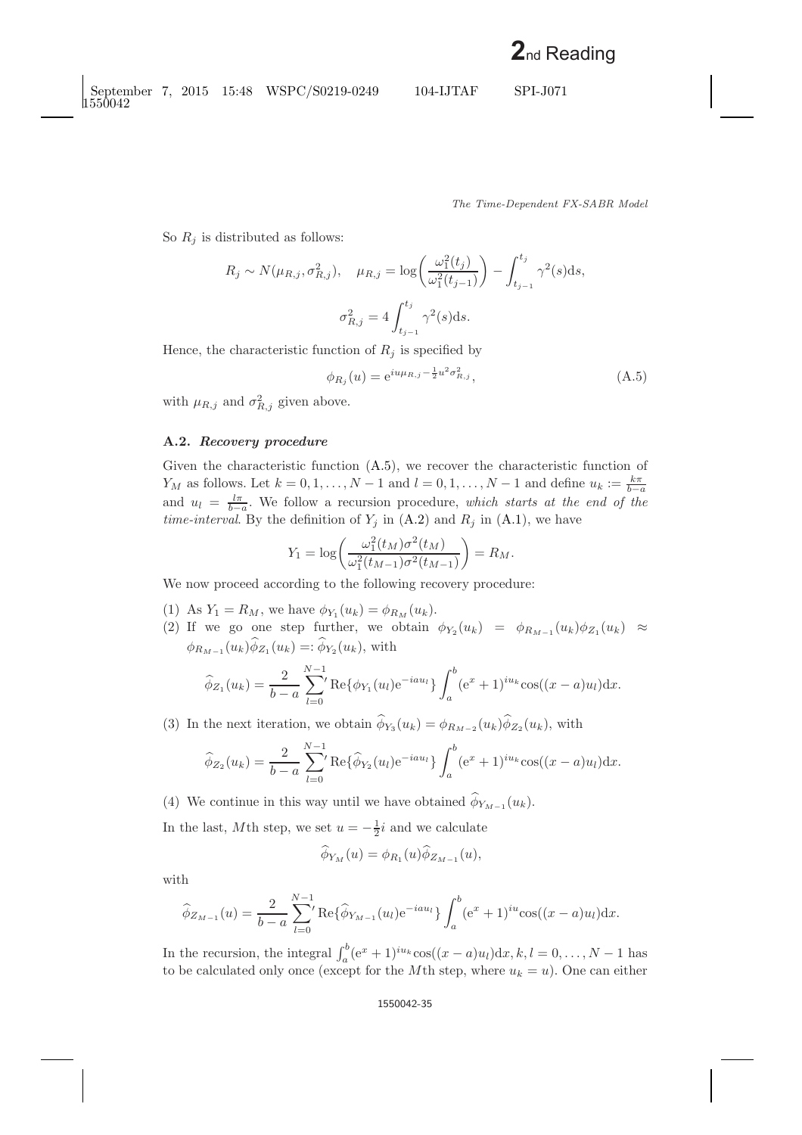So  $R_i$  is distributed as follows:

$$
R_j \sim N(\mu_{R,j}, \sigma_{R,j}^2), \quad \mu_{R,j} = \log\left(\frac{\omega_1^2(t_j)}{\omega_1^2(t_{j-1})}\right) - \int_{t_{j-1}}^{t_j} \gamma^2(s)ds,
$$

$$
\sigma_{R,j}^2 = 4 \int_{t_{j-1}}^{t_j} \gamma^2(s)ds.
$$

<span id="page-34-0"></span>Hence, the characteristic function of  $R_i$  is specified by

$$
\phi_{R_j}(u) = e^{iu\mu_{R,j} - \frac{1}{2}u^2 \sigma_{R,j}^2},\tag{A.5}
$$

with  $\mu_{R,j}$  and  $\sigma_{R,j}^2$  given above.

#### **A.2.** *Recovery procedure*

Given the characteristic function [\(A.5\)](#page-34-0), we recover the characteristic function of  $Y_M$  as follows. Let  $k = 0, 1, ..., N-1$  and  $l = 0, 1, ..., N-1$  and define  $u_k := \frac{k\pi}{b-a}$ and  $u_l = \frac{l\pi}{b-a}$ . We follow a recursion procedure, *which starts at the end of the time-interval*. By the definition of  $Y_j$  in  $(A.2)$  and  $R_j$  in  $(A.1)$ , we have

$$
Y_1 = \log\left(\frac{\omega_1^2(t_M)\sigma^2(t_M)}{\omega_1^2(t_{M-1})\sigma^2(t_{M-1})}\right) = R_M.
$$

We now proceed according to the following recovery procedure:

- (1) As  $Y_1 = R_M$ , we have  $\phi_{Y_1}(u_k) = \phi_{R_M}(u_k)$ .
- (2) If we go one step further, we obtain  $\phi_{Y_2}(u_k) = \phi_{R_{M-1}}(u_k)\phi_{Z_1}(u_k) \approx$  $\phi_{R_{M-1}}(u_k)\widehat{\phi}_{Z_1}(u_k)=:\widehat{\phi}_{Y_2}(u_k),$  with

$$
\widehat{\phi}_{Z_1}(u_k) = \frac{2}{b-a} \sum_{l=0}^{N-1} \text{Re}\{\phi_{Y_1}(u_l) e^{-iau_l}\} \int_a^b (e^x + 1)^{iu_k} \cos((x - a)u_l) dx.
$$

(3) In the next iteration, we obtain  $\hat{\phi}_{Y_3}(u_k) = \phi_{R_{M-2}}(u_k)\hat{\phi}_{Z_2}(u_k)$ , with

$$
\widehat{\phi}_{Z_2}(u_k) = \frac{2}{b-a} \sum_{l=0}^{N-1} \text{Re}\{\widehat{\phi}_{Y_2}(u_l) e^{-iau_l}\} \int_a^b (e^x + 1)^{iu_k} \cos((x - a)u_l) dx.
$$

(4) We continue in this way until we have obtained  $\widehat{\phi}_{Y_{M-1}}(u_k)$ .

In the last, Mth step, we set  $u = -\frac{1}{2}i$  and we calculate

$$
\widehat{\phi}_{Y_M}(u) = \phi_{R_1}(u)\widehat{\phi}_{Z_{M-1}}(u),
$$

with

$$
\widehat{\phi}_{Z_{M-1}}(u) = \frac{2}{b-a} \sum_{l=0}^{N-1} \text{Re}\{\widehat{\phi}_{Y_{M-1}}(u_l) e^{-iau_l}\} \int_a^b (e^x + 1)^{iu} \cos((x-a)u_l) dx.
$$

In the recursion, the integral  $\int_a^b (e^x + 1)^{iu_k} \cos((x - a)u_l) dx$ ,  $k, l = 0, \ldots, N - 1$  has to be calculated only once (except for the Mth step, where  $u_k = u$ ). One can either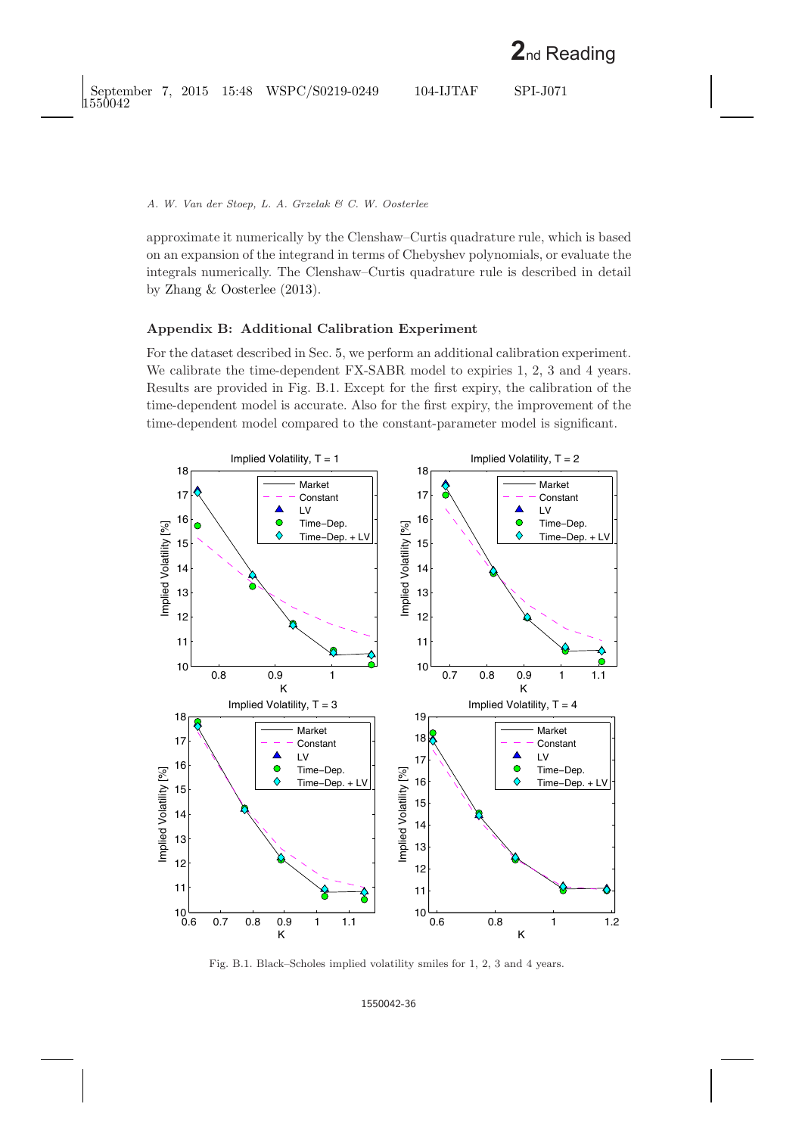approximate it numerically by the Clenshaw–Curtis quadrature rule, which is based on an expansion of the integrand in terms of Chebyshev polynomials, or evaluate the integrals numerically. The Clenshaw–Curtis quadrature rule is described in detail by [Zhang & Oosterlee](#page-37-28) [\(2013\)](#page-37-28).

# <span id="page-35-0"></span>**Appendix B: Additional Calibration Experiment**

For the dataset described in Sec. [5,](#page-25-0) we perform an additional calibration experiment. We calibrate the time-dependent FX-SABR model to expiries 1, 2, 3 and 4 years. Results are provided in Fig. B.1. Except for the first expiry, the calibration of the time-dependent model is accurate. Also for the first expiry, the improvement of the time-dependent model compared to the constant-parameter model is significant.



Fig. B.1. Black–Scholes implied volatility smiles for 1, 2, 3 and 4 years.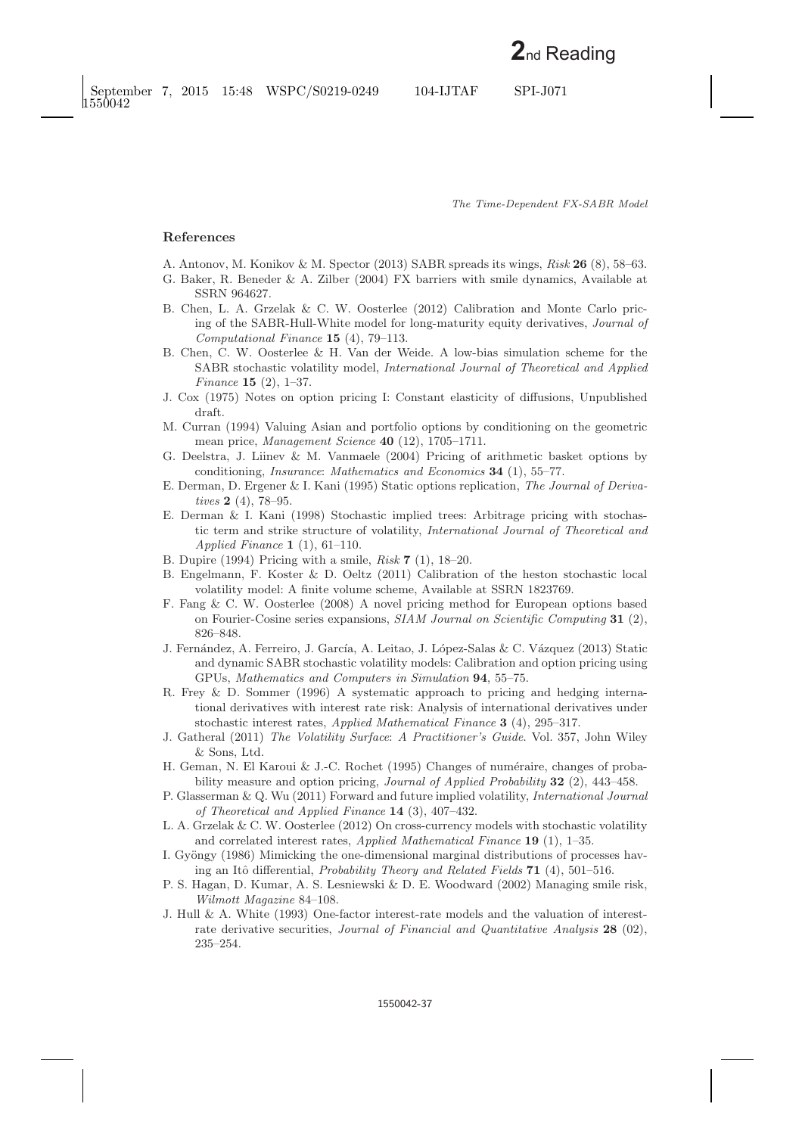### <span id="page-36-0"></span>**References**

- <span id="page-36-20"></span>A. Antonov, M. Konikov & M. Spector (2013) SABR spreads its wings, *Risk* **26** (8), 58–63.
- <span id="page-36-9"></span><span id="page-36-4"></span>G. Baker, R. Beneder & A. Zilber (2004) FX barriers with smile dynamics, Available at SSRN 964627.
- <span id="page-36-19"></span><span id="page-36-13"></span>B. Chen, L. A. Grzelak & C. W. Oosterlee (2012) Calibration and Monte Carlo pricing of the SABR-Hull-White model for long-maturity equity derivatives, *Journal of Computational Finance* **15** (4), 79–113.
- B. Chen, C. W. Oosterlee & H. Van der Weide. A low-bias simulation scheme for the SABR stochastic volatility model, *International Journal of Theoretical and Applied Finance* **15** (2), 1–37.
- <span id="page-36-18"></span>J. Cox (1975) Notes on option pricing I: Constant elasticity of diffusions, Unpublished draft.
- M. Curran (1994) Valuing Asian and portfolio options by conditioning on the geometric mean price, *Management Science* **40** (12), 1705–1711.
- G. Deelstra, J. Liinev & M. Vanmaele (2004) Pricing of arithmetic basket options by conditioning, *Insurance*: *Mathematics and Economics* **34** (1), 55–77.
- E. Derman, D. Ergener & I. Kani (1995) Static options replication, *The Journal of Derivatives* **2** (4), 78–95.
- <span id="page-36-5"></span>E. Derman & I. Kani (1998) Stochastic implied trees: Arbitrage pricing with stochastic term and strike structure of volatility, *International Journal of Theoretical and Applied Finance* **1** (1), 61–110.
- <span id="page-36-17"></span><span id="page-36-6"></span>B. Dupire (1994) Pricing with a smile, *Risk* **7** (1), 18–20.
- <span id="page-36-7"></span>B. Engelmann, F. Koster & D. Oeltz (2011) Calibration of the heston stochastic local volatility model: A finite volume scheme, Available at SSRN 1823769.
- F. Fang & C. W. Oosterlee (2008) A novel pricing method for European options based on Fourier-Cosine series expansions, *SIAM Journal on Scientific Computing* **31** (2), 826–848.
- J. Fernández, A. Ferreiro, J. García, A. Leitao, J. López-Salas & C. Vázquez (2013) Static and dynamic SABR stochastic volatility models: Calibration and option pricing using GPUs, *Mathematics and Computers in Simulation* **94**, 55–75.
- <span id="page-36-1"></span>R. Frey & D. Sommer (1996) A systematic approach to pricing and hedging international derivatives with interest rate risk: Analysis of international derivatives under stochastic interest rates, *Applied Mathematical Finance* **3** (4), 295–317.
- <span id="page-36-15"></span><span id="page-36-8"></span>J. Gatheral (2011) *The Volatility Surface*: *A Practitioner's Guide*. Vol. 357, John Wiley & Sons, Ltd.
- <span id="page-36-14"></span>H. Geman, N. El Karoui & J.-C. Rochet (1995) Changes of numéraire, changes of probability measure and option pricing, *Journal of Applied Probability* **32** (2), 443–458.
- <span id="page-36-11"></span>P. Glasserman & Q. Wu (2011) Forward and future implied volatility, *International Journal of Theoretical and Applied Finance* **14** (3), 407–432.
- <span id="page-36-3"></span>L. A. Grzelak & C. W. Oosterlee (2012) On cross-currency models with stochastic volatility and correlated interest rates, *Applied Mathematical Finance* **19** (1), 1–35.
- <span id="page-36-16"></span>I. Gyöngy (1986) Mimicking the one-dimensional marginal distributions of processes having an Itˆo differential, *Probability Theory and Related Fields* **71** (4), 501–516.
- <span id="page-36-12"></span><span id="page-36-10"></span>P. S. Hagan, D. Kumar, A. S. Lesniewski & D. E. Woodward (2002) Managing smile risk, *Wilmott Magazine* 84–108.
- <span id="page-36-2"></span>J. Hull & A. White (1993) One-factor interest-rate models and the valuation of interestrate derivative securities, *Journal of Financial and Quantitative Analysis* **28** (02), 235–254.